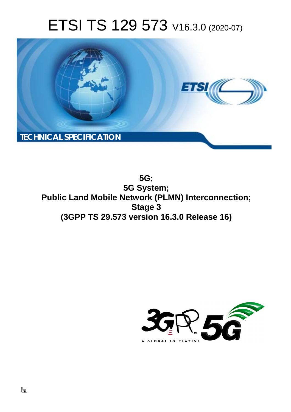# ETSI TS 129 573 V16.3.0 (2020-07)



**5G; 5G System; Public Land Mobile Network (PLMN) Interconnection; Stage 3 (3GPP TS 29.573 version 16.3.0 Release 16)** 

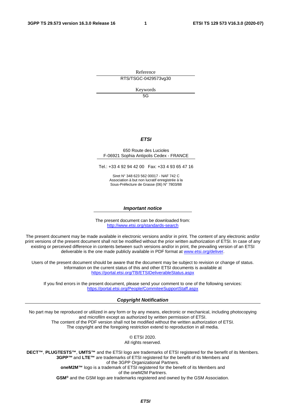Reference RTS/TSGC-0429573vg30

Keywords 5G

#### *ETSI*

#### 650 Route des Lucioles F-06921 Sophia Antipolis Cedex - FRANCE

Tel.: +33 4 92 94 42 00 Fax: +33 4 93 65 47 16

Siret N° 348 623 562 00017 - NAF 742 C Association à but non lucratif enregistrée à la Sous-Préfecture de Grasse (06) N° 7803/88

#### *Important notice*

The present document can be downloaded from: <http://www.etsi.org/standards-search>

The present document may be made available in electronic versions and/or in print. The content of any electronic and/or print versions of the present document shall not be modified without the prior written authorization of ETSI. In case of any existing or perceived difference in contents between such versions and/or in print, the prevailing version of an ETSI deliverable is the one made publicly available in PDF format at [www.etsi.org/deliver.](http://www.etsi.org/deliver)

Users of the present document should be aware that the document may be subject to revision or change of status. Information on the current status of this and other ETSI documents is available at <https://portal.etsi.org/TB/ETSIDeliverableStatus.aspx>

If you find errors in the present document, please send your comment to one of the following services: <https://portal.etsi.org/People/CommiteeSupportStaff.aspx>

#### *Copyright Notification*

No part may be reproduced or utilized in any form or by any means, electronic or mechanical, including photocopying and microfilm except as authorized by written permission of ETSI. The content of the PDF version shall not be modified without the written authorization of ETSI. The copyright and the foregoing restriction extend to reproduction in all media.

> © ETSI 2020. All rights reserved.

**DECT™**, **PLUGTESTS™**, **UMTS™** and the ETSI logo are trademarks of ETSI registered for the benefit of its Members. **3GPP™** and **LTE™** are trademarks of ETSI registered for the benefit of its Members and of the 3GPP Organizational Partners. **oneM2M™** logo is a trademark of ETSI registered for the benefit of its Members and of the oneM2M Partners. **GSM®** and the GSM logo are trademarks registered and owned by the GSM Association.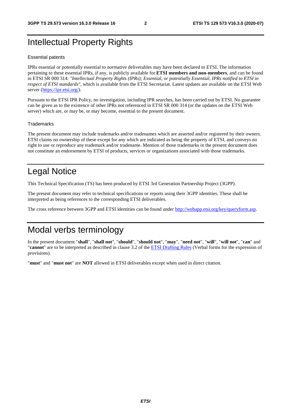# Intellectual Property Rights

#### Essential patents

IPRs essential or potentially essential to normative deliverables may have been declared to ETSI. The information pertaining to these essential IPRs, if any, is publicly available for **ETSI members and non-members**, and can be found in ETSI SR 000 314: *"Intellectual Property Rights (IPRs); Essential, or potentially Essential, IPRs notified to ETSI in respect of ETSI standards"*, which is available from the ETSI Secretariat. Latest updates are available on the ETSI Web server [\(https://ipr.etsi.org/](https://ipr.etsi.org/)).

Pursuant to the ETSI IPR Policy, no investigation, including IPR searches, has been carried out by ETSI. No guarantee can be given as to the existence of other IPRs not referenced in ETSI SR 000 314 (or the updates on the ETSI Web server) which are, or may be, or may become, essential to the present document.

#### **Trademarks**

The present document may include trademarks and/or tradenames which are asserted and/or registered by their owners. ETSI claims no ownership of these except for any which are indicated as being the property of ETSI, and conveys no right to use or reproduce any trademark and/or tradename. Mention of those trademarks in the present document does not constitute an endorsement by ETSI of products, services or organizations associated with those trademarks.

# Legal Notice

This Technical Specification (TS) has been produced by ETSI 3rd Generation Partnership Project (3GPP).

The present document may refer to technical specifications or reports using their 3GPP identities. These shall be interpreted as being references to the corresponding ETSI deliverables.

The cross reference between 3GPP and ETSI identities can be found under<http://webapp.etsi.org/key/queryform.asp>.

# Modal verbs terminology

In the present document "**shall**", "**shall not**", "**should**", "**should not**", "**may**", "**need not**", "**will**", "**will not**", "**can**" and "**cannot**" are to be interpreted as described in clause 3.2 of the [ETSI Drafting Rules](https://portal.etsi.org/Services/editHelp!/Howtostart/ETSIDraftingRules.aspx) (Verbal forms for the expression of provisions).

"**must**" and "**must not**" are **NOT** allowed in ETSI deliverables except when used in direct citation.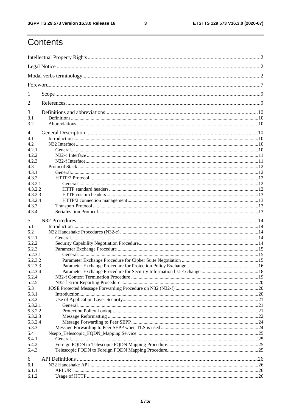$\mathbf{3}$ 

# Contents

| 1                  |  |
|--------------------|--|
| 2                  |  |
| 3                  |  |
| 3.1<br>3.2         |  |
| 4                  |  |
| 4.1                |  |
| 4.2                |  |
| 4.2.1              |  |
| 4.2.2              |  |
| 4.2.3              |  |
| 4.3                |  |
| 4.3.1              |  |
| 4.3.2              |  |
| 4.3.2.1            |  |
| 4.3.2.2            |  |
| 4.3.2.3            |  |
| 4.3.2.4            |  |
| 4.3.3              |  |
| 4.3.4              |  |
|                    |  |
| 5                  |  |
| 5.1                |  |
| 5.2                |  |
| 5.2.1              |  |
| 5.2.2              |  |
| 5.2.3              |  |
| 5.2.3.1            |  |
| 5.2.3.2            |  |
| 5.2.3.3            |  |
| 5.2.3.4            |  |
| 5.2.4              |  |
| 5.2.5              |  |
| 5.3                |  |
| 5.3.1              |  |
| 5.3.2              |  |
| 5.3.2.1            |  |
| 5.3.2.2            |  |
| 5.3.2.3<br>5.3.2.4 |  |
| 5.3.3              |  |
| 5.4                |  |
| 5.4.1              |  |
| 5.4.2              |  |
| 5.4.3              |  |
|                    |  |
| 6                  |  |
|                    |  |
| 6.1                |  |
| 6.1.1<br>6.1.2     |  |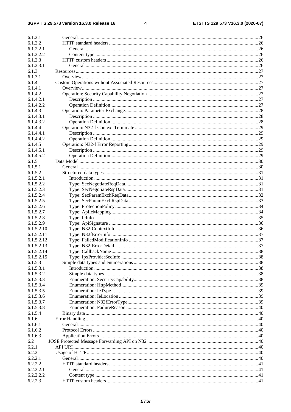#### $\overline{\mathbf{4}}$

| 6.1.2.1    |  |
|------------|--|
| 6.1.2.2    |  |
| 6.1.2.2.1  |  |
| 6.1.2.2.2  |  |
| 6.1.2.3    |  |
| 6.1.2.3.1  |  |
| 6.1.3      |  |
| 6.1.3.1    |  |
| 6.1.4      |  |
| 6.1.4.1    |  |
| 6.1.4.2    |  |
| 6.1.4.2.1  |  |
| 6.1.4.2.2  |  |
| 6.1.4.3    |  |
| 6.1.4.3.1  |  |
| 6.1.4.3.2  |  |
| 6.1.4.4    |  |
| 6.1.4.4.1  |  |
| 6.1.4.4.2  |  |
| 6.1.4.5    |  |
| 6.1.4.5.1  |  |
| 6.1.4.5.2  |  |
| 6.1.5      |  |
| 6.1.5.1    |  |
| 6.1.5.2    |  |
| 6.1.5.2.1  |  |
| 6.1.5.2.2  |  |
| 6.1.5.2.3  |  |
| 6.1.5.2.4  |  |
| 6.1.5.2.5  |  |
| 6.1.5.2.6  |  |
| 6.1.5.2.7  |  |
| 6.1.5.2.8  |  |
| 6.1.5.2.9  |  |
| 6.1.5.2.10 |  |
| 6.1.5.2.11 |  |
| 6.1.5.2.12 |  |
| 6.1.5.2.13 |  |
| 6.1.5.2.14 |  |
| 6.1.5.2.15 |  |
| 6.1.5.3    |  |
| 6.1.5.3.1  |  |
| 6.1.5.3.2  |  |
| 6.1.5.3.3  |  |
| 6.1.5.3.4  |  |
| 6.1.5.3.5  |  |
| 6.1.5.3.6  |  |
| 6.1.5.3.7  |  |
| 6.1.5.3.8  |  |
| 6.1.5.4    |  |
| 6.1.6      |  |
| 6.1.6.1    |  |
| 6.1.6.2    |  |
| 6.1.6.3    |  |
| 6.2        |  |
| 6.2.1      |  |
| 6.2.2      |  |
| 6.2.2.1    |  |
| 6.2.2.2    |  |
| 6.2.2.2.1  |  |
| 6.2.2.2.2  |  |
| 6.2.2.3    |  |
|            |  |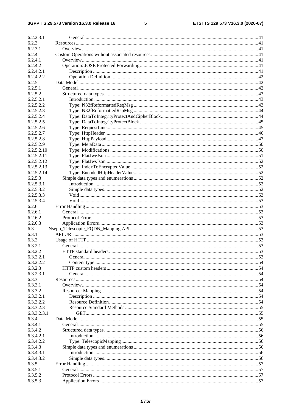#### $5\phantom{a}$

| 6.2.2.3.1   |  |
|-------------|--|
| 6.2.3       |  |
| 6.2.3.1     |  |
| 6.2.4       |  |
| 6.2.4.1     |  |
| 6.2.4.2     |  |
| 6.2.4.2.1   |  |
| 6.2.4.2.2   |  |
| 6.2.5       |  |
| 6.2.5.1     |  |
| 6.2.5.2     |  |
| 6.2.5.2.1   |  |
| 6.2.5.2.2   |  |
| 6.2.5.2.3   |  |
| 6.2.5.2.4   |  |
| 6.2.5.2.5   |  |
| 6.2.5.2.6   |  |
| 6.2.5.2.7   |  |
| 6.2.5.2.8   |  |
| 6.2.5.2.9   |  |
| 6.2.5.2.10  |  |
|             |  |
| 6.2.5.2.11  |  |
| 6.2.5.2.12  |  |
| 6.2.5.2.13  |  |
| 6.2.5.2.14  |  |
| 6.2.5.3     |  |
| 6.2.5.3.1   |  |
| 6.2.5.3.2   |  |
| 6.2.5.3.3   |  |
| 6.2.5.3.4   |  |
| 6.2.6       |  |
| 6.2.6.1     |  |
| 6.2.6.2     |  |
| 6.2.6.3     |  |
| 6.3         |  |
| 6.3.1       |  |
| 6.3.2       |  |
| 6.3.2.1     |  |
| 6.3.2.2     |  |
| 6.3.2.2.1   |  |
| 6.3.2.2.2   |  |
| 6.3.2.3     |  |
| 6.3.2.3.1   |  |
| 6.3.3       |  |
| 6.3.3.1     |  |
| 6.3.3.2     |  |
| 6.3.3.2.1   |  |
| 6.3.3.2.2   |  |
| 6.3.3.2.3   |  |
| 6.3.3.2.3.1 |  |
| 6.3.4       |  |
| 6.3.4.1     |  |
| 6.3.4.2     |  |
| 6.3.4.2.1   |  |
| 6.3.4.2.2   |  |
| 6.3.4.3     |  |
| 6.3.4.3.1   |  |
| 6.3.4.3.2   |  |
| 6.3.5       |  |
| 6.3.5.1     |  |
| 6.3.5.2     |  |
| 6.3.5.3     |  |
|             |  |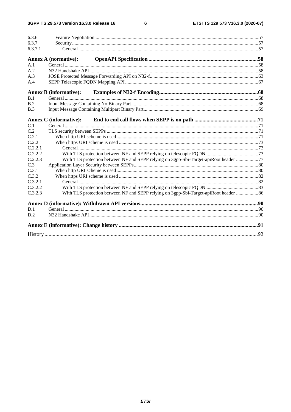$\bf 6$ 

| 6.3.6   |                               |                                                                                       |  |
|---------|-------------------------------|---------------------------------------------------------------------------------------|--|
| 6.3.7   |                               |                                                                                       |  |
| 6.3.7.1 |                               |                                                                                       |  |
|         | <b>Annex A (normative):</b>   |                                                                                       |  |
| A.1     |                               |                                                                                       |  |
| A.2     |                               |                                                                                       |  |
| A.3     |                               |                                                                                       |  |
| A.4     |                               |                                                                                       |  |
|         | <b>Annex B</b> (informative): |                                                                                       |  |
| B.1     |                               |                                                                                       |  |
| B.2     |                               |                                                                                       |  |
| B.3     |                               |                                                                                       |  |
|         | <b>Annex C</b> (informative): |                                                                                       |  |
| C.1     |                               |                                                                                       |  |
| C.2     |                               |                                                                                       |  |
| C.2.1   |                               |                                                                                       |  |
| C.2.2   |                               |                                                                                       |  |
| C.2.2.1 |                               |                                                                                       |  |
| C.2.2.2 |                               |                                                                                       |  |
| C.2.2.3 |                               | With TLS protection between NF and SEPP relying on 3gpp-Sbi-Target-apiRoot header 77  |  |
| C.3     |                               |                                                                                       |  |
| C.3.1   |                               |                                                                                       |  |
| C.3.2   |                               |                                                                                       |  |
| C.3.2.1 |                               |                                                                                       |  |
| C.3.2.2 |                               |                                                                                       |  |
| C.3.2.3 |                               | With TLS protection between NF and SEPP relying on 3gpp-Sbi-Target-apiRoot header  86 |  |
|         |                               |                                                                                       |  |
| D.1     |                               |                                                                                       |  |
| D.2     |                               |                                                                                       |  |
|         |                               |                                                                                       |  |
|         |                               |                                                                                       |  |
|         |                               |                                                                                       |  |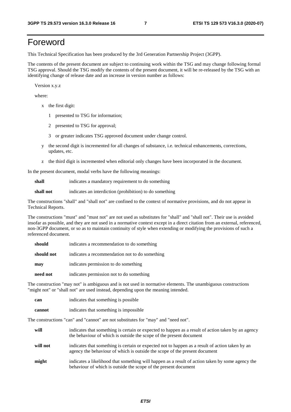# Foreword

This Technical Specification has been produced by the 3rd Generation Partnership Project (3GPP).

The contents of the present document are subject to continuing work within the TSG and may change following formal TSG approval. Should the TSG modify the contents of the present document, it will be re-released by the TSG with an identifying change of release date and an increase in version number as follows:

Version x.y.z

where:

- x the first digit:
	- 1 presented to TSG for information;
	- 2 presented to TSG for approval;
	- 3 or greater indicates TSG approved document under change control.
- y the second digit is incremented for all changes of substance, i.e. technical enhancements, corrections, updates, etc.
- z the third digit is incremented when editorial only changes have been incorporated in the document.

In the present document, modal verbs have the following meanings:

**shall** indicates a mandatory requirement to do something

**shall not** indicates an interdiction (prohibition) to do something

The constructions "shall" and "shall not" are confined to the context of normative provisions, and do not appear in Technical Reports.

The constructions "must" and "must not" are not used as substitutes for "shall" and "shall not". Their use is avoided insofar as possible, and they are not used in a normative context except in a direct citation from an external, referenced, non-3GPP document, or so as to maintain continuity of style when extending or modifying the provisions of such a referenced document.

| should     | indicates a recommendation to do something     |
|------------|------------------------------------------------|
| should not | indicates a recommendation not to do something |
| may        | indicates permission to do something           |
| need not   | indicates permission not to do something       |

The construction "may not" is ambiguous and is not used in normative elements. The unambiguous constructions "might not" or "shall not" are used instead, depending upon the meaning intended.

| can    | indicates that something is possible.  |
|--------|----------------------------------------|
| cannot | indicates that something is impossible |

The constructions "can" and "cannot" are not substitutes for "may" and "need not".

| will     | indicates that something is certain or expected to happen as a result of action taken by an agency<br>the behaviour of which is outside the scope of the present document     |
|----------|-------------------------------------------------------------------------------------------------------------------------------------------------------------------------------|
| will not | indicates that something is certain or expected not to happen as a result of action taken by an<br>agency the behaviour of which is outside the scope of the present document |
| might    | indicates a likelihood that something will happen as a result of action taken by some agency the<br>behaviour of which is outside the scope of the present document           |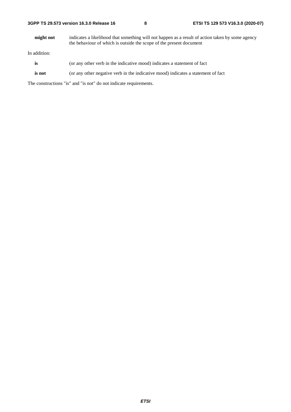**might not** indicates a likelihood that something will not happen as a result of action taken by some agency the behaviour of which is outside the scope of the present document

In addition:

- **is** (or any other verb in the indicative mood) indicates a statement of fact
- **is not** (or any other negative verb in the indicative mood) indicates a statement of fact

The constructions "is" and "is not" do not indicate requirements.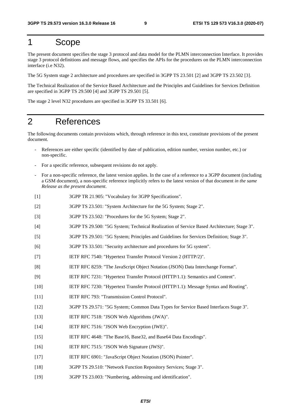# 1 Scope

The present document specifies the stage 3 protocol and data model for the PLMN interconnection Interface. It provides stage 3 protocol definitions and message flows, and specifies the APIs for the procedures on the PLMN interconnection interface (i.e N32).

The 5G System stage 2 architecture and procedures are specified in 3GPP TS 23.501 [2] and 3GPP TS 23.502 [3].

The Technical Realization of the Service Based Architecture and the Principles and Guidelines for Services Definition are specified in 3GPP TS 29.500 [4] and 3GPP TS 29.501 [5].

The stage 2 level N32 procedures are specified in 3GPP TS 33.501 [6].

# 2 References

The following documents contain provisions which, through reference in this text, constitute provisions of the present document.

- References are either specific (identified by date of publication, edition number, version number, etc.) or non-specific.
- For a specific reference, subsequent revisions do not apply.
- For a non-specific reference, the latest version applies. In the case of a reference to a 3GPP document (including a GSM document), a non-specific reference implicitly refers to the latest version of that document *in the same Release as the present document*.
- [1] 3GPP TR 21.905: "Vocabulary for 3GPP Specifications".
- [2] 3GPP TS 23.501: "System Architecture for the 5G System; Stage 2".
- [3] 3GPP TS 23.502: "Procedures for the 5G System; Stage 2".
- [4] 3GPP TS 29.500: "5G System; Technical Realization of Service Based Architecture; Stage 3".
- [5] 3GPP TS 29.501: "5G System; Principles and Guidelines for Services Definition; Stage 3".
- [6] 3GPP TS 33.501: "Security architecture and procedures for 5G system".
- [7] IETF RFC 7540: "Hypertext Transfer Protocol Version 2 (HTTP/2)".
- [8] IETF RFC 8259: "The JavaScript Object Notation (JSON) Data Interchange Format".
- [9] IETF RFC 7231: "Hypertext Transfer Protocol (HTTP/1.1): Semantics and Content".
- [10] IETF RFC 7230: "Hypertext Transfer Protocol (HTTP/1.1): Message Syntax and Routing".
- [11] IETF RFC 793: "Transmission Control Protocol".
- [12] 3GPP TS 29.571: "5G System; Common Data Types for Service Based Interfaces Stage 3".
- [13] IETF RFC 7518: "JSON Web Algorithms (JWA)".
- [14] **IETF RFC 7516: "JSON Web Encryption (JWE)".**
- [15] IETF RFC 4648: "The Base16, Base32, and Base64 Data Encodings".
- [16] **IETF RFC 7515: "JSON Web Signature (JWS)".**
- [17] IETF RFC 6901: "JavaScript Object Notation (JSON) Pointer".
- [18] 3GPP TS 29.510: "Network Function Repository Services; Stage 3".
- [19] 3GPP TS 23.003: "Numbering, addressing and identification".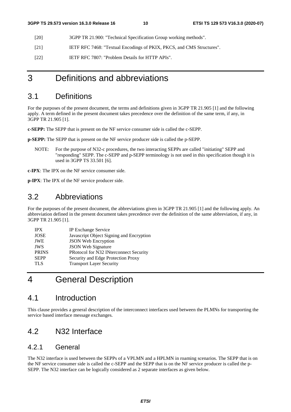- [20] 3GPP TR 21.900: "Technical Specification Group working methods".
- [21] IETF RFC 7468: "Textual Encodings of PKIX, PKCS, and CMS Structures".
- [22] IETF RFC 7807: "Problem Details for HTTP APIs".

# 3 Definitions and abbreviations

# 3.1 Definitions

For the purposes of the present document, the terms and definitions given in 3GPP TR 21.905 [1] and the following apply. A term defined in the present document takes precedence over the definition of the same term, if any, in 3GPP TR 21.905 [1].

**c-SEPP:** The SEPP that is present on the NF service consumer side is called the c-SEPP.

**p-SEPP:** The SEPP that is present on the NF service producer side is called the p-SEPP.

NOTE: For the purpose of N32-c procedures, the two interacting SEPPs are called "initiating" SEPP and "responding" SEPP. The c-SEPP and p-SEPP terminology is not used in this specification though it is used in 3GPP TS 33.501 [6].

**c-IPX**: The IPX on the NF service consumer side.

**p-IPX**: The IPX of the NF service producer side.

# 3.2 Abbreviations

For the purposes of the present document, the abbreviations given in 3GPP TR 21.905 [1] and the following apply. An abbreviation defined in the present document takes precedence over the definition of the same abbreviation, if any, in 3GPP TR 21.905 [1].

| <b>IPX</b>   | <b>IP Exchange Service</b>               |
|--------------|------------------------------------------|
| <b>JOSE</b>  | Javascript Object Signing and Encryption |
| <b>JWE</b>   | <b>JSON Web Encryption</b>               |
| <b>JWS</b>   | <b>JSON Web Signature</b>                |
| <b>PRINS</b> | PRotocol for N32 INterconnect Security   |
| <b>SEPP</b>  | Security and Edge Protection Proxy       |
| <b>TLS</b>   | <b>Transport Layer Security</b>          |

# 4 General Description

# 4.1 Introduction

This clause provides a general description of the interconnect interfaces used between the PLMNs for transporting the service based interface message exchanges.

# 4.2 N32 Interface

# 4.2.1 General

The N32 interface is used between the SEPPs of a VPLMN and a HPLMN in roaming scenarios. The SEPP that is on the NF service consumer side is called the c-SEPP and the SEPP that is on the NF service producer is called the p-SEPP. The N32 interface can be logically considered as 2 separate interfaces as given below.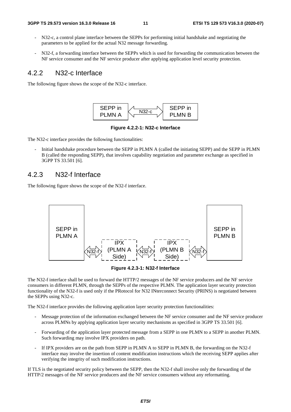- N32-c, a control plane interface between the SEPPs for performing initial handshake and negotiating the parameters to be applied for the actual N32 message forwarding.
- N32-f, a forwarding interface between the SEPPs which is used for forwarding the communication between the NF service consumer and the NF service producer after applying application level security protection.

### 4.2.2 N32-c Interface

The following figure shows the scope of the N32-c interface.



**Figure 4.2.2-1: N32-c Interface** 

The N32-c interface provides the following functionalities:

- Initial handshake procedure between the SEPP in PLMN A (called the initiating SEPP) and the SEPP in PLMN B (called the responding SEPP), that involves capability negotiation and parameter exchange as specified in 3GPP TS 33.501 [6].

### 4.2.3 N32-f Interface

The following figure shows the scope of the N32-f interface.



**Figure 4.2.3-1: N32-f Interface** 

The N32-f interface shall be used to forward the HTTP/2 messages of the NF service producers and the NF service consumers in different PLMN, through the SEPPs of the respective PLMN. The application layer security protection functionality of the N32-f is used only if the PRotocol for N32 INterconnect Security (PRINS) is negotiated between the SEPPs using N32-c.

The N32-f interface provides the following application layer security protection functionalities:

- Message protection of the information exchanged between the NF service consumer and the NF service producer across PLMNs by applying application layer security mechanisms as specified in 3GPP TS 33.501 [6].
- Forwarding of the application layer protected message from a SEPP in one PLMN to a SEPP in another PLMN. Such forwarding may involve IPX providers on path.
- If IPX providers are on the path from SEPP in PLMN A to SEPP in PLMN B, the forwarding on the N32-f interface may involve the insertion of content modification instructions which the receiving SEPP applies after verifying the integrity of such modification instructions.

If TLS is the negotiated security policy between the SEPP, then the N32-f shall involve only the forwarding of the HTTP/2 messages of the NF service producers and the NF service consumers without any reformatting.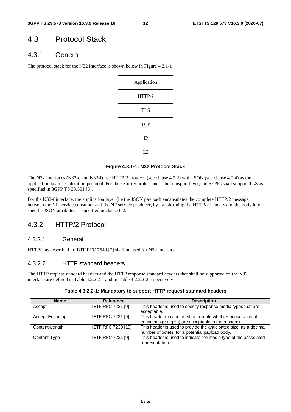# 4.3 Protocol Stack

# 4.3.1 General

The protocol stack for the N32 interface is shown below in Figure 4.2.1-1

| Application |
|-------------|
| HTTP/2      |
| <b>TLS</b>  |
| <b>TCP</b>  |
| <b>IP</b>   |
| L2          |

**Figure 4.3.1-1: N32 Protocol Stack** 

The N32 interfaces (N32-c and N32-f) use HTTP/2 protocol (see clause 4.2.2) with JSON (see clause 4.2.4) as the application layer serialization protocol. For the security protection at the transport layer, the SEPPs shall support TLS as specified in 3GPP TS 33.501 [6].

For the N32-f interface, the application layer (i.e the JSON payload) encapsulates the complete HTTP/2 message between the NF service consumer and the NF service producer, by transforming the HTTP/2 headers and the body into specific JSON attributes as specified in clause 6.2.

### 4.3.2 HTTP/2 Protocol

#### 4.3.2.1 General

HTTP/2 as described in IETF RFC 7540 [7] shall be used for N32 interface.

#### 4.3.2.2 HTTP standard headers

The HTTP request standard headers and the HTTP response standard headers that shall be supported on the N32 interface are defined in Table 4.2.2.2-1 and in Table 4.2.2.2-2 respectively.

| <b>Name</b>     | <b>Reference</b>          | <b>Description</b>                                                |
|-----------------|---------------------------|-------------------------------------------------------------------|
| Accept          | IETF RFC 7231 [9]         | This header is used to specify response media types that are      |
|                 |                           | acceptable.                                                       |
| Accept-Encoding | IETF RFC 7231 [9]         | This header may be used to indicate what response content-        |
|                 |                           | encodings (e.g gzip) are acceptable in the response.              |
| Content-Length  | <b>IETF RFC 7230 [10]</b> | This header is used to provide the anticipated size, as a decimal |
|                 |                           | number of octets, for a potential payload body.                   |
| Content-Type    | <b>IETF RFC 7231 [9]</b>  | This header is used to indicate the media type of the associated  |
|                 |                           | representation.                                                   |

#### **Table 4.3.2.2-1: Mandatory to support HTTP request standard headers**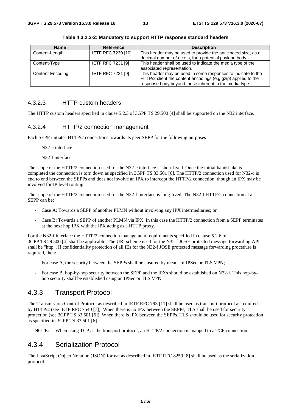| <b>Name</b>      | Reference                 | <b>Description</b>                                                                                                                                                                      |
|------------------|---------------------------|-----------------------------------------------------------------------------------------------------------------------------------------------------------------------------------------|
| Content-Length   | <b>IETF RFC 7230 [10]</b> | This header may be used to provide the anticipated size, as a<br>decimal number of octets, for a potential payload body.                                                                |
| Content-Type     | <b>IETF RFC 7231 [9]</b>  | This header shall be used to indicate the media type of the<br>associated representation.                                                                                               |
| Content-Encoding | <b>IETF RFC 7231 [9]</b>  | This header may be used in some responses to indicate to the<br>HTTP/2 client the content encodings (e.g gzip) applied to the<br>response body beyond those inherent in the media type. |

**Table 4.3.2.2-2: Mandatory to support HTTP response standard headers** 

#### 4.3.2.3 HTTP custom headers

The HTTP custom headers specified in clause 5.2.3 of 3GPP TS 29.500 [4] shall be supported on the N32 interface.

#### 4.3.2.4 HTTP/2 connection management

Each SEPP initiates HTTP/2 connections towards its peer SEPP for the following purposes

- N32-c interface
- N32-f interface

The scope of the HTTP/2 connection used for the N32-c interface is short-lived. Once the initial handshake is completed the connection is torn down as specified in 3GPP TS 33.501 [6]. The HTTP/2 connection used for N32-c is end to end between the SEPPs and does not involve an IPX to intercept the HTTP/2 connection, though an IPX may be involved for IP level routing.

The scope of the HTTP/2 connection used for the N32-f interface is long-lived. The N32-f HTTP/2 connection at a SEPP can be:

- Case A: Towards a SEPP of another PLMN without involving any IPX intermediaries; or
- Case B: Towards a SEPP of another PLMN via IPX. In this case the HTTP/2 connection from a SEPP terminates at the next hop IPX with the IPX acting as a HTTP proxy.

For the N32-f interface the HTTP/2 connection management requirements specified in clause 5.2.6 of 3GPP TS 29.500 [4] shall be applicable. The URI scheme used for the N32-f JOSE protected message forwarding API shall be "http". If confidentiality protection of all IEs for the N32-f JOSE protected message forwarding procedure is required, then:

- For case A, the security between the SEPPs shall be ensured by means of IPSec or TLS VPN;
- For case B, hop-by-hop security between the SEPP and the IPXs should be established on N32-f. This hop-byhop security shall be established using an IPSec or TLS VPN.

### 4.3.3 Transport Protocol

The Transmission Control Protocol as described in IETF RFC 793 [11] shall be used as transport protocol as required by HTTP/2 (see IETF RFC 7540 [7]). When there is no IPX between the SEPPs, TLS shall be used for security protection (see 3GPP TS 33.501 [6]). When there is IPX between the SEPPs, TLS should be used for security protection as specified in 3GPP TS 33.501 [6].

NOTE: When using TCP as the transport protocol, an HTTP/2 connection is mapped to a TCP connection.

# 4.3.4 Serialization Protocol

The JavaScript Object Notation (JSON) format as described in IETF RFC 8259 [8] shall be used as the serialization protocol.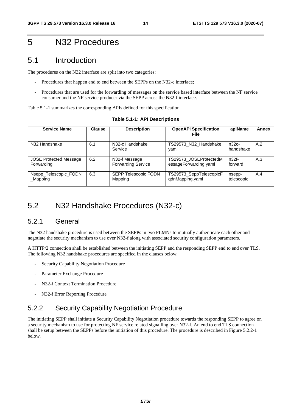# 5 N32 Procedures

# 5.1 Introduction

The procedures on the N32 interface are split into two categories:

- Procedures that happen end to end between the SEPPs on the N32-c interface;
- Procedures that are used for the forwarding of messages on the service based interface between the NF service consumer and the NF service producer via the SEPP across the N32-f interface.

Table 5.1-1 summarizes the corresponding APIs defined for this specification.

**Table 5.1-1: API Descriptions** 

| <b>Service Name</b>                         | <b>Clause</b> | <b>Description</b>                         | <b>OpenAPI Specification</b><br>File            | apiName              | Annex |
|---------------------------------------------|---------------|--------------------------------------------|-------------------------------------------------|----------------------|-------|
| N32 Handshake                               | 6.1           | N32-c Handshake<br>Service                 | TS29573 N32 Handshake.<br>yaml                  | $n32c-$<br>handshake | A.2   |
| <b>JOSE Protected Message</b><br>Forwarding | 6.2           | N32-f Message<br><b>Forwarding Service</b> | TS29573_JOSEProtectedM<br>essageForwarding.yaml | n32f-<br>forward     | A.3   |
| Nsepp_Telescopic_FQDN<br>_Mapping           | 6.3           | <b>SEPP Telescopic FQDN</b><br>Mapping     | TS29573_SeppTelescopicF<br>qdnMapping.yaml      | nsepp-<br>telescopic | A.4   |

# 5.2 N32 Handshake Procedures (N32-c)

#### 5.2.1 General

The N32 handshake procedure is used between the SEPPs in two PLMNs to mutually authenticate each other and negotiate the security mechanism to use over N32-f along with associated security configuration parameters.

A HTTP/2 connection shall be established between the initiating SEPP and the responding SEPP end to end over TLS. The following N32 handshake procedures are specified in the clauses below.

- Security Capability Negotiation Procedure
- Parameter Exchange Procedure
- N32-f Context Termination Procedure
- N32-f Error Reporting Procedure

# 5.2.2 Security Capability Negotiation Procedure

The initiating SEPP shall initiate a Security Capability Negotiation procedure towards the responding SEPP to agree on a security mechanism to use for protecting NF service related signalling over N32-f. An end to end TLS connection shall be setup between the SEPPs before the initiation of this procedure. The procedure is described in Figure 5.2.2-1 below.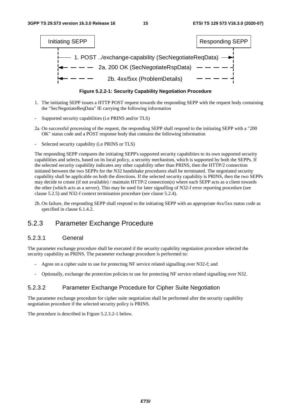

**Figure 5.2.2-1: Security Capability Negotiation Procedure** 

- 1. The initiating SEPP issues a HTTP POST request towards the responding SEPP with the request body containing the "SecNegotiateReqData" IE carrying the following information
- Supported security capabilities (i.e PRINS and/or TLS)
- 2a. On successful processing of the request, the responding SEPP shall respond to the initiating SEPP with a "200 OK" status code and a POST response body that contains the following information
- Selected security capability (*i.e PRINS or TLS*)

The responding SEPP compares the initiating SEPP's supported security capabilities to its own supported security capabilities and selects, based on its local policy, a security mechanism, which is supported by both the SEPPs. If the selected security capability indicates any other capability other than PRINS, then the HTTP/2 connection initiated between the two SEPPs for the N32 handshake procedures shall be terminated. The negotiated security capability shall be applicable on both the directions. If the selected security capability is PRINS, then the two SEPPs may decide to create (if not available) / maintain HTTP/2 connection(s) where each SEPP acts as a client towards the other (which acts as a server). This may be used for later signalling of N32-f error reporting procedure (see clause 5.2.5) and N32-f context termination procedure (see clause 5.2.4).

2b. On failure, the responding SEPP shall respond to the initiating SEPP with an appropriate 4xx/5xx status code as specified in clause 6.1.4.2.

# 5.2.3 Parameter Exchange Procedure

#### 5.2.3.1 General

The parameter exchange procedure shall be executed if the security capability negotiation procedure selected the security capability as PRINS. The parameter exchange procedure is performed to:

- Agree on a cipher suite to use for protecting NF service related signalling over N32-f; and
- Optionally, exchange the protection policies to use for protecting NF service related signalling over N32.

#### 5.2.3.2 Parameter Exchange Procedure for Cipher Suite Negotiation

The parameter exchange procedure for cipher suite negotiation shall be performed after the security capability negotiation procedure if the selected security policy is PRINS.

The procedure is described in Figure 5.2.3.2-1 below.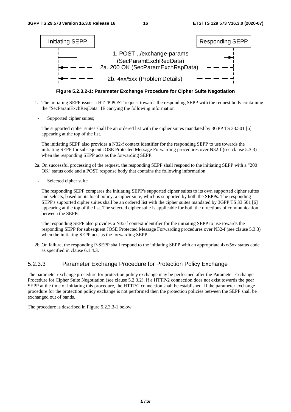

**Figure 5.2.3.2-1: Parameter Exchange Procedure for Cipher Suite Negotiation** 

- 1. The initiating SEPP issues a HTTP POST request towards the responding SEPP with the request body containing the "SecParamExchReqData" IE carrying the following information
	- Supported cipher suites;

 The supported cipher suites shall be an ordered list with the cipher suites mandated by 3GPP TS 33.501 [6] appearing at the top of the list.

 The initiating SEPP also provides a N32-f context identifier for the responding SEPP to use towards the initiating SEPP for subsequent JOSE Protected Message Forwarding procedures over N32-f (see clause 5.3.3) when the responding SEPP acts as the forwarding SEPP.

- 2a. On successful processing of the request, the responding SEPP shall respond to the initiating SEPP with a "200 OK" status code and a POST response body that contains the following information
- Selected cipher suite

 The responding SEPP compares the initiating SEPP's supported cipher suites to its own supported cipher suites and selects, based on its local policy, a cipher suite, which is supported by both the SEPPs. The responding SEPP's supported cipher suites shall be an ordered list with the cipher suites mandated by 3GPP TS 33.501 [6] appearing at the top of the list. The selected cipher suite is applicable for both the directions of communication between the SEPPs.

 The responding SEPP also provides a N32-f context identifier for the initiating SEPP to use towards the responding SEPP for subsequent JOSE Protected Message Forwarding procedures over N32-f (see clause 5.3.3) when the initiating SEPP acts as the forwarding SEPP.

2b. On failure, the responding P-SEPP shall respond to the initiating SEPP with an appropriate 4xx/5xx status code as specified in clause 6.1.4.3.

#### 5.2.3.3 Parameter Exchange Procedure for Protection Policy Exchange

The parameter exchange procedure for protection policy exchange may be performed after the Parameter Exchange Procedure for Cipher Suite Negotiation (see clause 5.2.3.2). If a HTTP/2 connection does not exist towards the peer SEPP at the time of initiating this procedure, the HTTP/2 connection shall be established. If the parameter exchange procedure for the protection policy exchange is not performed then the protection policies between the SEPP shall be exchanged out of bands.

The procedure is described in Figure 5.2.3.3-1 below.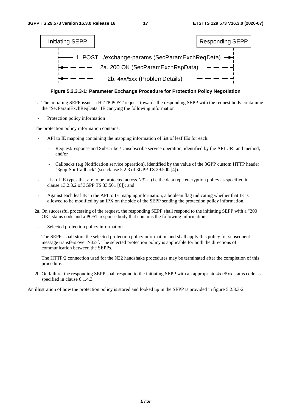

**Figure 5.2.3.3-1: Parameter Exchange Procedure for Protection Policy Negotiation** 

- 1. The initiating SEPP issues a HTTP POST request towards the responding SEPP with the request body containing the "SecParamExchReqData" IE carrying the following information
	- Protection policy information

The protection policy information contains:

- API to IE mapping containing the mapping information of list of leaf IEs for each:
	- Request/response and Subscribe / Unsubscribe service operation, identified by the API URI and method; and/or
	- Callbacks (e.g Notification service operation), identified by the value of the 3GPP custom HTTP header "3gpp-Sbi-Callback" (see clause 5.2.3 of 3GPP TS 29.500 [4]).
- List of IE types that are to be protected across N32-f (i.e the data type encryption policy as specified in clause 13.2.3.2 of 3GPP TS 33.501 [6]); and
- Against each leaf IE in the API to IE mapping information, a boolean flag indicating whether that IE is allowed to be modified by an IPX on the side of the SEPP sending the protection policy information.
- 2a. On successful processing of the request, the responding SEPP shall respond to the initiating SEPP with a "200 OK" status code and a POST response body that contains the following information
	- Selected protection policy information

The SEPPs shall store the selected protection policy information and shall apply this policy for subsequent message transfers over N32-f. The selected protection policy is applicable for both the directions of communication between the SEPPs.

The HTTP/2 connection used for the N32 handshake procedures may be terminated after the completion of this procedure.

2b. On failure, the responding SEPP shall respond to the initiating SEPP with an appropriate 4xx/5xx status code as specified in clause 6.1.4.3.

An illustration of how the protection policy is stored and looked up in the SEPP is provided in figure 5.2.3.3-2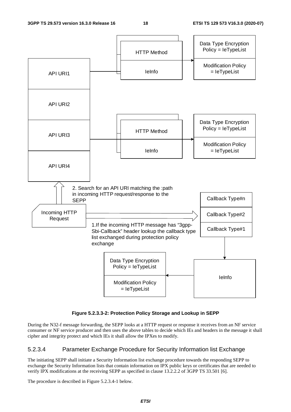

#### **Figure 5.2.3.3-2: Protection Policy Storage and Lookup in SEPP**

During the N32-f message forwarding, the SEPP looks at a HTTP request or response it receives from an NF service consumer or NF service producer and then uses the above tables to decide which IEs and headers in the message it shall cipher and integrity protect and which IEs it shall allow the IPXes to modify.

#### 5.2.3.4 Parameter Exchange Procedure for Security Information list Exchange

The initiating SEPP shall initiate a Security Information list exchange procedure towards the responding SEPP to exchange the Security Information lists that contain information on IPX public keys or certificates that are needed to verify IPX modifications at the receiving SEPP as specified in clause 13.2.2.2 of 3GPP TS 33.501 [6].

The procedure is described in Figure 5.2.3.4-1 below.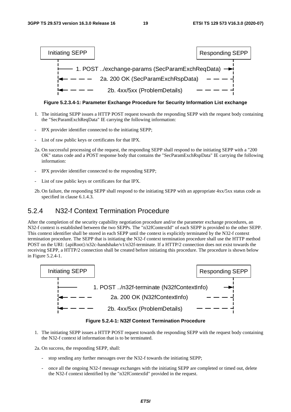

**Figure 5.2.3.4-1: Parameter Exchange Procedure for Security Information List exchange** 

- 1. The initiating SEPP issues a HTTP POST request towards the responding SEPP with the request body containing the "SecParamExchReqData" IE carrying the following information:
- IPX provider identifier connected to the initiating SEPP;
- List of raw public keys or certificates for that IPX.
- 2a. On successful processing of the request, the responding SEPP shall respond to the initiating SEPP with a "200 OK" status code and a POST response body that contains the "SecParamExchRspData" IE carrying the following information:
- IPX provider identifier connected to the responding SEPP;
- List of raw public keys or certificates for that IPX.
- 2b. On failure, the responding SEPP shall respond to the initiating SEPP with an appropriate 4xx/5xx status code as specified in clause 6.1.4.3.

### 5.2.4 N32-f Context Termination Procedure

After the completion of the security capability negotiation procedure and/or the parameter exchange procedures, an N32-f context is established between the two SEPPs. The "n32fContextId" of each SEPP is provided to the other SEPP. This context identifier shall be stored in each SEPP until the context is explicitly terminated by the N32-f context termination procedure. The SEPP that is initiating the N32-f context termination procedure shall use the HTTP method POST on the URI: {apiRoot}/n32c-handshake/v1/n32f-terminate. If a HTTP/2 connection does not exist towards the receiving SEPP, a HTTP/2 connection shall be created before initiating this procedure. The procedure is shown below in Figure 5.2.4-1.



**Figure 5.2.4-1: N32f Context Termination Procedure** 

1. The initiating SEPP issues a HTTP POST request towards the responding SEPP with the request body containing the N32-f context id information that is to be terminated.

2a. On success, the responding SEPP, shall:

- stop sending any further messages over the N32-f towards the initiating SEPP;
- once all the ongoing N32-f message exchanges with the initiating SEPP are completed or timed out, delete the N32-f context identified by the "n32fContextId" provided in the request.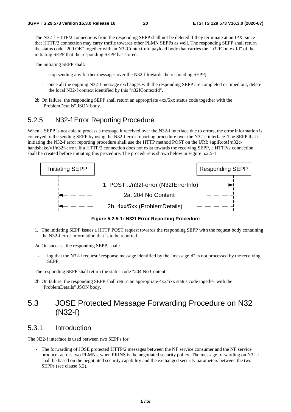The N32-f HTTP/2 connections from the responding SEPP shall not be deleted if they terminate at an IPX, since that HTTP/2 connection may carry traffic towards other PLMN SEPPs as well. The responding SEPP shall return the status code "200 OK" together with an N32ContextInfo payload body that carries the "n32fContextId" of the initiating SEPP that the responding SEPP has stored.

The initiating SEPP shall:

- stop sending any further messages over the N32-f towards the responding SEPP;
- once all the ongoing N32-f message exchanges with the responding SEPP are completed or timed out, delete the local N32-f context identified by this "n32fContextId".
- 2b. On failure, the responding SEPP shall return an appropriate 4xx/5xx status code together with the "ProblemDetails" JSON body.

# 5.2.5 N32-f Error Reporting Procedure

When a SEPP is not able to process a message it received over the N32-f interface due to errors, the error information is conveyed to the sending SEPP by using the N32-f error reporting procedure over the N32-c interface. The SEPP that is initiating the N32-f error reporting procedure shall use the HTTP method POST on the URI: {apiRoot}/n32chandshake/v1/n32f-error. If a HTTP/2 connection does not exist towards the receiving SEPP, a HTTP/2 connection shall be created before initiating this procedure. The procedure is shown below in Figure 5.2.5-1.





1. The initiating SEPP issues a HTTP POST request towards the responding SEPP with the request body containing the N32-f error information that is to be reported.

2a. On success, the responding SEPP, shall:

log that the N32-f request / response message identified by the "messageId" is not processed by the receiving SEPP;

The responding SEPP shall return the status code "204 No Content".

2b. On failure, the responding SEPP shall return an appropriate 4xx/5xx status code together with the "ProblemDetails" JSON body.

# 5.3 JOSE Protected Message Forwarding Procedure on N32 (N32-f)

### 5.3.1 Introduction

The N32-f interface is used between two SEPPs for:

 - The forwarding of JOSE protected HTTP/2 messages between the NF service consumer and the NF service producer across two PLMNs, when PRINS is the negotiated security policy. The message forwarding on N32-f shall be based on the negotiated security capability and the exchanged security parameters between the two SEPPs (see clause 5.2).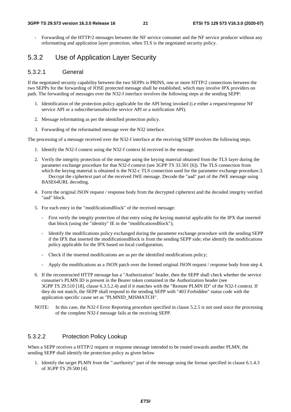Forwarding of the HTTP/2 messages between the NF service consumer and the NF service producer without any reformatting and application layer protection, when TLS is the negotiated security policy.

# 5.3.2 Use of Application Layer Security

#### 5.3.2.1 General

If the negotiated security capability between the two SEPPs is PRINS, one or more HTTP/2 connections between the two SEPPs for the forwarding of JOSE protected message shall be established, which may involve IPX providers on path. The forwarding of messages over the N32-f interface involves the following steps at the sending SEPP:

- 1. Identification of the protection policy applicable for the API being invoked (i.e either a request/response NF service API or a subscribe/unsubscribe service API or a notification API).
- 2. Message reformatting as per the identified protection policy.
- 3. Forwarding of the reformatted message over the N32 interface.

The processing of a message received over the N32-f interface at the receiving SEPP involves the following steps.

- 1. Identify the N32-f context using the N32-f context Id received in the message.
- 2. Verify the integrity protection of the message using the keying material obtained from the TLS layer during the parameter exchange procedure for that N32-f context (see 3GPP TS 33.501 [6]). The TLS connection from which the keying material is obtained is the N32-c TLS connection used for the parameter exchange procedure.3. Decrypt the ciphertext part of the received JWE message. Decode the "aad" part of the JWE message using BASE64URL decoding.
- 4. Form the original JSON request / response body from the decrypted ciphertext and the decoded integrity verified "aad" block.
- 5. For each entry in the "modificationsBlock" of the received message:
	- First verify the integity protection of that entry using the keying material applicable for the IPX that inserted that block (using the "identity" IE in the "modificationsBlock");
	- Identify the modifications policy exchanged during the parameter exchange procedure with the sending SEPP if the IPX that inserted the modificationsBlock is from the sending SEPP side; else identify the modifications policy applicable for the IPX based on local configuration;
	- Check if the inserted modifications are as per the identified modifications policy;
	- Apply the modifications as a JSON patch over the formed original JSON request / response body from step 4.
- 6. If the reconstructed HTTP message has a "Authorization" header, then the SEPP shall check whether the service consumer's PLMN ID is present in the Bearer token contained in the Authorization header (see 3GPP TS 29.510 [18], clause 6.3.5.2.4) and if it matches with the "Remote PLMN ID" of the N32-f context. If they do not match, the SEPP shall respond to the sending SEPP with "403 Forbidden" status code with the application specific cause set as "PLMNID\_MISMATCH".
- NOTE: In this case, the N32-f Error Reporting procedure specified in clause 5.2.5 is not used since the processing of the complete N32-f message fails at the receiving SEPP.

#### 5.3.2.2 Protection Policy Lookup

When a SEPP receives a HTTP/2 request or response message intended to be routed towards another PLMN, the sending SEPP shall identify the protection policy as given below

1. Identify the target PLMN from the ":aurthority" part of the message using the format specified in clause 6.1.4.3 of 3GPP TS 29.500 [4].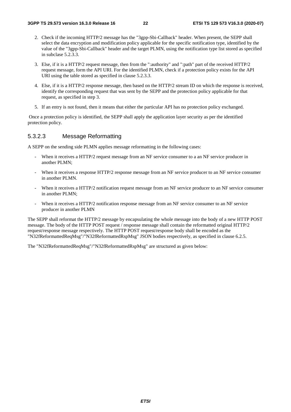- 2. Check if the incoming HTTP/2 message has the "3gpp-Sbi-Callback" header. When present, the SEPP shall select the data encryption and modification policy applicable for the specific notification type, identified by the value of the "3gpp-Sbi-Callback" header and the target PLMN, using the notification type list stored as specified in subclase 5.2.3.3.
- 3. Else, if it is a HTTP/2 request message, then from the ":authority" and ":path" part of the received HTTP/2 request message, form the API URI. For the identified PLMN, check if a protection policy exists for the API URI using the table stored as specified in clause 5.2.3.3.
- 4. Else, if it is a HTTP/2 response message, then based on the HTTP/2 stream ID on which the response is received, identify the corresponding request that was sent by the SEPP and the protection policy applicable for that request, as specified in step 3.
- 5. If an entry is not found, then it means that either the particular API has no protection policy exchanged.

 Once a protection policy is identified, the SEPP shall apply the application layer security as per the identified protection policy.

#### 5.3.2.3 Message Reformatting

A SEPP on the sending side PLMN applies message reformatting in the following cases:

- When it receives a HTTP/2 request message from an NF service consumer to a an NF service producer in another PLMN;
- When it receives a response HTTP/2 response message from an NF service producer to an NF service consumer in another PLMN.
- When it receives a HTTP/2 notification request message from an NF service producer to an NF service consumer in another PLMN;
- When it receives a HTTP/2 notification response message from an NF service consumer to an NF service producer in another PLMN

The SEPP shall reformat the HTTP/2 message by encapsulating the whole message into the body of a new HTTP POST message. The body of the HTTP POST request / response message shall contain the reformatted original HTTP/2 request/response message respectively. The HTTP POST request/response body shall be encoded as the "N32fReformattedReqMsg"/"N32fReformattedRspMsg" JSON bodies respectively, as specified in clause 6.2.5.

The "N32fReformattedReqMsg"/"N32fReformattedRspMsg" are structured as given below: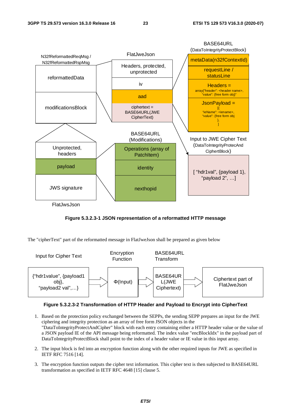

**Figure 5.3.2.3-1 JSON representation of a reformatted HTTP message** 

The "cipherText" part of the reformatted message in FlatJweJson shall be prepared as given below



#### **Figure 5.3.2.3-2 Transformation of HTTP Header and Payload to Encrypt into CipherText**

- 1. Based on the protection policy exchanged between the SEPPs, the sending SEPP prepares an input for the JWE ciphering and integrity protection as an array of free form JSON objects in the "DataToIntegrityProtectAndCipher" block with each entry containing either a HTTP header value or the value of a JSON payload IE of the API message being reformatted. The index value "encBlockIdx" in the payload part of DataToIntegrityProtectBlock shall point to the index of a header value or IE value in this input array.
- 2. The input block is fed into an encryption function along with the other required inputs for JWE as specified in IETF RFC 7516 [14].
- 3. The encryption function outputs the cipher text information. This cipher text is then subjected to BASE64URL transformation as specified in IETF RFC 4648 [15] clause 5.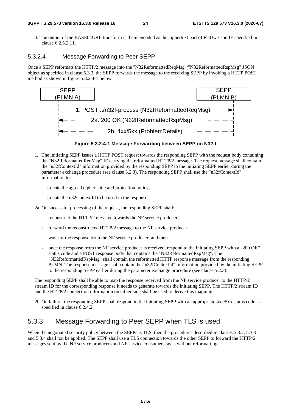4. The output of the BASE64URL transform is them encoded as the ciphertext part of FlatJweJson IE specified in clause 6.2.5.2.11.

#### 5.3.2.4 Message Forwarding to Peer SEPP

Once a SEPP reformats the HTTP/2 message into the "N32ReformattedReqMsg"/"N32ReformattedRspMsg" JSON object as specified in clause 5.3.2, the SEPP forwards the message to the receiving SEPP by invoking a HTTP POST method as shown in figure 5.3.2.4-1 below.



**Figure 5.3.2.4-1 Message Forwarding between SEPP on N32-f** 

- 1. The initiating SEPP issues a HTTP POST request towards the responding SEPP with the request body containing the "N32ReformattedReqMsg" IE carrying the reformatted HTTP/2 message. The request message shall contain the "n32fContextId" information provided by the responding SEPP to the initiating SEPP earlier during the parameter exchange procedure (see clause 5.2.3). The responding SEPP shall use the "n32fContextId" information to:
- Locate the agreed cipher suite and protection policy;
- Locate the n32ContextId to be used in the response.

2a. On successful processing of the request, the responding SEPP shall:

- reconstruct the HTTP/2 message towards the NF service producer;
- forward the reconstructed HTTP/2 message to the NF service producer;
- wait for the response from the NF service producer; and then
- once the response from the NF service producer is received, respond to the initiating SEPP with a "200 OK" status code and a POST response body that contains the "N32ReformattedRspMsg". The "N32ReformattedRspMsg" shall contain the reformatted HTTP response message from the responding PLMN. The response message shall contain the "n32fContextId" information provided by the initiating SEPP to the responding SEPP earlier during the parameter exchange procedure (see clause 5.2.3).

The responding SEPP shall be able to map the response received from the NF service producer to the HTTP/2 stream ID for the corresponding response it needs to generate towards the initiating SEPP. The HTTP/2 stream ID and the HTTP/2 connection information on either side shall be used to derive this mapping.

2b. On failure, the responding SEPP shall respond to the initiating SEPP with an appropriate 4xx/5xx status code as specified in clause 6.2.4.2.

# 5.3.3 Message Forwarding to Peer SEPP when TLS is used

When the negotiated security policy between the SEPPs is TLS, then the procedures described in clauses 5.3.2, 5.3.3 and 5.3.4 shall not be applied. The SEPP shall use a TLS connection towards the other SEPP to forward the HTTP/2 messages sent by the NF service producers and NF service consumers, as is without reformatting.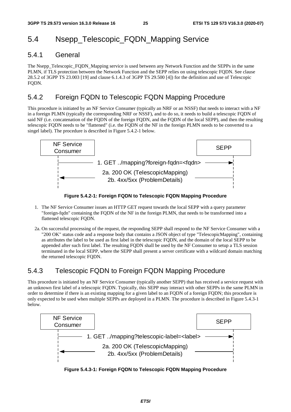# 5.4 Nsepp\_Telescopic\_FQDN\_Mapping Service

# 5.4.1 General

The Nsepp\_Telescopic\_FQDN\_Mapping service is used between any Network Function and the SEPPs in the same PLMN, if TLS protection between the Network Function and the SEPP relies on using telescopic FQDN. See clause 28.5.2 of 3GPP TS 23.003 [19] and clause 6.1.4.3 of 3GPP TS 29.500 [4]) for the definition and use of Telescopic FQDN.

# 5.4.2 Foreign FQDN to Telescopic FQDN Mapping Procedure

This procedure is initiated by an NF Service Consumer (typically an NRF or an NSSF) that needs to interact with a NF in a foreign PLMN (typically the corresponding NRF or NSSF), and to do so, it needs to build a telescopic FQDN of said NF (i.e. concatenation of the FQDN of the foreign FQDN, and the FQDN of the local SEPP), and then the resulting telescopic FQDN needs to be "flattened" (i.e. the FQDN of the NF in the foreign PLMN needs to be converted to a singel label). The procedure is described in Figure 5.4.2-1 below.



**Figure 5.4.2-1: Foreign FQDN to Telescopic FQDN Mapping Procedure** 

- 1. The NF Service Consumer issues an HTTP GET request towards the local SEPP with a query parameter "foreign-fqdn" containing the FQDN of the NF in the foreign PLMN, that needs to be transformed into a flattened telescopic FQDN.
- 2a. On successful processing of the request, the responding SEPP shall respond to the NF Service Consumer with a "200 OK" status code and a response body that contains a JSON object of type "TelescopicMapping", containing as attributes the label to be used as first label in the telescopic FQDN, and the domain of the local SEPP to be appended after such first label. The resulting FQDN shall be used by the NF Consumer to setup a TLS session terminated in the local SEPP, where the SEPP shall present a server certificate with a wildcard domain matching the returned telescopic FQDN.

# 5.4.3 Telescopic FQDN to Foreign FQDN Mapping Procedure

This procedure is initiated by an NF Service Consumer (typically another SEPP) that has received a service request with an unknown first label of a telescopic FQDN. Typically, this SEPP may interact with other SEPPs in the same PLMN in order to determine if there is an existing mapping for a given label to an FQDN of a foreign FQDN; this procedure is only expected to be used when multiple SEPPs are deployed in a PLMN. The procedure is described in Figure 5.4.3-1 below.



**Figure 5.4.3-1: Foreign FQDN to Telescopic FQDN Mapping Procedure**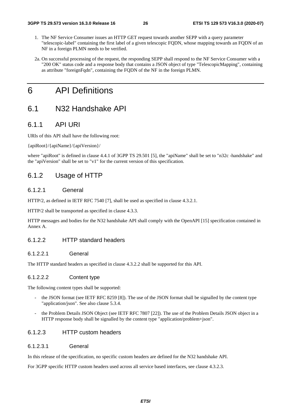- 1. The NF Service Consumer issues an HTTP GET request towards another SEPP with a query parameter "telescopic-label" containing the first label of a given telescopic FQDN, whose mapping towards an FQDN of an NF in a foreign PLMN needs to be verified.
- 2a. On successful processing of the request, the responding SEPP shall respond to the NF Service Consumer with a "200 OK" status code and a response body that contains a JSON object of type "TelescopicMapping", containing as attribute "foreignFqdn", containing the FQDN of the NF in the foreign PLMN.

# 6 API Definitions

# 6.1 N32 Handshake API

### 6.1.1 API URI

URIs of this API shall have the following root:

{apiRoot}/{apiName}/{apiVersion}/

where "apiRoot" is defined in clause 4.4.1 of 3GPP TS 29.501 [5], the "apiName" shall be set to "n32c -handshake" and the "apiVersion" shall be set to "v1" for the current version of this specification.

# 6.1.2 Usage of HTTP

#### 6.1.2.1 General

HTTP/2, as defined in IETF RFC 7540 [7], shall be used as specified in clause 4.3.2.1.

HTTP/2 shall be transported as specified in clause 4.3.3.

HTTP messages and bodies for the N32 handshake API shall comply with the OpenAPI [15] specification contained in Annex A.

#### 6.1.2.2 HTTP standard headers

#### 6.1.2.2.1 General

The HTTP standard headers as specified in clause 4.3.2.2 shall be supported for this API.

#### 6.1.2.2.2 Content type

The following content types shall be supported:

- the JSON format (see IETF RFC 8259 [8]). The use of the JSON format shall be signalled by the content type "application/json". See also clause 5.3.4.
- the Problem Details JSON Object (see IETF RFC 7807 [22]). The use of the Problem Details JSON object in a HTTP response body shall be signalled by the content type "application/problem+json".

#### 6.1.2.3 HTTP custom headers

#### 6.1.2.3.1 General

In this release of the specification, no specific custom headers are defined for the N32 handshake API.

For 3GPP specific HTTP custom headers used across all service based interfaces, see clause 4.3.2.3.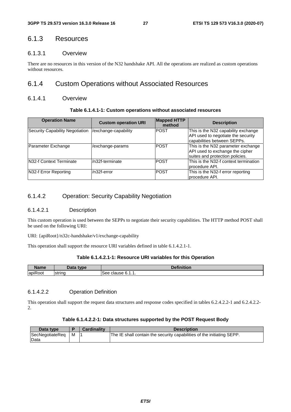# 6.1.3 Resources

#### 6.1.3.1 Overview

There are no resources in this version of the N32 handshake API. All the operations are realized as custom operations without resources.

# 6.1.4 Custom Operations without Associated Resources

#### 6.1.4.1 Overview

#### **Table 6.1.4.1-1: Custom operations without associated resources**

| <b>Operation Name</b>           | <b>Custom operation URI</b> | <b>Mapped HTTP</b><br>method | <b>Description</b>                                                                                       |
|---------------------------------|-----------------------------|------------------------------|----------------------------------------------------------------------------------------------------------|
| Security Capability Negotiation | /exchange-capability        | <b>POST</b>                  | This is the N32 capability exchange<br>API used to negotiate the security<br>capabilities between SEPPs. |
| Parameter Exchange              | /exchange-params            | <b>POST</b>                  | This is the N32 parameter exchange<br>API used to exchange the cipher<br>suites and protection policies. |
| N32-f Context Terminate         | /n32f-terminate             | <b>POST</b>                  | This is the N32-f context termination<br>procedure API.                                                  |
| N32-f Error Reporting           | /n32f-error                 | <b>POST</b>                  | This is the N32-f error reporting<br>procedure API.                                                      |

### 6.1.4.2 Operation: Security Capability Negotiation

#### 6.1.4.2.1 Description

This custom operation is used between the SEPPs to negotiate their security capabilities. The HTTP method POST shall be used on the following URI:

URI: {apiRoot}/n32c-handshake/v1/exchange-capability

This operation shall support the resource URI variables defined in table 6.1.4.2.1-1.

#### **Table 6.1.4.2.1-1: Resource URI variables for this Operation**

| lame           | nata<br>$+1$<br>Pata | n             |
|----------------|----------------------|---------------|
| $\cdot$ $\sim$ | $_{\rm{eff}}$        | - 20          |
| apiRoot        | istring              | clause 6.1.1. |

#### 6.1.4.2.2 Operation Definition

This operation shall support the request data structures and response codes specified in tables 6.2.4.2.2-1 and 6.2.4.2.2- 2.

#### **Table 6.1.4.2.2-1: Data structures supported by the POST Request Body**

| Data type       |   | <b>Cardinality</b> | <b>Description</b>                                                     |
|-----------------|---|--------------------|------------------------------------------------------------------------|
| SecNegotiateReq | M |                    | The IE shall contain the security capabilities of the initiating SEPP. |
| Data            |   |                    |                                                                        |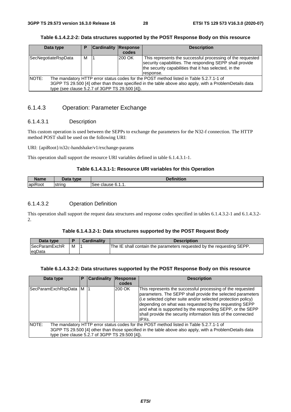#### **Table 6.1.4.2.2-2: Data structures supported by the POST Response Body on this resource**

| Data type                                                                                                                                                                                                                                                    | Р | <b>Cardinality</b> | Response | <b>Description</b>                                                                                                                                                                            |
|--------------------------------------------------------------------------------------------------------------------------------------------------------------------------------------------------------------------------------------------------------------|---|--------------------|----------|-----------------------------------------------------------------------------------------------------------------------------------------------------------------------------------------------|
|                                                                                                                                                                                                                                                              |   |                    | codes    |                                                                                                                                                                                               |
| SecNegotiateRspData                                                                                                                                                                                                                                          | м |                    | 200 OK   | This represents the successful processing of the requested<br>security capabilities. The responding SEPP shall provide<br>the security capabilities that it has selected, in the<br>response. |
| NOTE:<br>The mandatory HTTP error status codes for the POST method listed in Table 5.2.7.1-1 of<br>3GPP TS 29.500 [4] other than those specified in the table above also apply, with a ProblemDetails data<br>type (see clause 5.2.7 of 3GPP TS 29.500 [4]). |   |                    |          |                                                                                                                                                                                               |

#### 6.1.4.3 Operation: Parameter Exchange

#### 6.1.4.3.1 Description

This custom operation is used between the SEPPs to exchange the parameters for the N32-f connection. The HTTP method POST shall be used on the following URI:

URI: {apiRoot}/n32c-handshake/v1/exchange-params

This operation shall support the resource URI variables defined in table 6.1.4.3.1-1.

#### **Table 6.1.4.3.1-1: Resource URI variables for this Operation**

| ame                             | tvne<br>paca | .<br>.<br>TIILIVIT |
|---------------------------------|--------------|--------------------|
| $\cdot$ $\sim$<br>lapit<br>√oot | Istring      | clause<br>See<br>. |

#### 6.1.4.3.2 Operation Definition

This operation shall support the request data structures and response codes specified in tables 6.1.4.3.2-1 and 6.1.4.3.2- 2.

#### **Table 6.1.4.3.2-1: Data structures supported by the POST Request Body**

| Data type            |   | <b>Cardinality</b> | <b>Description</b>                                                    |
|----------------------|---|--------------------|-----------------------------------------------------------------------|
| <b>SecParamExchR</b> | м |                    | The IE shall contain the parameters requested by the requesting SEPP. |
| legData              |   |                    |                                                                       |

#### **Table 6.1.4.3.2-2: Data structures supported by the POST Response Body on this resource**

| Data type                                                                                               |            | <b>Cardinality</b> | Response | <b>Description</b>                                                                                                                                                                                                                                                                                                                                                                         |
|---------------------------------------------------------------------------------------------------------|------------|--------------------|----------|--------------------------------------------------------------------------------------------------------------------------------------------------------------------------------------------------------------------------------------------------------------------------------------------------------------------------------------------------------------------------------------------|
|                                                                                                         |            |                    | codes    |                                                                                                                                                                                                                                                                                                                                                                                            |
| SecParamExchRspData                                                                                     | <b>M</b> 1 |                    | 200 OK   | This represents the successful processing of the requested<br>parameters. The SEPP shall provide the selected parameters<br>(i.e selected cipher suite and/or selected protection policy)<br>depending on what was requested by the requesting SEPP<br>and what is supported by the responding SEPP, or the SEPP<br>shall provide the security information lists of the connected<br>IPXs. |
| NOTE:<br>The mandatory HTTP error status codes for the POST method listed in Table 5.2.7.1-1 of         |            |                    |          |                                                                                                                                                                                                                                                                                                                                                                                            |
| 3GPP TS 29.500 [4] other than those specified in the table above also apply, with a ProblemDetails data |            |                    |          |                                                                                                                                                                                                                                                                                                                                                                                            |
| type (see clause 5.2.7 of 3GPP TS 29.500 [4]).                                                          |            |                    |          |                                                                                                                                                                                                                                                                                                                                                                                            |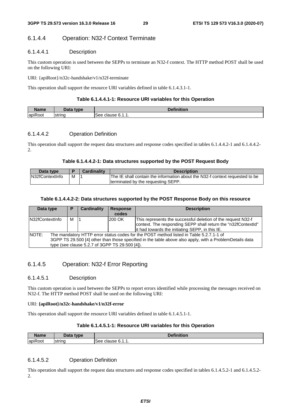### 6.1.4.4 Operation: N32-f Context Terminate

#### 6.1.4.4.1 Description

This custom operation is used between the SEPPs to terminate an N32-f context. The HTTP method POST shall be used on the following URI:

URI: {apiRoot}/n32c-handshake/v1/n32f-terminate

This operation shall support the resource URI variables defined in table 6.1.4.3.1-1.

#### **Table 6.1.4.4.1-1: Resource URI variables for this Operation**

| <b>Name</b>                          | Then,<br>type<br>Dala | <b>Definition</b>   |
|--------------------------------------|-----------------------|---------------------|
| $\overline{\phantom{a}}$<br>lapiRoot | Istring               | clause<br>See<br>◡. |

#### 6.1.4.4.2 Operation Definition

This operation shall support the request data structures and response codes specified in tables 6.1.4.4.2-1 and 6.1.4.4.2- 2.

#### **Table 6.1.4.4.2-1: Data structures supported by the POST Request Body**

| Data type        |   | <b>Cardinality</b> | <b>Description</b>                                                           |
|------------------|---|--------------------|------------------------------------------------------------------------------|
| IN32fContextInfo | М |                    | The IE shall contain the information about the N32-f context requested to be |
|                  |   |                    | terminated by the requesting SEPP.                                           |

#### **Table 6.1.4.4.2-2: Data structures supported by the POST Response Body on this resource**

| Data type                                                                                               | D | <b>Cardinality</b>                             | <b>Response</b> | <b>Description</b>                                            |
|---------------------------------------------------------------------------------------------------------|---|------------------------------------------------|-----------------|---------------------------------------------------------------|
|                                                                                                         |   |                                                | codes           |                                                               |
| N32fContextInfo                                                                                         | м |                                                | 200 OK          | This represents the successful deletion of the request N32-f  |
|                                                                                                         |   |                                                |                 | context. The responding SEPP shall return the "n32fContextId" |
|                                                                                                         |   |                                                |                 | it had towards the initiating SEPP, in this IE.               |
| NOTE:<br>The mandatory HTTP error status codes for the POST method listed in Table 5.2.7.1-1 of         |   |                                                |                 |                                                               |
| 3GPP TS 29.500 [4] other than those specified in the table above also apply, with a ProblemDetails data |   |                                                |                 |                                                               |
|                                                                                                         |   | type (see clause 5.2.7 of 3GPP TS 29.500 [4]). |                 |                                                               |

#### 6.1.4.5 Operation: N32-f Error Reporting

#### 6.1.4.5.1 Description

This custom operation is used between the SEPPs to report errors identified while processing the messages received on N32-f. The HTTP method POST shall be used on the following URI:

#### URI: **{apiRoot}/n32c-handshake/v1/n32f-error**

This operation shall support the resource URI variables defined in table 6.1.4.5.1-1.

#### **Table 6.1.4.5.1-1: Resource URI variables for this Operation**

| <br>Name                             | Dota -<br>type<br>Dala | <u>ה</u> finition               |
|--------------------------------------|------------------------|---------------------------------|
| $\overline{\phantom{a}}$<br>lapiRoot | Istrina                | . .<br>See<br>clause<br><b></b> |

#### 6.1.4.5.2 Operation Definition

This operation shall support the request data structures and response codes specified in tables 6.1.4.5.2-1 and 6.1.4.5.2- 2.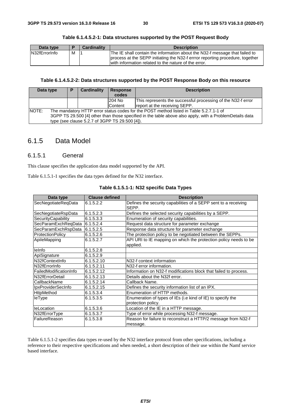| Data type      |   | <b>Cardinality</b> | <b>Description</b>                                                                                                                                                                                                   |
|----------------|---|--------------------|----------------------------------------------------------------------------------------------------------------------------------------------------------------------------------------------------------------------|
| IN32fErrorInfo | М |                    | The IE shall contain the information about the N32-f message that failed to<br>process at the SEPP initiating the N32-f errror reporting procedure, together<br>with information related to the nature of the error. |

#### **Table 6.1.4.5.2-1: Data structures supported by the POST Request Body**

#### **Table 6.1.4.5.2-2: Data structures supported by the POST Response Body on this resource**

| Data type<br>D.                                                                                         |                                                                                        | <b>Cardinality</b> | <b>Response</b> | <b>Description</b>                                           |  |  |  |  |
|---------------------------------------------------------------------------------------------------------|----------------------------------------------------------------------------------------|--------------------|-----------------|--------------------------------------------------------------|--|--|--|--|
|                                                                                                         |                                                                                        |                    | codes           |                                                              |  |  |  |  |
|                                                                                                         |                                                                                        |                    | 204 No          | This represents the successful processing of the N32-f error |  |  |  |  |
|                                                                                                         |                                                                                        |                    | Content         | report at the receiving SEPP.                                |  |  |  |  |
| NOTE:                                                                                                   | The mandatory HTTP error status codes for the POST method listed in Table 5.2.7.1-1 of |                    |                 |                                                              |  |  |  |  |
| 3GPP TS 29.500 [4] other than those specified in the table above also apply, with a ProblemDetails data |                                                                                        |                    |                 |                                                              |  |  |  |  |
|                                                                                                         | type (see clause 5.2.7 of 3GPP TS 29.500 [4]).                                         |                    |                 |                                                              |  |  |  |  |

# 6.1.5 Data Model

### 6.1.5.1 General

This clause specifies the application data model supported by the API.

Table 6.1.5.1-1 specifies the data types defined for the N32 interface.

| Data type                 | <b>Clause defined</b> | <b>Description</b>                                                       |
|---------------------------|-----------------------|--------------------------------------------------------------------------|
| SecNegotiateReqData       | 6.1.5.2.2             | Defines the security capabilities of a SEPP sent to a receiving<br>SEPP. |
| SecNegotiateRspData       | 6.1.5.2.3             | Defines the selected security capabilities by a SEPP.                    |
| SecurityCapability        | 6.1.5.3.3             | Enumeration of security capabilities.                                    |
| SecParamExchReqData       | 6.1.5.2.4             | Request data structure for parameter exchange                            |
| SecParamExchRspData       | 6.1.5.2.5             | Response data structure for parameter exchange                           |
| <b>ProtectionPolicy</b>   | 6.1.5.2.6             | The protection policy to be negotiated between the SEPPs.                |
| ApileMapping              | 6.1.5.2.7             | API URI to IE mapping on which the protection policy needs to be         |
|                           |                       | applied.                                                                 |
| leInfo                    | 6.1.5.2.8             |                                                                          |
| ApiSignature              | 6.1.5.2.9             |                                                                          |
| N32fContextInfo           | 6.1.5.2.10            | N32-f context information                                                |
| N32fErrorInfo             | 6.1.5.2.11            | N32-f error information.                                                 |
| FailedModificationInfo    | 6.1.5.2.12            | Information on N32-f modifications block that failed to process.         |
| N32fErrorDetail           | 6.1.5.2.13            | Details about the N32f error.                                            |
| CallbackName              | 6.1.5.2.14            | Callback Name.                                                           |
| <b>IpxProviderSecInfo</b> | 6.1.5.2.15            | Defines the security information list of an IPX.                         |
| <b>HttpMethod</b>         | 6.1.5.3.4             | Enumeration of HTTP methods.                                             |
| leType                    | 6.1.5.3.5             | Enumeration of types of IEs (i.e kind of IE) to specify the              |
|                           |                       | protection policy.                                                       |
| <b>IeLocation</b>         | 6.1.5.3.6             | Location of the IE in a HTTP message.                                    |
| N32fErrorType             | 6.1.5.3.7             | Type of error while processing N32-f message.                            |
| FailureReason             | 6.1.5.3.8             | Reason for failure to reconstruct a HTTP/2 message from N32-f            |
|                           |                       | message.                                                                 |

**Table 6.1.5.1-1: N32 specific Data Types** 

Table 6.1.5.1-2 specifies data types re-used by the N32 interface protocol from other specifications, including a reference to their respective specifications and when needed, a short description of their use within the Namf service based interface.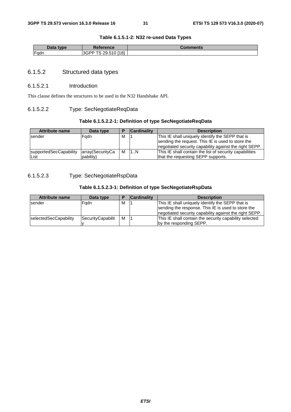#### **Table 6.1.5.1-2: N32 re-used Data Types**

| Data type | <b>Reference</b>              | $\mathcal L$ omments |
|-----------|-------------------------------|----------------------|
| Fqdn      | 10 [18]<br>-516<br>20<br>3GPP |                      |

#### 6.1.5.2 Structured data types

#### 6.1.5.2.1 Introduction

This clause defines the structures to be used in the N32 Handshake API.

#### 6.1.5.2.2 Type: SecNegotiateReqData

#### **Table 6.1.5.2.2-1: Definition of type SecNegotiateReqData**

| <b>Attribute name</b>  | Data type          |   | <b>Cardinality</b> | <b>Description</b>                                      |
|------------------------|--------------------|---|--------------------|---------------------------------------------------------|
| <b>Isender</b>         | Fadn               | M |                    | This IE shall uniquely identify the SEPP that is        |
|                        |                    |   |                    | sending the request. This IE is used to store the       |
|                        |                    |   |                    | negotiated security capability against the right SEPP.  |
| supportedSecCapability | array (Security Ca | м | 11N                | This IE shall contain the list of security capabilities |
| List                   | pability)          |   |                    | that the requesting SEPP supports.                      |

#### 6.1.5.2.3 Type: SecNegotiateRspData

#### **Table 6.1.5.2.3-1: Definition of type SecNegotiateRspData**

| Attribute name        | Data type         |   | <b>Cardinality</b> | <b>Description</b>                                     |
|-----------------------|-------------------|---|--------------------|--------------------------------------------------------|
| sender                | Fadn              | M |                    | This IE shall uniquely identify the SEPP that is       |
|                       |                   |   |                    | sending the response. This IE is used to store the     |
|                       |                   |   |                    | negotiated security capability against the right SEPP. |
| selectedSecCapability | SecurityCapabilit | м |                    | This IE shall contain the security capability selected |
|                       |                   |   |                    | by the responding SEPP.                                |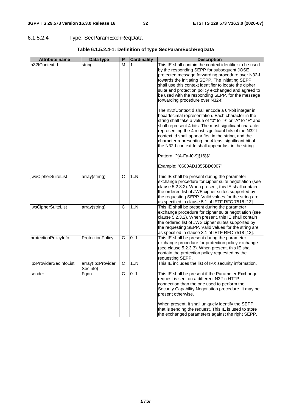# 6.1.5.2.4 Type: SecParamExchReqData

| <b>Attribute name</b>  | Data type                     | P              | <b>Cardinality</b> | <b>Description</b>                                                                                                                                                                                                                                                                                                                                                                                                                                                |
|------------------------|-------------------------------|----------------|--------------------|-------------------------------------------------------------------------------------------------------------------------------------------------------------------------------------------------------------------------------------------------------------------------------------------------------------------------------------------------------------------------------------------------------------------------------------------------------------------|
| n32fContextId          | string                        | м              |                    | This IE shall contain the context identifier to be used<br>by the responding SEPP for subsequent JOSE<br>protected message forwarding procedure over N32-f<br>towards the initiating SEPP. The initiating SEPP<br>shall use this context identifier to locate the cipher<br>suite and protection policy exchanged and agreed to<br>be used with the responding SEPP, for the message<br>forwarding procedure over N32-f.                                          |
|                        |                               |                |                    | The n32fContextId shall encode a 64-bit integer in<br>hexadecimal representation. Each character in the<br>string shall take a value of "0" to "9" or "A" to "F" and<br>shall represent 4 bits. The most significant character<br>representing the 4 most significant bits of the N32-f<br>context Id shall appear first in the string, and the<br>character representing the 4 least significant bit of<br>the N32-f context Id shall appear last in the string. |
|                        |                               |                |                    | Pattern: '^[A-Fa-f0-9]{16}\$'<br>Example: "0600AD1855BD6007".                                                                                                                                                                                                                                                                                                                                                                                                     |
| jweCipherSuiteList     | array(string)                 | $\overline{C}$ | 1N                 | This IE shall be present during the parameter<br>exchange procedure for cipher suite negotiation (see<br>clause 5.2.3.2). When present, this IE shall contain<br>the ordered list of JWE cipher suites supported by<br>the requesting SEPP. Valid values for the string are<br>as specified in clause 5.1 of IETF RFC 7518 [13].                                                                                                                                  |
| jwsCipherSuiteList     | array(string)                 | C              | 1N                 | This IE shall be present during the parameter<br>exchange procedure for cipher suite negotiation (see<br>clause 5.2.3.2). When present, this IE shall contain<br>the ordered list of JWS cipher suites supported by<br>the requesting SEPP. Valid values for the string are<br>as specified in clause 3.1 of IETF RFC 7518 [13].                                                                                                                                  |
| protectionPolicyInfo   | ProtectionPolicy              | C              | 0.1                | This IE shall be present during the parameter<br>exchange procedure for protection policy exchange<br>(see clause 5.2.3.3). When present, this IE shall<br>contain the protection policy requested by the<br>requesting SEPP.                                                                                                                                                                                                                                     |
| ipxProviderSecInfoList | array(IpxProvider<br>SecInfo) | C              | 1N                 | This IE includes the list of IPX security information.                                                                                                                                                                                                                                                                                                                                                                                                            |
| sender                 | Fqdn                          | $\overline{C}$ | 0.1                | This IE shall be present if the Parameter Exchange<br>request is sent on a different N32-c HTTP<br>connection than the one used to perform the<br>Security Capability Negotiation procedure. It may be<br>present otherwise.                                                                                                                                                                                                                                      |
|                        |                               |                |                    | When present, it shall uniquely identify the SEPP<br>that is sending the request. This IE is used to store<br>the exchanged parameters against the right SEPP.                                                                                                                                                                                                                                                                                                    |

### **Table 6.1.5.2.4-1: Definition of type SecParamExchReqData**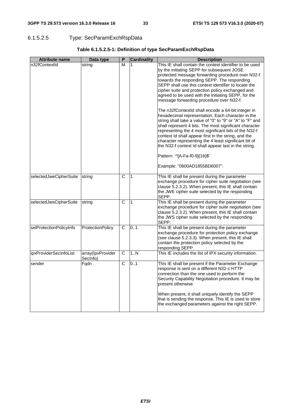# 6.1.5.2.5 Type: SecParamExchRspData

| <b>Attribute name</b>   | Data type                     | P | <b>Cardinality</b> | <b>Description</b>                                                                                                                                                                                                                                                                                                                                                                                                                                                                                                                                                                                                                                                                                                                                                                                                                                                                                                                                             |
|-------------------------|-------------------------------|---|--------------------|----------------------------------------------------------------------------------------------------------------------------------------------------------------------------------------------------------------------------------------------------------------------------------------------------------------------------------------------------------------------------------------------------------------------------------------------------------------------------------------------------------------------------------------------------------------------------------------------------------------------------------------------------------------------------------------------------------------------------------------------------------------------------------------------------------------------------------------------------------------------------------------------------------------------------------------------------------------|
| n32fContextId           | string                        | M | 1                  | This IE shall contain the context identifier to be used<br>by the initiating SEPP for subsequent JOSE<br>protected message forwarding procedure over N32-f<br>towards the responding SEPP. The responding<br>SEPP shall use this context identifier to locate the<br>cipher suite and protection policy exchanged and<br>agreed to be used with the initiating SEPP, for the<br>message forwarding procedure over N32-f.<br>The n32fContextId shall encode a 64-bit integer in<br>hexadecimal representation. Each character in the<br>string shall take a value of "0" to "9" or "A" to "F" and<br>shall represent 4 bits. The most significant character<br>representing the 4 most significant bits of the N32-f<br>context Id shall appear first in the string, and the<br>character representing the 4 least significant bit of<br>the N32-f context Id shall appear last in the string.<br>Pattern: '^[A-Fa-f0-9]{16}\$'<br>Example: "0600AD1855BD6007". |
| selectedJweCipherSuite  | string                        | C | 1                  | This IE shall be present during the parameter<br>exchange procedure for cipher suite negotiation (see<br>clause 5.2.3.2). When present, this IE shall contain<br>the JWE cipher suite selected by the responding<br>SEPP.                                                                                                                                                                                                                                                                                                                                                                                                                                                                                                                                                                                                                                                                                                                                      |
| selectedJwsCipherSuite  | string                        | C | 1                  | This IE shall be present during the parameter<br>exchange procedure for cipher suite negotiation (see<br>clause 5.2.3.2). When present, this IE shall contain<br>the JWS cipher suite selected by the responding<br>SEPP.                                                                                                                                                                                                                                                                                                                                                                                                                                                                                                                                                                                                                                                                                                                                      |
| selProtectionPolicyInfo | ProtectionPolicy              | C | 01                 | This IE shall be present during the parameter<br>exchange procedure for protection policy exchange<br>(see clause 5.2.3.3). When present, this IE shall<br>contain the protection policy selected by the<br>responding SEPP.                                                                                                                                                                                                                                                                                                                                                                                                                                                                                                                                                                                                                                                                                                                                   |
| ipxProviderSecInfoList  | array(IpxProvider<br>SecInfo) | C | 1.N                | This IE includes the list of IPX security information.                                                                                                                                                                                                                                                                                                                                                                                                                                                                                                                                                                                                                                                                                                                                                                                                                                                                                                         |
| sender                  | Fqdn                          | С | 0.1                | This IE shall be present if the Parameter Exchange<br>response is sent on a different N32-c HTTP<br>connection than the one used to perform the<br>Security Capability Negotiation procedure. It may be<br>present otherwise.<br>When present, it shall uniquely identify the SEPP<br>that is sending the response. This IE is used to store<br>the exchanged parameters against the right SEPP.                                                                                                                                                                                                                                                                                                                                                                                                                                                                                                                                                               |

# **Table 6.1.5.2.5-1: Definition of type SecParamExchRspData**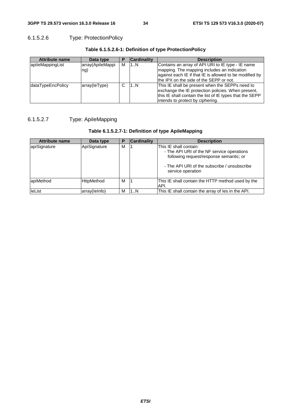# 6.1.5.2.6 Type: ProtectionPolicy

| Attribute name    | Data type        |    | <b>Cardinality</b> | <b>Description</b>                                       |
|-------------------|------------------|----|--------------------|----------------------------------------------------------|
| apileMappingList  | array(ApileMappi | м  | 11N                | Contains an array of API URI to IE type - IE name        |
|                   | ng)              |    |                    | mapping. The mapping includes an indication              |
|                   |                  |    |                    | against each IE if that IE is allowed to be modified by  |
|                   |                  |    |                    | lthe IPX on the side of the SEPP or not.                 |
| dataTypeEncPolicy | array(leType)    | C. | 11N                | This IE shall be present when the SEPPs need to          |
|                   |                  |    |                    | exchange the IE protection policies. When present,       |
|                   |                  |    |                    | this IE shall contain the list of IE types that the SEPP |
|                   |                  |    |                    | lintends to protect by ciphering.                        |

### **Table 6.1.5.2.6-1: Definition of type ProtectionPolicy**

# 6.1.5.2.7 Type: ApileMapping

#### Table 6.1.5.2.7-1: Definition of type ApileMapping

| <b>Attribute name</b> | Data type         | P | <b>Cardinality</b> | <b>Description</b>                                                |
|-----------------------|-------------------|---|--------------------|-------------------------------------------------------------------|
| apiSignature          | ApiSignature      | м |                    | This IE shall contain:                                            |
|                       |                   |   |                    | - The API URI of the NF service operations                        |
|                       |                   |   |                    | following request/response semantic; or                           |
|                       |                   |   |                    | - The API URI of the subscribe / unsubscribe<br>service operation |
| apiMethod             | <b>HttpMethod</b> | M |                    | This IE shall contain the HTTP method used by the<br>API.         |
| <b>IeList</b>         | array(leInfo)     | м | 1N                 | This IE shall contain the array of les in the API.                |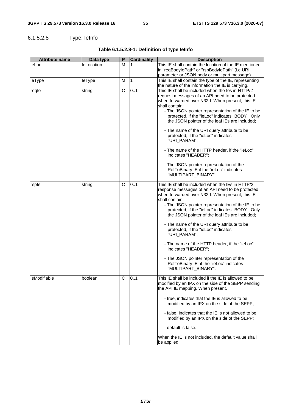# 6.1.5.2.8 Type: IeInfo

| <b>Attribute name</b> | Data type  | P | <b>Cardinality</b>                               | <b>Description</b>                                     |
|-----------------------|------------|---|--------------------------------------------------|--------------------------------------------------------|
| ieLoc                 | leLocation | м |                                                  | This IE shall contain the location of the IE mentioned |
|                       |            |   |                                                  | in "reqBodylePath" or "rspBodylePath" (i.e URI         |
|                       |            |   |                                                  | parameter or JSON body or multipart message)           |
| ieType                | leType     | м | l1.                                              | This IE shall contain the type of the IE, representing |
|                       |            |   |                                                  | the nature of the information the IE is carrying.      |
| regle                 | string     | C |                                                  | This IE shall be included when the les in HTTP/2       |
|                       |            |   |                                                  | request messages of an API need to be protected        |
|                       |            |   |                                                  | when forwarded over N32-f. When present, this IE       |
|                       |            |   |                                                  | shall contain:                                         |
|                       |            |   |                                                  | - The JSON pointer representation of the IE to be      |
|                       |            |   |                                                  | protected, if the "ieLoc" indicates "BODY". Only       |
|                       |            |   |                                                  | the JSON pointer of the leaf IEs are included;         |
|                       |            |   |                                                  |                                                        |
|                       |            |   |                                                  | - The name of the URI query attribute to be            |
|                       |            |   |                                                  | protected, if the "ieLoc" indicates                    |
|                       |            |   |                                                  | "URI_PARAM";                                           |
|                       |            |   |                                                  | - The name of the HTTP header, if the "ieLoc"          |
|                       |            |   |                                                  | indicates "HEADER";                                    |
|                       |            |   |                                                  | - The JSON pointer representation of the               |
|                       |            |   |                                                  | RefToBinary IE if the "ieLoc" indicates                |
|                       |            |   |                                                  | "MULTIPART_BINARY".                                    |
|                       |            |   |                                                  |                                                        |
| rsple                 | string     |   | 0.1                                              | This IE shall be included when the IEs in HTTP/2       |
|                       |            |   | 0.1<br>C<br>C<br>101                             | response messages of an API need to be protected       |
|                       |            |   | when forwarded over N32-f. When present, this IE |                                                        |
|                       |            |   |                                                  | shall contain:                                         |
|                       |            |   |                                                  | - The JSON pointer representation of the IE to be      |
|                       |            |   |                                                  | protected, if the "ieLoc" indicates "BODY". Only       |
|                       |            |   |                                                  | the JSON pointer of the leaf IEs are included;         |
|                       |            |   |                                                  | - The name of the URI query attribute to be            |
|                       |            |   |                                                  | protected, if the "ieLoc" indicates                    |
|                       |            |   |                                                  | "URI_PARAM";                                           |
|                       |            |   |                                                  |                                                        |
|                       |            |   |                                                  | - The name of the HTTP header, if the "ieLoc"          |
|                       |            |   |                                                  | indicates "HEADER";                                    |
|                       |            |   |                                                  | - The JSON pointer representation of the               |
|                       |            |   |                                                  | RefToBinary IE if the "ieLoc" indicates                |
|                       |            |   |                                                  | "MULTIPART_BINARY".                                    |
| isModifiable          |            |   |                                                  | This IE shall be included if the IE is allowed to be   |
|                       | boolean    |   |                                                  | modified by an IPX on the side of the SEPP sending     |
|                       |            |   |                                                  | the API IE mapping. When present,                      |
|                       |            |   |                                                  |                                                        |
|                       |            |   |                                                  | - true, indicates that the IE is allowed to be         |
|                       |            |   |                                                  | modified by an IPX on the side of the SEPP;            |
|                       |            |   |                                                  |                                                        |
|                       |            |   |                                                  | - false, indicates that the IE is not allowed to be    |
|                       |            |   |                                                  | modified by an IPX on the side of the SEPP;            |
|                       |            |   |                                                  | - default is false.                                    |
|                       |            |   |                                                  | When the IE is not included, the default value shall   |
|                       |            |   |                                                  | be applied.                                            |

# **Table 6.1.5.2.8-1: Definition of type IeInfo**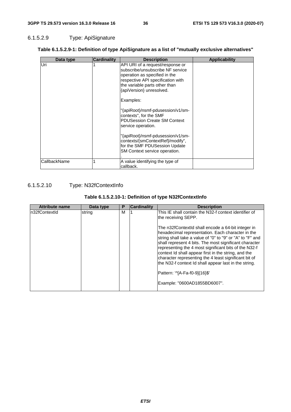## 6.1.5.2.9 Type: ApiSignature

| Table 6.1.5.2.9-1: Definition of type ApiSignature as a list of "mutually exclusive alternatives" |  |
|---------------------------------------------------------------------------------------------------|--|
|---------------------------------------------------------------------------------------------------|--|

| Data type    | Cardinality | <b>Description</b>                                                                                                                                                                                                                                                                                                                                                                                                                                                                          | Applicability |
|--------------|-------------|---------------------------------------------------------------------------------------------------------------------------------------------------------------------------------------------------------------------------------------------------------------------------------------------------------------------------------------------------------------------------------------------------------------------------------------------------------------------------------------------|---------------|
| Uri          |             | API URI of a request/response or<br>subscribe/unsubscribe NF service<br>operation as specified in the<br>respective API specification with<br>the variable parts other than<br>{apiVersion} unresolved.<br>Examples:<br>"{apiRoot}/nsmf-pdusession/v1/sm-<br>contexts", for the SMF<br><b>PDUSession Create SM Context</b><br>service operation.<br>"{apiRoot}/nsmf-pdusession/v1/sm-<br>contexts/{smContextRef}/modify",<br>for the SMF PDUSession Update<br>SM Context service operation. |               |
| CallbackName |             | A value identifying the type of<br>callback.                                                                                                                                                                                                                                                                                                                                                                                                                                                |               |

## 6.1.5.2.10 Type: N32fContextInfo

## **Table 6.1.5.2.10-1: Definition of type N32fContextInfo**

| <b>Attribute name</b> | Data type | Р | <b>Cardinality</b> | <b>Description</b>                                                                                                                                                                                                                                                                                                                                                                                                                                                |
|-----------------------|-----------|---|--------------------|-------------------------------------------------------------------------------------------------------------------------------------------------------------------------------------------------------------------------------------------------------------------------------------------------------------------------------------------------------------------------------------------------------------------------------------------------------------------|
| n32fContextId         | string    | м |                    | This IE shall contain the N32-f context identifier of<br>the receiving SEPP.                                                                                                                                                                                                                                                                                                                                                                                      |
|                       |           |   |                    | The n32fContextId shall encode a 64-bit integer in<br>hexadecimal representation. Each character in the<br>string shall take a value of "0" to "9" or "A" to "F" and<br>shall represent 4 bits. The most significant character<br>representing the 4 most significant bits of the N32-f<br>context Id shall appear first in the string, and the<br>character representing the 4 least significant bit of<br>the N32-f context Id shall appear last in the string. |
|                       |           |   |                    | lPattern: '^IA-Fa-f0-9]{16}\$'                                                                                                                                                                                                                                                                                                                                                                                                                                    |
|                       |           |   |                    | Example: "0600AD1855BD6007".                                                                                                                                                                                                                                                                                                                                                                                                                                      |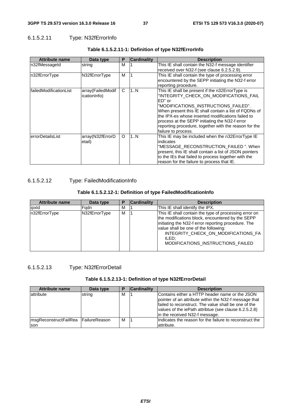## 6.1.5.2.11 Type: N32fErrorInfo

| <b>Attribute name</b>  | Data type                                | P | <b>Cardinality</b> | <b>Description</b>                                                                                                                                                                                                                                                                                                                                                                          |
|------------------------|------------------------------------------|---|--------------------|---------------------------------------------------------------------------------------------------------------------------------------------------------------------------------------------------------------------------------------------------------------------------------------------------------------------------------------------------------------------------------------------|
| n32fMessageId          | string                                   | м |                    | This IE shall contain the N32-f message identifier<br>received over N32-f (see clause 6.2.5.2.9).                                                                                                                                                                                                                                                                                           |
| n32fErrorType          | N32fErrorType                            | M |                    | This IE shall contain the type of processing error<br>encountered by the SEPP initiating the N32-f error<br>reporting procedure.                                                                                                                                                                                                                                                            |
| failedModificationList | array(FailedModif<br><i>icationInfo)</i> | C | 1N                 | This IE shall be present if the n32ErrorType is<br>"INTEGRITY_CHECK_ON_MODIFICATIONS_FAIL<br>ED" or<br>"MODIFICATIONS INSTRUCTIONS FAILED".<br>When present this IE shall contain a list of FQDNs of<br>the IPX-es whose inserted modifications failed to<br>process at the SEPP initiating the N32-f error<br>reporting procedure, together with the reason for the<br>failure to process. |
| errorDetailsList       | array(N32fErrorD<br>etail)               | O | 1N                 | This IE may be included when the n32ErrorType IE<br>indicates<br>"MESSAGE RECONSTRUCTION FAILED". When<br>present, this IE shall contain a list of JSON pointers<br>to the IEs that failed to process together with the<br>reason for the failure to process that IE.                                                                                                                       |

## **Table 6.1.5.2.11-1: Definition of type N32fErrorInfo**

## 6.1.5.2.12 Type: FailedModificationInfo

### **Table 6.1.5.2.12-1: Definition of type FailedModificationInfo**

| <b>Attribute name</b> | Data type     |   | <b>Cardinality</b> | <b>Description</b>                                                                                                                                                                                                                                                                            |
|-----------------------|---------------|---|--------------------|-----------------------------------------------------------------------------------------------------------------------------------------------------------------------------------------------------------------------------------------------------------------------------------------------|
| ipxid                 | Fadn          | м |                    | This IE shall identify the IPX.                                                                                                                                                                                                                                                               |
| n32fErrorType         | N32fErrorType | м |                    | This IE shall contain the type of processing error on<br>the modifications block, encountered by the SEPP<br>initiating the N32-f error reporting procedure. The<br>value shall be one of the following:<br>INTEGRITY_CHECK_ON_MODIFICATIONS_FA<br>ILED:<br>MODIFICATIONS_INSTRUCTIONS_FAILED |

## 6.1.5.2.13 Type: N32fErrorDetail

#### **Table 6.1.5.2.13-1: Definition of type N32fErrorDetail**

| <b>Attribute name</b>                               | Data type |   | <b>Cardinality</b> | <b>Description</b>                                                                                                                                                                                                                                          |
|-----------------------------------------------------|-----------|---|--------------------|-------------------------------------------------------------------------------------------------------------------------------------------------------------------------------------------------------------------------------------------------------------|
| lattribute                                          | string    | м |                    | Contains either a HTTP header name or the JSON<br>pointer of an attribute within the N32-f message that<br>Ifailed to reconstruct. The value shall be one of the<br>values of the iePath attribtue (see clause 6.2.5.2.8)<br>in the received N32-f message. |
| ImsgReconstructFailRea FailureReason<br><b>Ison</b> |           | м |                    | Indicates the reason for the failure to reconstruct the<br>attribute.                                                                                                                                                                                       |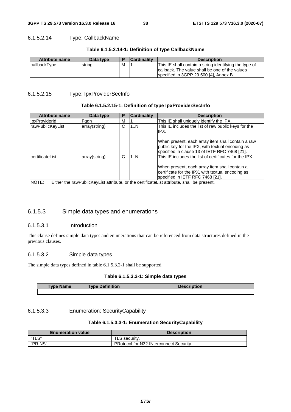#### 6.1.5.2.14 Type: CallbackName

| Attribute name | Data type |   | <b>Cardinality</b> | <b>Description</b>                                     |
|----------------|-----------|---|--------------------|--------------------------------------------------------|
| callbackType   | string    | M |                    | This IE shall contain a string identifying the type of |
|                |           |   |                    | callback. The value shall be one of the values         |
|                |           |   |                    | specified in 3GPP 29.500 [4], Annex B.                 |

6.1.5.2.15 Type: IpxProviderSecInfo

#### **Table 6.1.5.2.15-1: Definition of type IpxProviderSecInfo**

| <b>Attribute name</b>                                                                               | Data type     | Р | <b>Cardinality</b> | <b>Description</b>                                                                                                                                     |
|-----------------------------------------------------------------------------------------------------|---------------|---|--------------------|--------------------------------------------------------------------------------------------------------------------------------------------------------|
| ipxProviderId                                                                                       | Fgdn          | M |                    | This IE shall uniquely identify the IPX.                                                                                                               |
| rawPublicKeyList                                                                                    | array(string) | C | 1N                 | This IE includes the list of raw public keys for the<br>IIPX.                                                                                          |
|                                                                                                     |               |   |                    | When present, each array item shall contain a raw<br>public key for the IPX, with textual encoding as<br>specified in clause 13 of IETF RFC 7468 [21]. |
| certificateList                                                                                     | array(string) | C | 1N                 | This IE includes the list of certificates for the IPX.                                                                                                 |
|                                                                                                     |               |   |                    | When present, each array item shall contain a<br>certificate for the IPX, with textual encoding as<br>specified in IETF RFC 7468 [21].                 |
| NOTE:<br>Either the rawPublicKeyList attribute, or the certificateList attribute, shall be present. |               |   |                    |                                                                                                                                                        |

## 6.1.5.3 Simple data types and enumerations

#### 6.1.5.3.1 Introduction

This clause defines simple data types and enumerations that can be referenced from data structures defined in the previous clauses.

#### 6.1.5.3.2 Simple data types

The simple data types defined in table 6.1.5.3.2-1 shall be supported.

#### **Table 6.1.5.3.2-1: Simple data types**

| <b>Type Name</b> | <b>Type Definition</b> | Description |
|------------------|------------------------|-------------|
|                  |                        |             |

### 6.1.5.3.3 Enumeration: SecurityCapability

#### **Table 6.1.5.3.3-1: Enumeration SecurityCapability**

| <b>Enumeration value</b> | <b>Description</b>                             |
|--------------------------|------------------------------------------------|
| "TLS"                    | TLS security.                                  |
| "PRINS"                  | <b>PRotocol for N32 INterconnect Security.</b> |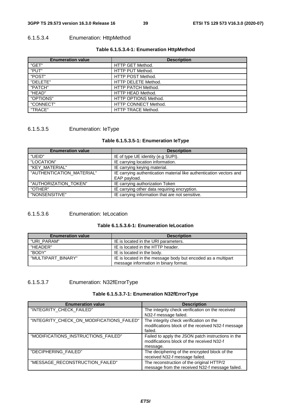#### 6.1.5.3.4 Enumeration: HttpMethod

#### **Table 6.1.5.3.4-1: Enumeration HttpMethod**

| <b>Enumeration value</b> | <b>Description</b>          |
|--------------------------|-----------------------------|
| "GET"                    | HTTP GET Method.            |
| "PUT"                    | HTTP PUT Method.            |
| "POST"                   | <b>HTTP POST Method.</b>    |
| "DELETE"                 | HTTP DELETE Method.         |
| "PATCH"                  | HTTP PATCH Method.          |
| "HEAD"                   | HTTP HEAD Method.           |
| "OPTIONS"                | <b>HTTP OPTIONS Method.</b> |
| "CONNECT"                | HTTP CONNECT Method.        |
| "TRACE"                  | <b>HTTP TRACE Method.</b>   |

## 6.1.5.3.5 Enumeration: IeType

#### **Table 6.1.5.3.5-1: Enumeration IeType**

| <b>Enumeration value</b>  | <b>Description</b>                                                                  |
|---------------------------|-------------------------------------------------------------------------------------|
| "UEID"                    | IE of type UE identity (e.g SUPI).                                                  |
| "LOCATION"                | IE carrying location information.                                                   |
| "KEY_MATERIAL"            | IE carrying keying material.                                                        |
| "AUTHENTICATION_MATERIAL" | IE carrying authentication material like authentication vectors and<br>EAP payload. |
| "AUTHORIZATION TOKEN"     | IE carrying authorization Token                                                     |
| "OTHER"                   | IE carrying other data requiring encryption.                                        |
| "NONSENSITIVE"            | IE carrying information that are not sensitive.                                     |

### 6.1.5.3.6 Enumeration: IeLocation

#### **Table 6.1.5.3.6-1: Enumeration IeLocation**

| <b>Enumeration value</b> | <b>Description</b>                                                                                    |
|--------------------------|-------------------------------------------------------------------------------------------------------|
| "URI PARAM"              | IE is located in the URI parameters.                                                                  |
| "HEADER"                 | IE is located in the HTTP header.                                                                     |
| "BODY"                   | IE is located in the body.                                                                            |
| "MULTIPART BINARY"       | IE is located in the message body but encoded as a multipart<br>message information in binary format. |

## 6.1.5.3.7 Enumeration: N32fErrorType

### **Table 6.1.5.3.7-1: Enumeration N32fErrorType**

| <b>Enumeration value</b>                  | <b>Description</b>                                                                                          |
|-------------------------------------------|-------------------------------------------------------------------------------------------------------------|
| "INTEGRITY_CHECK_FAILED"                  | The integrity check verification on the received<br>N32-f message failed.                                   |
| "INTEGRITY_CHECK_ON_MODIFICATIONS_FAILED" | The integrity check verification on the<br>modifications block of the received N32-f message<br>failed.     |
| "MODIFICATIONS_INSTRUCTIONS_FAILED"       | Failed to apply the JSON patch instructions in the<br>modifications block of the received N32-f<br>message. |
| "DECIPHERING FAILED"                      | The deciphering of the encrypted block of the<br>received N32-f message failed.                             |
| "MESSAGE_RECONSTRUCTION_FAILED"           | The reconstruction of the original HTTP/2<br>message from the received N32-f message failed.                |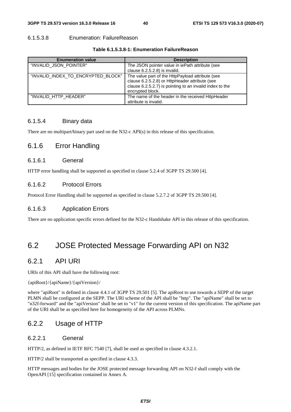#### 6.1.5.3.8 Enumeration: FailureReason

**Table 6.1.5.3.8-1: Enumeration FailureReason** 

| <b>Enumeration value</b>           | <b>Description</b>                                                                                                                                                                 |
|------------------------------------|------------------------------------------------------------------------------------------------------------------------------------------------------------------------------------|
| "INVALID JSON POINTER"             | The JSON pointer value in iePath attribute (see<br>clause 6.2.5.2.8) is invalid.                                                                                                   |
| "INVALID_INDEX_TO_ENCRYPTED_BLOCK" | The value part of the HttpPayload attribute (see<br>clause 6.2.5.2.8) or HttpHeader attribute (see<br>clause 6.2.5.2.7) is pointing to an invalid index to the<br>encrypted block. |
| "INVALID HTTP HEADER"              | The name of the header in the received HttpHeader<br>attribute is invalid.                                                                                                         |

### 6.1.5.4 Binary data

There are no multipart/binary part used on the N32-c API(s) in this release of this specification.

### 6.1.6 Error Handling

#### 6.1.6.1 General

HTTP error handling shall be supported as specified in clause 5.2.4 of 3GPP TS 29.500 [4].

#### 6.1.6.2 Protocol Errors

Protocol Error Handling shall be supported as specified in clause 5.2.7.2 of 3GPP TS 29.500 [4].

#### 6.1.6.3 Application Errors

There are no application specific errors defined for the N32-c Handshake API in this release of this specification.

## 6.2 JOSE Protected Message Forwarding API on N32

## 6.2.1 API URI

URIs of this API shall have the following root:

{apiRoot}/{apiName}/{apiVersion}/

where "apiRoot" is defined in clause 4.4.1 of 3GPP TS 29.501 [5]. The apiRoot to use towards a SEPP of the target PLMN shall be configured at the SEPP. The URI scheme of the API shall be "http". The "apiName" shall be set to "n32f-forward" and the "apiVersion" shall be set to "v1" for the current version of this specification. The apiName part of the URI shall be as specified here for homogeneity of the API across PLMNs.

## 6.2.2 Usage of HTTP

#### 6.2.2.1 General

HTTP/2, as defined in IETF RFC 7540 [7], shall be used as specified in clause 4.3.2.1.

HTTP/2 shall be transported as specified in clause 4.3.3.

HTTP messages and bodies for the JOSE protected message forwarding API on N32-f shall comply with the OpenAPI [15] specification contained in Annex A.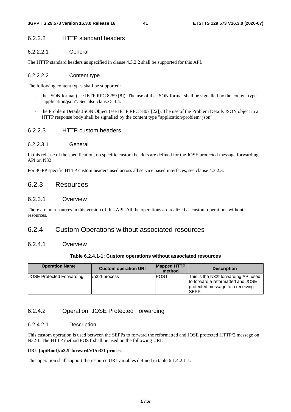#### 6.2.2.2 HTTP standard headers

#### 6.2.2.2.1 General

The HTTP standard headers as specified in clause 4.3.2.2 shall be supported for this API.

#### 6.2.2.2.2 Content type

The following content types shall be supported:

- the JSON format (see IETF RFC 8259 [8]). The use of the JSON format shall be signalled by the content type "application/json". See also clause 5.3.4.
- the Problem Details JSON Object (see IETF RFC 7807 [22]). The use of the Problem Details JSON object in a HTTP response body shall be signalled by the content type "application/problem+json".

#### 6.2.2.3 HTTP custom headers

#### 6.2.2.3.1 General

In this release of the specification, no specific custom headers are defined for the JOSE protected message forwarding API on N32.

For 3GPP specific HTTP custom headers used across all service based interfaces, see clause 4.3.2.3.

## 6.2.3 Resources

#### 6.2.3.1 Overview

There are no resources in this version of this API. All the operations are realized as custom operations without resources.

## 6.2.4 Custom Operations without associated resources

### 6.2.4.1 Overview

#### **Table 6.2.4.1-1: Custom operations without associated resources**

| <b>Operation Name</b>            | <b>Custom operation URI</b> | Mapped HTTP<br>method | <b>Description</b>                                                                                                      |
|----------------------------------|-----------------------------|-----------------------|-------------------------------------------------------------------------------------------------------------------------|
| <b>JOSE Protected Forwarding</b> | /n32f-process               | IPOST                 | This is the N32f forwarding API used<br>to forward a reformatted and JOSE<br>protected message to a receiving<br>ISEPP. |

### 6.2.4.2 Operation: JOSE Protected Forwarding

#### 6.2.4.2.1 Description

This custom operation is used between the SEPPs to forward the reformatted and JOSE protected HTTP/2 message on N32-f. The HTTP method POST shall be used on the following URI:

#### URI: **{apiRoot}/n32f-forward/v1/n32f-process**

This operation shall support the resource URI variables defined in table 6.1.4.2.1-1.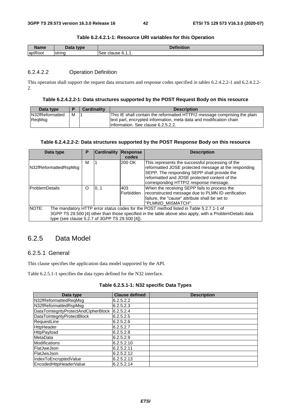| Table 6.2.4.2.1-1: Resource URI variables for this Operation |  |  |  |
|--------------------------------------------------------------|--|--|--|
|--------------------------------------------------------------|--|--|--|

| <b>Name</b> | Data tvpe | Definition<br>ятниоп          |
|-------------|-----------|-------------------------------|
| apiRoot     | Istrina   | -<br>≧6.1.1.<br>clause<br>See |

#### 6.2.4.2.2 Operation Definition

This operation shall support the request data structures and response codes specified in tables 6.2.4.2.2-1 and 6.2.4.2.2- 2.

#### **Table 6.2.4.2.2-1: Data structures supported by the POST Request Body on this resource**

| Data type        |   | <b>Cardinality</b> | <b>Description</b>                                                                                        |
|------------------|---|--------------------|-----------------------------------------------------------------------------------------------------------|
| IN32fReformatted | м |                    | This IE shall contain the reformatted HTTP/2 message comprising the plain                                 |
| RegMsg           |   |                    | text part, encrypted information, meta data and modification chain<br>linformation. See clause 6.2.5.2.2. |
|                  |   |                    |                                                                                                           |

#### **Table 6.2.4.2.2-2: Data structures supported by the POST Response Body on this resource**

| Data type                                                                                                                                                                                                                                                    | P | <b>Cardinality</b> | Response<br>codes | <b>Description</b>                                                                                                                                                                                                                                 |
|--------------------------------------------------------------------------------------------------------------------------------------------------------------------------------------------------------------------------------------------------------------|---|--------------------|-------------------|----------------------------------------------------------------------------------------------------------------------------------------------------------------------------------------------------------------------------------------------------|
| N32fReformattedRspMsg                                                                                                                                                                                                                                        | м |                    | 200 OK            | This represents the successful processing of the<br>reformatted JOSE protected message at the responding<br>SEPP. The responding SEPP shall provide the<br>reformatted and JOSE protected content of the<br>corresponding HTTP/2 response message. |
| <b>ProblemDetails</b>                                                                                                                                                                                                                                        | O | 0.1                | 403<br>Forbidden  | When the receiving SEPP fails to process the<br>reconstructed message due to PLMN ID verification<br>failure, the "cause" attribute shall be set to<br>"PLMNID MISMATCH".                                                                          |
| NOTE:<br>The mandatory HTTP error status codes for the POST method listed in Table 5.2.7.1-1 of<br>3GPP TS 29.500 [4] other than those specified in the table above also apply, with a ProblemDetails data<br>type (see clause 5.2.7 of 3GPP TS 29.500 [4]). |   |                    |                   |                                                                                                                                                                                                                                                    |

## 6.2.5 Data Model

#### 6.2.5.1 General

This clause specifies the application data model supported by the API.

Table 6.2.5.1-1 specifies the data types defined for the N32 interface.

#### **Table 6.2.5.1-1: N32 specific Data Types**

| Data type                            | <b>Clause defined</b> | <b>Description</b> |
|--------------------------------------|-----------------------|--------------------|
| N32fReformattedReqMsg                | 6.2.5.2.2             |                    |
| N32fReformattedRspMsg                | 6.2.5.2.3             |                    |
| DataToIntegrityProtectAndCipherBlock | 6.2.5.2.4             |                    |
| DataToIntegrityProtectBlock          | 6.2.5.2.5             |                    |
| RequestLine                          | 6.2.5.2.6             |                    |
| <b>HttpHeader</b>                    | 6.2.5.2.7             |                    |
| <b>HttpPayload</b>                   | 6.2.5.2.8             |                    |
| MetaData                             | 6.2.5.2.9             |                    |
| Modifications                        | 6.2.5.2.10            |                    |
| FlatJweJson                          | 6.2.5.2.11            |                    |
| FlatJwsJson                          | 6.2.5.2.12            |                    |
| IndexToEncryptedValue                | 6.2.5.2.13            |                    |
| EncodedHttpHeaderValue               | 6.2.5.2.14            |                    |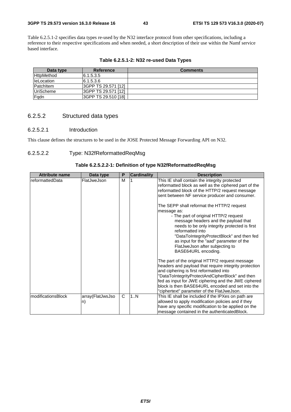Table 6.2.5.1-2 specifies data types re-used by the N32 interface protocol from other specifications, including a reference to their respective specifications and when needed, a short description of their use within the Namf service based interface.

**Table 6.2.5.1-2: N32 re-used Data Types** 

| Data type          | <b>Reference</b>           | <b>Comments</b> |
|--------------------|----------------------------|-----------------|
| <b>HttpMethod</b>  | 6.1.5.3.5                  |                 |
| <b>I</b> eLocation | 16.1.5.3.6                 |                 |
| PatchItem          | <b>SGPP TS 29.571 [12]</b> |                 |
| <b>UriScheme</b>   | <b>SGPP TS 29.571 [12]</b> |                 |
| Fqdn               | <b>SGPP TS 29.510 [18]</b> |                 |

## 6.2.5.2 Structured data types

#### 6.2.5.2.1 Introduction

This clause defines the structures to be used in the JOSE Protected Message Forwarding API on N32.

#### 6.2.5.2.2 Type: N32fReformattedReqMsg

#### **Table 6.2.5.2.2-1: Definition of type N32fReformattedReqMsg**

| <b>Attribute name</b> | Data type        | P | <b>Cardinality</b> | <b>Description</b>                                                                    |
|-----------------------|------------------|---|--------------------|---------------------------------------------------------------------------------------|
| reformattedData       | FlatJweJson      | M |                    | This IE shall contain the integrity protected                                         |
|                       |                  |   |                    | reformatted block as well as the ciphered part of the                                 |
|                       |                  |   |                    | reformatted block of the HTTP/2 request message                                       |
|                       |                  |   |                    | sent between NF service producer and consumer.                                        |
|                       |                  |   |                    | The SEPP shall reformat the HTTP/2 request                                            |
|                       |                  |   |                    | message as:                                                                           |
|                       |                  |   |                    | - The part of original HTTP/2 request                                                 |
|                       |                  |   |                    | message headers and the payload that<br>needs to be only integrity protected is first |
|                       |                  |   |                    | reformatted into                                                                      |
|                       |                  |   |                    | "DataToIntegrityProtectBlock" and then fed                                            |
|                       |                  |   |                    | as input for the "aad" parameter of the                                               |
|                       |                  |   |                    | FlatJweJson after subjecting to                                                       |
|                       |                  |   |                    | BASE64URL encoding.                                                                   |
|                       |                  |   |                    | The part of the original HTTP/2 request message                                       |
|                       |                  |   |                    | headers and payload that require integrity protection                                 |
|                       |                  |   |                    | and ciphering is first reformatted into                                               |
|                       |                  |   |                    | "DataToIntegrityProtectAndCipherBlock" and then                                       |
|                       |                  |   |                    | fed as input for JWE ciphering and the JWE ciphered                                   |
|                       |                  |   |                    | block is then BASE64URL encoded and set into the                                      |
|                       |                  |   |                    | "ciphertext" parameter of the FlatJweJson.                                            |
| modificationsBlock    | array(FlatJwsJso | C | 1N                 | This IE shall be included if the IPXes on path are                                    |
|                       | n)               |   |                    | allowed to apply modification policies and if they                                    |
|                       |                  |   |                    | have any specific modification to be applied on the                                   |
|                       |                  |   |                    | message contained in the authenticated Block.                                         |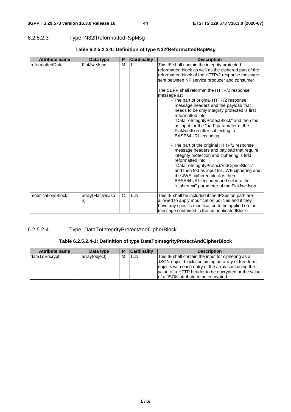## 6.2.5.2.3 Type: N32fReformattedRspMsg

| <b>Attribute name</b> | Data type                       | P | Cardinality | <b>Description</b>                                                                                                                                                                                                                                                                                                                                                       |
|-----------------------|---------------------------------|---|-------------|--------------------------------------------------------------------------------------------------------------------------------------------------------------------------------------------------------------------------------------------------------------------------------------------------------------------------------------------------------------------------|
| reformattedData       | FlatJweJson                     | M |             | This IE shall contain the integrity protected<br>reformatted block as well as the ciphered part of the<br>reformatted block of the HTTP/2 response message<br>sent between NF service producer and consumer.                                                                                                                                                             |
|                       |                                 |   |             | The SEPP shall reformat the HTTP/2 response<br>message as:<br>- The part of original HTTP/2 response<br>message headers and the payload that<br>needs to be only integrity protected is first<br>reformatted into<br>"DataToIntegrityProtectBlock" and then fed<br>as input for the "aad" parameter of the<br>FlatJweJson after subjecting to<br>BASE64URL encoding.     |
|                       |                                 |   |             | - The part of the original HTTP/2 response<br>message headers and payload that require<br>integrity protection and ciphering is first<br>reformatted into<br>"DataToIntegrityProtectAndCipherBlock"<br>and then fed as input for JWE ciphering and<br>the JWE ciphered block is then<br>BASE64URL encoded and set into the<br>"ciphertext" parameter of the FlatJweJson. |
| modificationsBlock    | array(FlatJwsJso<br>$ n\rangle$ | C | 1N          | This IE shall be included if the IPXes on path are<br>allowed to apply modification policies and if they<br>have any specific modification to be applied on the<br>message contained in the authenticated Block.                                                                                                                                                         |

## **Table 6.2.5.2.3-1: Definition of type N32fReformattedRspMsg**

## 6.2.5.2.4 Type: DataToIntegrityProtectAndCipherBlock

#### **Table 6.2.5.2.4-1: Definition of type DataToIntegrityProtectAndCipherBlock**

| <b>Attribute name</b> | Data type     |   | <b>Cardinality</b> | <b>Description</b>                                  |
|-----------------------|---------------|---|--------------------|-----------------------------------------------------|
| dataToEncrypt         | array(object) | м | 1N                 | This IE shall contain the input for ciphering as a  |
|                       |               |   |                    | JSON object block containing an array of free form  |
|                       |               |   |                    | objects with each entry of the array containing the |
|                       |               |   |                    | value of a HTTP header to be encrypted or the value |
|                       |               |   |                    | of a JSON attribute to be encrypted.                |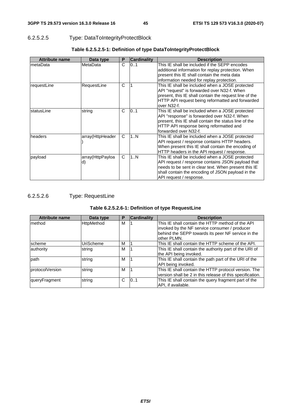## 6.2.5.2.5 Type: DataToIntegrityProtectBlock

| <b>Attribute name</b> | Data type              | P | <b>Cardinality</b> | <b>Description</b>                                                                                                                                                                                                                           |
|-----------------------|------------------------|---|--------------------|----------------------------------------------------------------------------------------------------------------------------------------------------------------------------------------------------------------------------------------------|
| ImetaData             | MetaData               | C | 101                | This IE shall be included if the SEPP encodes<br>additional information for replay protection. When<br>present this IE shall contain the meta data<br>information needed for replay protection.                                              |
| requestLine           | RequestLine            | С |                    | This IE shall be included when a JOSE protected<br>API "request" is forwarded over N32-f. When<br>present, this IE shall contain the request line of the<br>HTTP API request being reformatted and forwarded<br>over N32-f.                  |
| statusLine            | string                 | C | 101                | This IE shall be included when a JOSE protected<br>API "response" is forwarded over N32-f. When<br>present, this IE shall contain the status line of the<br>HTTP API response being reformatted and<br>forwarded over N32-f.                 |
| headers               | array(HttpHeader       | C | 1N                 | This IE shall be included when a JOSE protected<br>API request / response contains HTTP headers.<br>When present this IE shall contain the encoding of<br>HTTP headers in the API request / response.                                        |
| payload               | array(HttpPayloa<br>d) | C | 1N                 | This IE shall be included when a JOSE protected<br>API request / response contains JSON payload that<br>needs to be sent in clear text. When present this IE<br>shall contain the encoding of JSON payload in the<br>API request / response. |

## **Table 6.2.5.2.5-1: Definition of type DataToIntegrityProtectBlock**

## 6.2.5.2.6 Type: RequestLine

#### **Table 6.2.5.2.6-1: Definition of type RequestLine**

| <b>Attribute name</b> | Data type         | P | <b>Cardinality</b> | <b>Description</b>                                        |
|-----------------------|-------------------|---|--------------------|-----------------------------------------------------------|
| Imethod               | <b>HttpMethod</b> | м |                    | This IE shall contain the HTTP method of the API          |
|                       |                   |   |                    | invoked by the NF service consumer / producer             |
|                       |                   |   |                    | behind the SEPP towards its peer NF service in the        |
|                       |                   |   |                    | lother PLMN.                                              |
| Ischeme               | UriScheme         | м |                    | This IE shall contain the HTTP scheme of the API.         |
| lauthority            | string            | м |                    | This IE shall contain the authority part of the URI of    |
|                       |                   |   |                    | the API being invoked.                                    |
| path                  | string            | м |                    | This IE shall contain the path part of the URI of the     |
|                       |                   |   |                    | API being invoked.                                        |
| protocolVersion       | string            | м |                    | This IE shall contain the HTTP protocol version. The      |
|                       |                   |   |                    | version shall be 2 in this release of this specification. |
| queryFragment         | string            | C | 101                | This IE shall contain the query fragment part of the      |
|                       |                   |   |                    | API, if available.                                        |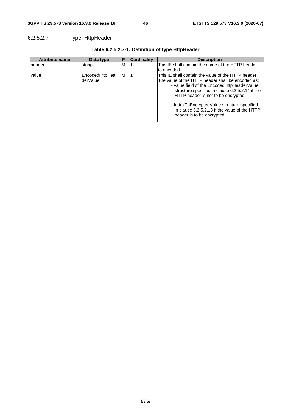## 6.2.5.2.7 Type: HttpHeader

| Data type                  | Р | <b>Description</b>                                                                                                                                                                                                                                                                                                                                                              |
|----------------------------|---|---------------------------------------------------------------------------------------------------------------------------------------------------------------------------------------------------------------------------------------------------------------------------------------------------------------------------------------------------------------------------------|
| string                     | м | This IE shall contain the name of the HTTP header                                                                                                                                                                                                                                                                                                                               |
|                            |   | lto encoded.                                                                                                                                                                                                                                                                                                                                                                    |
| EncodedHttpHea<br>derValue | м | This IE shall contain the value of the HTTP header.<br>The value of the HTTP header shall be encoded as:<br>- value field of the EncodedHttpHeaderValue<br>structure specified in clause 6.2.5.2.14 if the<br>HTTP header is not to be encrypted.<br>- IndexToEncryptedValue structure specified<br>in clause 6.2.5.2.13 if the value of the HTTP<br>header is to be encrypted. |
|                            |   | <b>Cardinality</b>                                                                                                                                                                                                                                                                                                                                                              |

## **Table 6.2.5.2.7-1: Definition of type HttpHeader**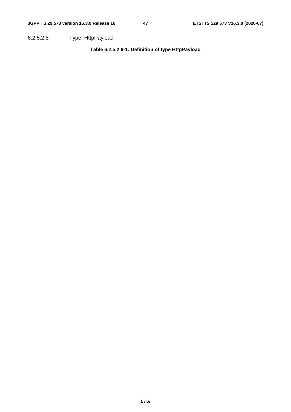6.2.5.2.8 Type: HttpPayload

**Table 6.2.5.2.8-1: Definition of type HttpPayload**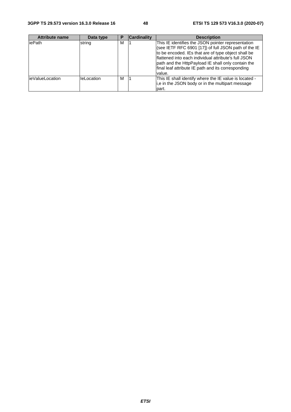| <b>Attribute name</b> | Data type         | р | <b>Cardinality</b> | <b>Description</b>                                                                                                                                                                                                                                                                                                                               |
|-----------------------|-------------------|---|--------------------|--------------------------------------------------------------------------------------------------------------------------------------------------------------------------------------------------------------------------------------------------------------------------------------------------------------------------------------------------|
| liePath               | string            | M |                    | This IE identifies the JSON pointer representation<br>(see IETF RFC 6901 [17]) of full JSON path of the IE<br>to be encoded. IEs that are of type object shall be<br>Iflattened into each individual attribute's full JSON<br>path and the HttpPayload IE shall only contain the<br>final leaf attribute IE path and its corresponding<br>value. |
| lieValueLocation      | <b>IeLocation</b> | м |                    | This IE shall identify where the IE value is located -<br>i,e in the JSON body or in the multipart message<br>part.                                                                                                                                                                                                                              |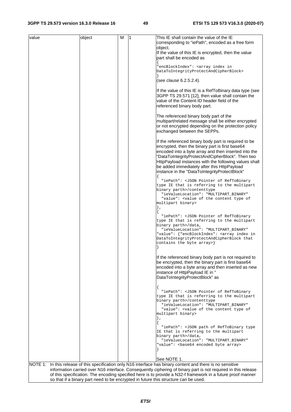#### **3GPP TS 29.573 version 16.3.0 Release 16 49 ETSI TS 129 573 V16.3.0 (2020-07)**

| value | object | м<br>11 | This IE shall contain the value of the IE<br>corresponding to "iePath", encoded as a free form                                                                                                                                                                                                                                                                               |
|-------|--------|---------|------------------------------------------------------------------------------------------------------------------------------------------------------------------------------------------------------------------------------------------------------------------------------------------------------------------------------------------------------------------------------|
|       |        |         | object.<br>If the value of this IE is encrypted, then the value<br>part shall be encoded as                                                                                                                                                                                                                                                                                  |
|       |        |         | "encBlockIndex": <array in<br="" index="">DataToIntegrityProtectAndCipherBlock&gt;</array>                                                                                                                                                                                                                                                                                   |
|       |        |         | (see clause 6.2.5.2.4).                                                                                                                                                                                                                                                                                                                                                      |
|       |        |         | If the value of this IE is a RefToBinary data type (see<br>3GPP TS 29.571 [12], then value shall contain the<br>value of the Content-ID header field of the<br>referenced binary body part.                                                                                                                                                                                  |
|       |        |         | The referenced binary body part of the<br>multipart/related message shall be either encrypted<br>or not encrypted depending on the protection policy<br>exchanged between the SEPPs.                                                                                                                                                                                         |
|       |        |         | If the referenced binary body part is required to be<br>encrypted, then the binary part is first base64<br>encoded into a byte array and then inserted into the<br>"DataToIntegrityProtectAndCipherBlock". Then two<br>HttpPayload instances with the following values shall<br>be added immediately after this HttpPayload<br>instance in the "DataToIntegrityProtectBlock" |
|       |        |         | $\mathcal{L}$<br>"iePath": <json of="" pointer="" reftobinary<br="">type IE that is referring to the multipart<br/>binary parth&gt;/contenttype<br/>"ieValueLocation": "MULTIPART_BINARY"<br/>"value": <value content="" of="" of<br="" the="" type="">multipart binary&gt;<br/><math>\}</math>,</value></json>                                                              |
|       |        |         | "iePath": <json of="" pointer="" reftobinary<br="">type IE that is referring to the multipart<br/>binary parth&gt;/data,<br/>"ieValueLocation": "MULTIPART BINARY"<br/>"value": {"encBlockIndex": <array in<br="" index="">DataToIntegrityProtectAndCipherBlock that<br/>contains the byte array&gt;}</array></json>                                                         |
|       |        |         | If the referenced binary body part is not required to<br>be encrypted, then the binary part is first base64<br>encoded into a byte array and then inserted as new<br>instance of HttpPayload IE in "<br>DataToIntegrityProtectBlock" as                                                                                                                                      |
|       |        |         | "iePath": <json of="" pointer="" reftobinary<br="">type IE that is referring to the multipart<br/>binary parth&gt;/contenttype<br/>"ieValueLocation": "MULTIPART_BINARY"<br/>"value": <value content="" of="" of<br="" the="" type="">multipart binary&gt;<br/><math>\}</math>,</value></json>                                                                               |
|       |        |         | "iePath": <json of="" path="" reftobinary="" type<br="">IE that is referring to the multipart<br/>binary parth&gt;/data,<br/>"ieValueLocation": "MULTIPART_BINARY"<br/>"value": &lt; base64 encoded byte array&gt;</json>                                                                                                                                                    |
|       |        |         | See NOTE 1.                                                                                                                                                                                                                                                                                                                                                                  |
|       |        |         | NOTE 1: In this release of this specification only N16 interface has binary content and there is no sensitive<br>information carried over N16 interface. Consequently ciphering of binary part is not required in this release                                                                                                                                               |
|       |        |         | of this specification. The encoding specified here is to provide a N32-f framework in a future proof manner<br>so that if a binary part need to be encrypted in future this structure can be used.                                                                                                                                                                           |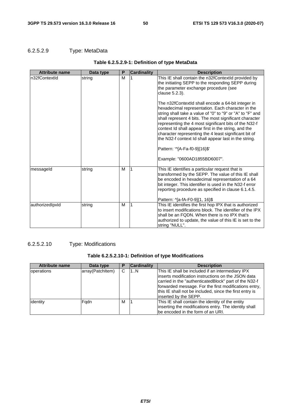## 6.2.5.2.9 Type: MetaData

| <b>Attribute name</b> | Data type | P | <b>Cardinality</b> | <b>Description</b>                                                                                                                                                                                                                                                                                                                                                                                                                                                |
|-----------------------|-----------|---|--------------------|-------------------------------------------------------------------------------------------------------------------------------------------------------------------------------------------------------------------------------------------------------------------------------------------------------------------------------------------------------------------------------------------------------------------------------------------------------------------|
| n32fContextId         | string    | M |                    | This IE shall contain the n32fContextId provided by<br>the initiating SEPP to the responding SEPP during<br>the parameter exchange procedure (see<br>clause 5.2.3).                                                                                                                                                                                                                                                                                               |
|                       |           |   |                    | The n32fContextId shall encode a 64-bit integer in<br>hexadecimal representation. Each character in the<br>string shall take a value of "0" to "9" or "A" to "F" and<br>shall represent 4 bits. The most significant character<br>representing the 4 most significant bits of the N32-f<br>context Id shall appear first in the string, and the<br>character representing the 4 least significant bit of<br>the N32-f context Id shall appear last in the string. |
|                       |           |   |                    | Pattern: '^[A-Fa-f0-9]{16}\$'                                                                                                                                                                                                                                                                                                                                                                                                                                     |
|                       |           |   |                    | Example: "0600AD1855BD6007".                                                                                                                                                                                                                                                                                                                                                                                                                                      |
| messageId             | string    | M |                    | This IE identifies a particular request that is<br>transformed by the SEPP. The value of this IE shall<br>be encoded in hexadecimal representation of a 64<br>bit integer. This identifier is used in the N32-f error<br>reporting procedure as specified in clause 6.1.4.5.                                                                                                                                                                                      |
|                       |           |   |                    | Pattern: ^[a-fA-F0-9]{1, 16}\$                                                                                                                                                                                                                                                                                                                                                                                                                                    |
| authorizedlpxld       | string    | м |                    | This IE identifies the first hop IPX that is authorized<br>to insert modifications block. The identifier of the IPX<br>shall be an FQDN. When there is no IPX that's<br>authorized to update, the value of this IE is set to the<br>string "NULL".                                                                                                                                                                                                                |

#### **Table 6.2.5.2.9-1: Definition of type MetaData**

## 6.2.5.2.10 Type: Modifications

#### **Table 6.2.5.2.10-1: Definition of type Modifications**

| <b>Attribute name</b> | Data type        | D  | <b>Cardinality</b> | <b>Description</b>                                      |
|-----------------------|------------------|----|--------------------|---------------------------------------------------------|
| <b>operations</b>     | array(PatchItem) | C. | 1N                 | This IE shall be included if an intermediary IPX        |
|                       |                  |    |                    | linserts modification instructions on the JSON data     |
|                       |                  |    |                    | carried in the "authenticatedBlock" part of the N32-f   |
|                       |                  |    |                    | forwarded message. For the first modifications entry,   |
|                       |                  |    |                    | this IE shall not be included, since the first entry is |
|                       |                  |    |                    | inserted by the SEPP.                                   |
| identity              | Fadn             | м  |                    | This IE shall contain the identity of the entity        |
|                       |                  |    |                    | inserting the modifications entry. The identity shall   |
|                       |                  |    |                    | be encoded in the form of an URI.                       |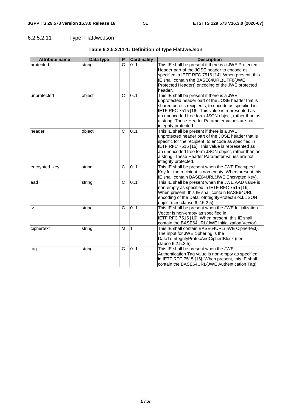## 6.2.5.2.11 Type: FlatJweJson

| <b>Attribute name</b> | Data type | P                     | <b>Cardinality</b> | <b>Description</b>                                                                                                                                                                                                                                                                                                                             |
|-----------------------|-----------|-----------------------|--------------------|------------------------------------------------------------------------------------------------------------------------------------------------------------------------------------------------------------------------------------------------------------------------------------------------------------------------------------------------|
| protected             | string    | $\overline{\text{c}}$ | 0.1                | This IE shall be present if there is a JWE Protected<br>Header part of the JOSE header to encode as<br>specified in IETF RFC 7516 [14]. When present, this<br>IE shall contain the BASE64URL(UTF8(JWE<br>Protected Header)) encoding of the JWE protected<br>header.                                                                           |
| unprotected           | object    | C                     | 0.1                | This IE shall be present if there is a JWE<br>unprotected header part of the JOSE header that is<br>shared across recipients, to encode as specified in<br>IETF RFC 7515 [16]. This value is represented as<br>an unencoded free form JSON object, rather than as<br>a string. These Header Parameter values are not<br>integrity protected.   |
| header                | object    | $\mathsf{C}$          | 0.1                | This IE shall be present if there is a JWE<br>unprotected header part of the JOSE header that is<br>specific for the recipient, to encode as specified in<br>IETF RFC 7515 [16]. This value is represented as<br>an unencoded free form JSON object, rather than as<br>a string. These Header Parameter values are not<br>integrity protected. |
| encrypted_key         | string    | C                     | 0.1                | This IE shall be present when the JWE Encrypted<br>Key for the recipient is non empty. When present this<br>IE shall contain BASE64URL(JWE Encrypted Key).                                                                                                                                                                                     |
| aad                   | string    | $\mathsf{C}$          | 0.1                | This IE shall be present when the JWE AAD value is<br>non-empty as specified in IETF RFC 7515 [16].<br>When present, this IE shall contain BASE64URL<br>encoding of the DataToIntegrityProtectBlock JSON<br>object (see clause 6.2.5.2.5).                                                                                                     |
| iv                    | string    | C                     | 0.1                | This IE shall be present when the JWE Initialization<br>Vector is non-empty as specified in<br>IETF RFC 7515 [16]. When present, this IE shall<br>contain the BASE64URL(JWE Initialization Vector).                                                                                                                                            |
| ciphertext            | string    | M                     | $\overline{1}$     | This IE shall contain BASE64URL(JWE Ciphertext).<br>The input for JWE ciphering is the<br>DataToIntegrityProtecAndCiphertBlock (see<br>clause 6.2.5.2.5).                                                                                                                                                                                      |
| tag                   | string    | C                     | 0.1                | This IE shall be present when the JWE<br>Authentication Tag value is non-empty as specified<br>in IETF RFC 7515 [16]. When present, this IE shall<br>contain the BASE64URL(JWE Authentication Tag).                                                                                                                                            |

| Table 6.2.5.2.11-1: Definition of type FlatJweJson |  |  |  |
|----------------------------------------------------|--|--|--|
|----------------------------------------------------|--|--|--|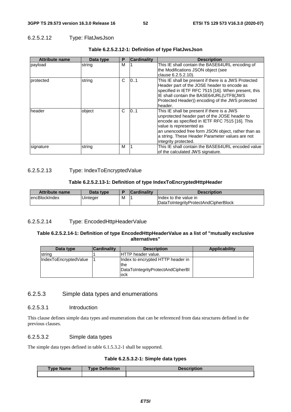#### 6.2.5.2.12 Type: FlatJwsJson

| <b>Attribute name</b> | Data type | P | <b>Cardinality</b> | <b>Description</b>                                                                                                                                                                                                                                                                                         |
|-----------------------|-----------|---|--------------------|------------------------------------------------------------------------------------------------------------------------------------------------------------------------------------------------------------------------------------------------------------------------------------------------------------|
| payload               | string    | м |                    | This IE shall contain the BASE64URL encoding of<br>the Modifications JSON object (see<br>clause 6.2.5.2.10).                                                                                                                                                                                               |
| protected             | string    | C | 101                | This IE shall be present if there is a JWS Protected<br>Header part of the JOSE header to encode as<br>specified in IETF RFC 7515 [16]. When present, this<br>IE shall contain the BASE64URL(UTF8(JWS<br>Protected Header)) encoding of the JWS protected<br>header.                                       |
| header                | object    | C | 0.1                | This IE shall be present if there is a JWS<br>unprotected header part of the JOSE header to<br>encode as specified in IETF RFC 7515 [16]. This<br>value is represented as<br>an unencoded free form JSON object, rather than as<br>a string. These Header Parameter values are not<br>integrity protected. |
| signature             | string    | м |                    | This IE shall contain the BASE64URL encoded value<br>of the calculated JWS signature.                                                                                                                                                                                                                      |

#### **Table 6.2.5.2.12-1: Definition of type FlatJwsJson**

#### 6.2.5.2.13 Type: IndexToEncryptedValue

#### **Table 6.2.5.2.13-1: Definition of type IndexToEncryptedHttpHeader**

| <b>Attribute name</b> | Data type |   | <b>Cardinality</b> | Description                          |
|-----------------------|-----------|---|--------------------|--------------------------------------|
| lencBlockIndex        | Uinteger  | М |                    | IIndex to the value in               |
|                       |           |   |                    | DataToIntegrityProtectAndCipherBlock |

#### 6.2.5.2.14 Type: EncodedHttpHeaderValue

#### **Table 6.2.5.2.14-1: Definition of type EncodedHttpHeaderValue as a list of "mutually exclusive alternatives"**

| Data type             | <b>Cardinality</b> | <b>Description</b>                                                                     | <b>Applicability</b> |
|-----------------------|--------------------|----------------------------------------------------------------------------------------|----------------------|
| Istrina               |                    | <b>IHTTP</b> header value.                                                             |                      |
| IndexToEncryptedValue |                    | Index to encrypted HTTP header in<br>lthe<br> DataToIntegrityProtectAndCipherBI<br>ock |                      |

#### 6.2.5.3 Simple data types and enumerations

#### 6.2.5.3.1 Introduction

This clause defines simple data types and enumerations that can be referenced from data structures defined in the previous clauses.

#### 6.2.5.3.2 Simple data types

The simple data types defined in table 6.1.5.3.2-1 shall be supported.

#### **Table 6.2.5.3.2-1: Simple data types**

| Type Name | <u>ה</u> finition<br>vne: | <b>Daaarima</b><br><b>Description</b> |
|-----------|---------------------------|---------------------------------------|
|           |                           |                                       |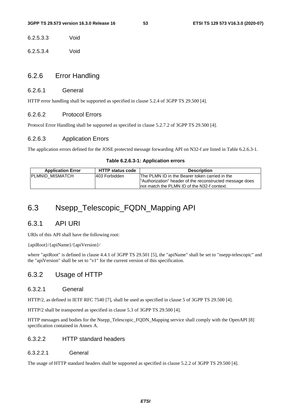6.2.5.3.3 Void

6.2.5.3.4 Void

## 6.2.6 Error Handling

#### 6.2.6.1 General

HTTP error handling shall be supported as specified in clause 5.2.4 of 3GPP TS 29.500 [4].

### 6.2.6.2 Protocol Errors

Protocol Error Handling shall be supported as specified in clause 5.2.7.2 of 3GPP TS 29.500 [4].

### 6.2.6.3 Application Errors

The application errors defined for the JOSE protected message forwarding API on N32-f are listed in Table 6.2.6.3-1.

#### **Table 6.2.6.3-1: Application errors**

| <b>Application Error</b> | <b>HTTP status code</b> | <b>Description</b>                                                                                                                                          |
|--------------------------|-------------------------|-------------------------------------------------------------------------------------------------------------------------------------------------------------|
| PLMNID_MISMATCH          | 403 Forbidden           | IThe PLMN ID in the Bearer token carried in the<br>"Authorization" header of the reconstructed message does<br>Inot match the PLMN ID of the N32-f context. |

# 6.3 Nsepp\_Telescopic\_FQDN\_Mapping API

## 6.3.1 API URI

URIs of this API shall have the following root:

{apiRoot}/{apiName}/{apiVersion}/

where "apiRoot" is defined in clause 4.4.1 of 3GPP TS 29.501 [5], the "apiName" shall be set to "nsepp-telescopic" and the "apiVersion" shall be set to "v1" for the current version of this specification.

## 6.3.2 Usage of HTTP

### 6.3.2.1 General

HTTP/2, as defined in IETF RFC 7540 [7], shall be used as specified in clause 5 of 3GPP TS 29.500 [4].

HTTP/2 shall be transported as specified in clause 5.3 of 3GPP TS 29.500 [4].

HTTP messages and bodies for the Nsepp\_Telescopic\_FQDN\_Mapping service shall comply with the OpenAPI [8] specification contained in Annex A.

### 6.3.2.2 HTTP standard headers

6.3.2.2.1 General

The usage of HTTP standard headers shall be supported as specified in clause 5.2.2 of 3GPP TS 29.500 [4].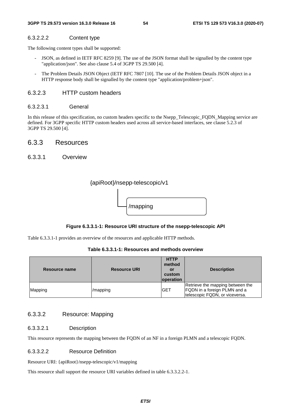#### 6.3.2.2.2 Content type

The following content types shall be supported:

- JSON, as defined in IETF RFC 8259 [9]. The use of the JSON format shall be signalled by the content type "application/json". See also clause 5.4 of 3GPP TS 29.500 [4].
- The Problem Details JSON Object (IETF RFC 7807 [10]. The use of the Problem Details JSON object in a HTTP response body shall be signalled by the content type "application/problem+json".

#### 6.3.2.3 HTTP custom headers

#### 6.3.2.3.1 General

In this release of this specification, no custom headers specific to the Nsepp\_Telescopic\_FQDN\_Mapping service are defined. For 3GPP specific HTTP custom headers used across all service-based interfaces, see clause 5.2.3 of 3GPP TS 29.500 [4].

#### 6.3.3 Resources

6.3.3.1 Overview

#### {apiRoot}/nsepp-telescopic/v1



#### **Figure 6.3.3.1-1: Resource URI structure of the nsepp-telescopic API**

Table 6.3.3.1-1 provides an overview of the resources and applicable HTTP methods.

**Table 6.3.3.1-1: Resources and methods overview** 

| Resource name | <b>Resource URI</b> | <b>HTTP</b><br>method<br>or<br>custom<br>operation | <b>Description</b>                                                                                 |
|---------------|---------------------|----------------------------------------------------|----------------------------------------------------------------------------------------------------|
| Mapping       | /mapping            | <b>IGET</b>                                        | Retrieve the mapping between the<br>FQDN in a foreign PLMN and a<br>telescopic FQDN, or viceversa. |

### 6.3.3.2 Resource: Mapping

#### 6.3.3.2.1 Description

This resource represents the mapping between the FQDN of an NF in a foreign PLMN and a telescopic FQDN.

#### 6.3.3.2.2 Resource Definition

Resource URI: {apiRoot}/nsepp-telescopic/v1/mapping

This resource shall support the resource URI variables defined in table 6.3.3.2.2-1.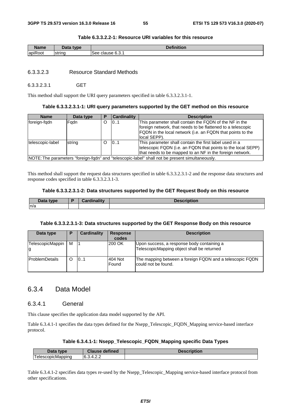| Table 6.3.3.2.2-1: Resource URI variables for this resource |  |  |  |
|-------------------------------------------------------------|--|--|--|
|-------------------------------------------------------------|--|--|--|

| Name                       | )ata type | D <sub>0</sub><br>and an East College<br>-----<br>ншиоп. |
|----------------------------|-----------|----------------------------------------------------------|
| $\cdot$ $\sim$<br>lapiRoot | Istrina   | $\sim$<br>clause<br>ISee<br>0.J.I                        |

#### 6.3.3.2.3 Resource Standard Methods

#### 6.3.3.2.3.1 GET

This method shall support the URI query parameters specified in table 6.3.3.2.3.1-1.

#### **Table 6.3.3.2.3.1-1: URI query parameters supported by the GET method on this resource**

| <b>Name</b>      | Data type                                                                                       | D | <b>Cardinality</b> | <b>Description</b>                                                                                                                                                                                          |
|------------------|-------------------------------------------------------------------------------------------------|---|--------------------|-------------------------------------------------------------------------------------------------------------------------------------------------------------------------------------------------------------|
| foreign-fgdn     | Fadn                                                                                            | Ω | 0.1                | This parameter shall contain the FQDN of the NF in the<br>foreign network, that needs to be flattened to a telescopic<br><b>FQDN</b> in the local network (i.e. an FQDN that points to the<br>llocal SEPP). |
| telescopic-label | string                                                                                          | Ω | 0.1                | This parameter shall contain the first label used in a<br>telescopic FQDN (i.e. an FQDN that points to the local SEPP)<br>that needs to be mapped to an NF in the foreign network.                          |
|                  | NOTE: The parameters "foreign-fgdn" and "telescopic-label" shall not be present simultaneously. |   |                    |                                                                                                                                                                                                             |

This method shall support the request data structures specified in table 6.3.3.2.3.1-2 and the response data structures and response codes specified in table 6.3.3.2.3.1-3.

#### **Table 6.3.3.2.3.1-2: Data structures supported by the GET Request Body on this resource**

| <b>Pata type</b> | Orașe a Berna III de la I<br>$\sim$ | <b>Docorintion</b><br>поп |
|------------------|-------------------------------------|---------------------------|
| n/a              |                                     |                           |

#### **Table 6.3.3.2.3.1-3: Data structures supported by the GET Response Body on this resource**

| Data type              | Р | Cardinality | <b>Response</b><br>codes | <b>Description</b>                                                                       |
|------------------------|---|-------------|--------------------------|------------------------------------------------------------------------------------------|
| TelescopicMappin<br>Ig | м |             | 200 OK                   | Upon success, a response body containing a<br>TelescopicMapping object shall be returned |
| <b>ProblemDetails</b>  |   | 01          | 404 Not<br>Found         | The mapping between a foreign FQDN and a telescopic FQDN<br>could not be found.          |

## 6.3.4 Data Model

#### 6.3.4.1 General

This clause specifies the application data model supported by the API.

Table 6.3.4.1-1 specifies the data types defined for the Nsepp\_Telescopic\_FQDN\_Mapping service-based interface protocol.

|--|--|--|--|--|--|--|--|

| Data<br>type                           | <b>Clause</b><br>defined                                | otion |
|----------------------------------------|---------------------------------------------------------|-------|
| ıт<br>onino<br>nicManr<br>AIAS<br>4500 | $\sim$ $\sim$<br><b>.</b> 6<br>$\sqrt{ }$<br>. <i>.</i> |       |

Table 6.3.4.1-2 specifies data types re-used by the Nsepp\_Telescopic\_Mapping service-based interface protocol from other specifications.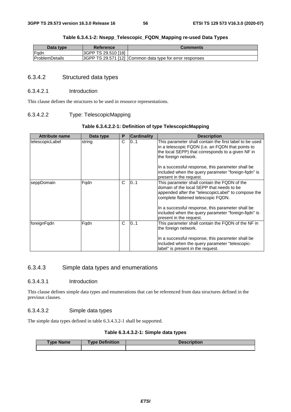| Data type       | <b>Reference</b>     | Comments                                                 |
|-----------------|----------------------|----------------------------------------------------------|
| Fqdn            | I3GPP TS 29.510 [18] |                                                          |
| lProblemDetails |                      | 3GPP TS 29.571 [12] Common data type for error responses |

## 6.3.4.2 Structured data types

#### 6.3.4.2.1 Introduction

This clause defines the structures to be used in resource representations.

#### 6.3.4.2.2 Type: TelescopicMapping

#### **Table 6.3.4.2.2-1: Definition of type TelescopicMapping**

| <b>Attribute name</b> | Data type | Ρ | <b>Cardinality</b> | <b>Description</b>                                                                                                                                                                                                                                                                                                             |
|-----------------------|-----------|---|--------------------|--------------------------------------------------------------------------------------------------------------------------------------------------------------------------------------------------------------------------------------------------------------------------------------------------------------------------------|
| telescopicLabel       | string    | C | 01                 | This parameter shall contain the first label to be used<br>in a telescopic FQDN (i.e. an FQDN that points to<br>the local SEPP) that corresponds to a given NF in<br>the foreign network.<br>In a successful response, this parameter shall be<br>included when the query parameter "foreign-fqdn" is                          |
|                       |           |   |                    | present in the request.                                                                                                                                                                                                                                                                                                        |
| seppDomain            | Fqdn      | C | 101                | This parameter shall contain the FQDN of the<br>domain of the local SEPP that needs to be<br>appended after the "telescopicLabel" to compose the<br>complete flattened telescopic FQDN.<br>In a successful response, this parameter shall be<br>included when the query parameter "foreign-fqdn" is<br>present in the request. |
| foreignFqdn           | Fqdn      | C | 0.1                | This parameter shall contain the FQDN of the NF in<br>the foreign network.<br>In a successful response, this parameter shall be<br>included when the query parameter "telescopic-<br>label" is present in the request.                                                                                                         |

## 6.3.4.3 Simple data types and enumerations

#### 6.3.4.3.1 Introduction

This clause defines simple data types and enumerations that can be referenced from data structures defined in the previous clauses.

#### 6.3.4.3.2 Simple data types

The simple data types defined in table 6.3.4.3.2-1 shall be supported.

## **Table 6.3.4.3.2-1: Simple data types**

| Type Name | <b>Type Definition</b> | <b>Description</b> |
|-----------|------------------------|--------------------|
|           |                        |                    |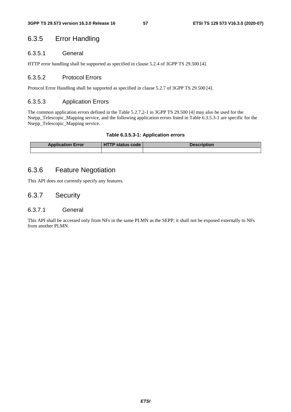## 6.3.5 Error Handling

### 6.3.5.1 General

HTTP error handling shall be supported as specified in clause 5.2.4 of 3GPP TS 29.500 [4].

#### 6.3.5.2 Protocol Errors

Protocol Error Handling shall be supported as specified in clause 5.2.7 of 3GPP TS 29.500 [4].

### 6.3.5.3 Application Errors

The common application errors defined in the Table 5.2.7.2-1 in 3GPP TS 29.500 [4] may also be used for the Nsepp Telescopic Mapping service, and the following application errors listed in Table 6.3.5.3-1 are specific for the Nsepp\_Telescopic\_Mapping service.

#### **Table 6.3.5.3-1: Application errors**

| <b>Application Error</b> | <b>HTTP status code</b> | <b>Description</b> |
|--------------------------|-------------------------|--------------------|
|                          |                         |                    |

## 6.3.6 Feature Negotiation

This API does not currently specify any features.

### 6.3.7 Security

#### 6.3.7.1 General

This API shall be accessed only from NFs in the same PLMN as the SEPP; it shall not be exposed externally to NFs from another PLMN.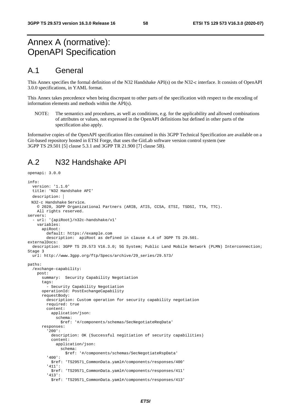# Annex A (normative): OpenAPI Specification

## A.1 General

This Annex specifies the formal definition of the N32 Handshake API(s) on the N32-c interface. It consists of OpenAPI 3.0.0 specifications, in YAML format.

This Annex takes precedence when being discrepant to other parts of the specification with respect to the encoding of information elements and methods within the API(s).

NOTE: The semantics and procedures, as well as conditions, e.g. for the applicability and allowed combinations of attributes or values, not expressed in the OpenAPI definitions but defined in other parts of the specification also apply.

Informative copies of the OpenAPI specification files contained in this 3GPP Technical Specification are available on a Git-based repository hosted in ETSI Forge, that uses the GitLab software version control system (see 3GPP TS 29.501 [5] clause 5.3.1 and 3GPP TR 21.900 [7] clause 5B).

## A.2 N32 Handshake API

```
openapi: 3.0.0 
info: 
   version: '1.1.0' 
   title: 'N32 Handshake API' 
   description: | 
  N32-c Handshake Service. © 2020, 3GPP Organizational Partners (ARIB, ATIS, CCSA, ETSI, TSDSI, TTA, TTC). 
    All rights reserved.
servers: 
   - url: '{apiRoot}/n32c-handshake/v1' 
     variables: 
       apiRoot: 
         default: https://example.com 
         description: apiRoot as defined in clause 4.4 of 3GPP TS 29.501. 
externalDocs: 
   description: 3GPP TS 29.573 V16.3.0; 5G System; Public Land Mobile Network (PLMN) Interconnection; 
Stage 3
   url: http://www.3gpp.org/ftp/Specs/archive/29_series/29.573/ 
paths: 
   /exchange-capability: 
     post: 
       summary: Security Capability Negotiation 
       tags: 
          - Security Capability Negotiation 
       operationId: PostExchangeCapability 
       requestBody: 
         description: Custom operation for security capability negotiation 
         required: true 
         content: 
           application/json: 
              schema: 
                $ref: '#/components/schemas/SecNegotiateReqData' 
       responses: 
          '200': 
           description: OK (Successful negitiation of security capabilities) 
           content: 
              application/json: 
                schema: 
                  $ref: '#/components/schemas/SecNegotiateRspData' 
          '400': 
           $ref: 'TS29571_CommonData.yaml#/components/responses/400' 
          '411': 
           $ref: 'TS29571_CommonData.yaml#/components/responses/411' 
          '413': 
           $ref: 'TS29571_CommonData.yaml#/components/responses/413'
```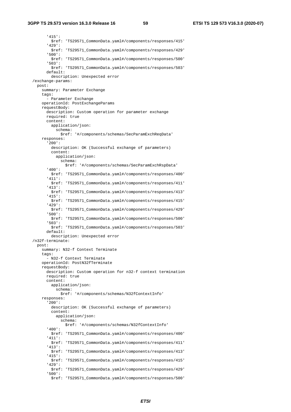'415': \$ref: 'TS29571\_CommonData.yaml#/components/responses/415' '429': \$ref: 'TS29571\_CommonData.yaml#/components/responses/429' '500': \$ref: 'TS29571\_CommonData.yaml#/components/responses/500' '503': \$ref: 'TS29571\_CommonData.yaml#/components/responses/503' default: description: Unexpected error /exchange-params: post: summary: Parameter Exchange tags: - Parameter Exchange operationId: PostExchangeParams requestBody: description: Custom operation for parameter exchange required: true content: application/json: schema: \$ref: '#/components/schemas/SecParamExchReqData' responses: '200': description: OK (Successful exchange of parameters) content: application/json: schema: \$ref: '#/components/schemas/SecParamExchRspData' '400': \$ref: 'TS29571\_CommonData.yaml#/components/responses/400' '411': \$ref: 'TS29571\_CommonData.yaml#/components/responses/411' '413': \$ref: 'TS29571\_CommonData.yaml#/components/responses/413' '415': \$ref: 'TS29571\_CommonData.yaml#/components/responses/415' '429': \$ref: 'TS29571\_CommonData.yaml#/components/responses/429' '500': \$ref: 'TS29571\_CommonData.yaml#/components/responses/500' '503': \$ref: 'TS29571\_CommonData.yaml#/components/responses/503' default: description: Unexpected error /n32f-terminate: post: summary: N32-f Context Terminate tags: - N32-f Context Terminate operationId: PostN32fTerminate requestBody: description: Custom operation for n32-f context termination required: true content: application/json: schema: \$ref: '#/components/schemas/N32fContextInfo' responses: '200': description: OK (Successful exchange of parameters) content: application/json: schema: \$ref: '#/components/schemas/N32fContextInfo' '400': \$ref: 'TS29571\_CommonData.yaml#/components/responses/400' '411': \$ref: 'TS29571\_CommonData.yaml#/components/responses/411' '413': \$ref: 'TS29571\_CommonData.yaml#/components/responses/413' '415': \$ref: 'TS29571\_CommonData.yaml#/components/responses/415' '429': \$ref: 'TS29571\_CommonData.yaml#/components/responses/429' '500': \$ref: 'TS29571\_CommonData.yaml#/components/responses/500'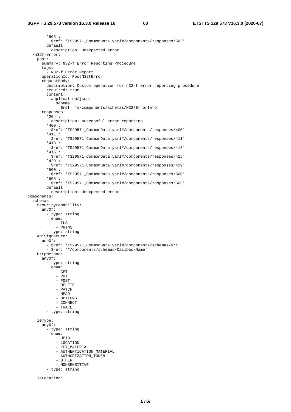'503': \$ref: 'TS29571\_CommonData.yaml#/components/responses/503' default: description: Unexpected error /n32f-error: post: summary: N32-f Error Reporting Procedure tags: - N32-f Error Report operationId: PostN32fError requestBody: description: Custom operation for n32-f error reporting procedure required: true content: application/json: schema: \$ref: '#/components/schemas/N32fErrorInfo' responses: '204': description: successful error reporting '400': \$ref: 'TS29571\_CommonData.yaml#/components/responses/400' '411': \$ref: 'TS29571\_CommonData.yaml#/components/responses/411' '413': \$ref: 'TS29571\_CommonData.yaml#/components/responses/413' '415': \$ref: 'TS29571\_CommonData.yaml#/components/responses/415' '429': \$ref: 'TS29571\_CommonData.yaml#/components/responses/429' '500': \$ref: 'TS29571\_CommonData.yaml#/components/responses/500' '503': \$ref: 'TS29571\_CommonData.yaml#/components/responses/503' default: description: Unexpected error components: schemas: SecurityCapability: anyOf: - type: string enum: - TLS - PRINS - type: string ApiSignature: oneOf: - \$ref: 'TS29571\_CommonData.yaml#/components/schemas/Uri' - \$ref: '#/components/schemas/CallbackName' HttpMethod: anyOf: - type: string enum: - GET - PUT - POST  $-$  DELETE - PATCH - HEAD - OPTIONS - CONNECT - TRACE - type: string IeType: anyOf: - type: string enum: - UEID - LOCATION - KEY\_MATERIAL - AUTHENTICATION\_MATERIAL - AUTHORIZATION\_TOKEN - OTHER - NONSENSITIVE - type: string IeLocation: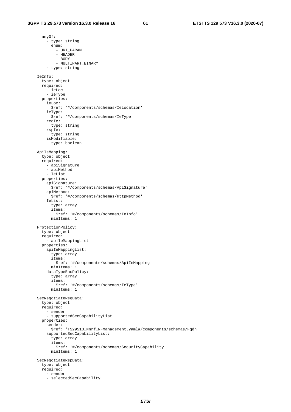anyOf: - type: string enum: - URI\_PARAM - HEADER - BODY - MULTIPART\_BINARY - type: string IeInfo: type: object required: - ieLoc - ieType properties: ieLoc: \$ref: '#/components/schemas/IeLocation' ieType: \$ref: '#/components/schemas/IeType' reqIe: type: string rspIe: type: string isModifiable: type: boolean ApiIeMapping: type: object required: - apiSignature - apiMethod - IeList properties: apiSignature: \$ref: '#/components/schemas/ApiSignature' apiMethod: \$ref: '#/components/schemas/HttpMethod' IeList: type: array items: \$ref: '#/components/schemas/IeInfo' minItems: 1 ProtectionPolicy: type: object required: - apiIeMappingList properties: apiIeMappingList: type: array items: \$ref: '#/components/schemas/ApiIeMapping' minItems: 1 dataTypeEncPolicy: type: array items: \$ref: '#/components/schemas/IeType' minItems: 1 SecNegotiateReqData: type: object required: - sender - supportedSecCapabilityList properties: sender: \$ref: 'TS29510\_Nnrf\_NFManagement.yaml#/components/schemas/Fqdn' supportedSecCapabilityList: type: array items: \$ref: '#/components/schemas/SecurityCapability' minItems: 1 SecNegotiateRspData: type: object required: - sender - selectedSecCapability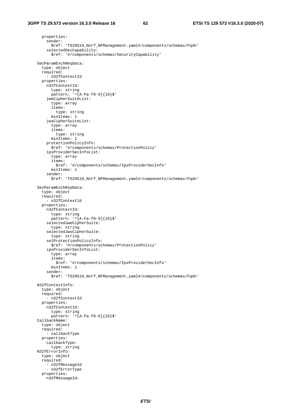properties: sender: \$ref: 'TS29510\_Nnrf\_NFManagement.yaml#/components/schemas/Fqdn' selectedSecCapability: \$ref: '#/components/schemas/SecurityCapability' SecParamExchReqData: type: object required: - n32fContextId properties: n32fContextId: type: string pattern: '^[A-Fa-f0-9]{16}\$' jweCipherSuiteList: type: array items: type: string minItems: 1 jwsCipherSuiteList: type: array items: type: string minItems: 1 protectionPolicyInfo: \$ref: '#/components/schemas/ProtectionPolicy' ipxProviderSecInfoList: type: array items: \$ref: '#/components/schemas/IpxProviderSecInfo' minItems: 1 sender: \$ref: 'TS29510\_Nnrf\_NFManagement.yaml#/components/schemas/Fqdn' SecParamExchRspData: type: object required: - n32fContextId properties: n32fContextId: type: string pattern:  $\sqrt{\text{A-Fa-f0-9}}$ {16}\$' selectedJweCipherSuite: type: string selectedJwsCipherSuite: type: string selProtectionPolicyInfo: \$ref: '#/components/schemas/ProtectionPolicy' ipxProviderSecInfoList: type: array items: \$ref: '#/components/schemas/IpxProviderSecInfo' minItems: 1 sender: \$ref: 'TS29510\_Nnrf\_NFManagement.yaml#/components/schemas/Fqdn' N32fContextInfo: type: object required: - n32fContextId properties: n32fContextId: type: string pattern:  $\sqrt{\text{A-Fa-f0-9}}$ {16}\$' CallbackName: type: object required: - callbackType properties: callbackType: type: string N32fErrorInfo: type: object required: - n32fMessageId - n32fErrorType properties: n32fMessageId: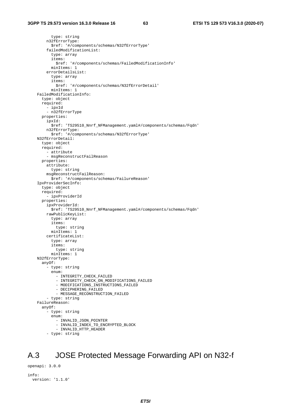type: string n32fErrorType: \$ref: '#/components/schemas/N32fErrorType' failedModificationList: type: array items: \$ref: '#/components/schemas/FailedModificationInfo' minItems: 1 errorDetailsList: type: array items: \$ref: '#/components/schemas/N32fErrorDetail' minItems: 1 FailedModificationInfo: type: object required: - ipxId - n32fErrorType properties: ipxId: .<br>\$ref: 'TS29510\_Nnrf\_NFManagement.yaml#/components/schemas/Fqdn' n32fErrorType: \$ref: '#/components/schemas/N32fErrorType' N32fErrorDetail: type: object required: - attribute - msgReconstructFailReason properties: attribute: type: string msgReconstructFailReason: \$ref: '#/components/schemas/FailureReason' IpxProviderSecInfo: type: object required: - ipxProviderId properties: ipxProviderId: \$ref: 'TS29510\_Nnrf\_NFManagement.yaml#/components/schemas/Fqdn' rawPublicKeyList: type: array items: type: string minItems: 1 certificateList: type: array items: type: string minItems: 1 N32fErrorType: anyOf: - type: string enum: - INTEGRITY\_CHECK\_FAILED - INTEGRITY\_CHECK\_ON\_MODIFICATIONS\_FAILED - MODIFICATIONS\_INSTRUCTIONS\_FAILED - DECIPHERING\_FAILED - MESSAGE\_RECONSTRUCTION\_FAILED - type: string FailureReason: anyOf: - type: string enum: - INVALID\_JSON\_POINTER - INVALID\_INDEX\_TO\_ENCRYPTED\_BLOCK - INVALID\_HTTP\_HEADER - type: string

## A.3 JOSE Protected Message Forwarding API on N32-f

```
openapi: 3.0.0 
info:
```

```
 version: '1.1.0'
```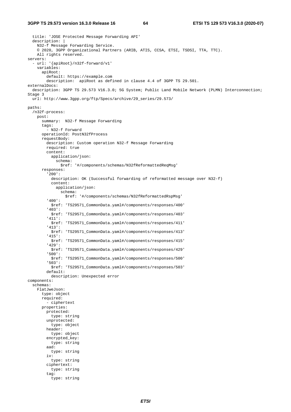**3GPP TS 29.573 version 16.3.0 Release 16 64 ETSI TS 129 573 V16.3.0 (2020-07)**

type: string

 title: 'JOSE Protected Message Forwarding API' description: | N32-f Message Forwarding Service. © 2020, 3GPP Organizational Partners (ARIB, ATIS, CCSA, ETSI, TSDSI, TTA, TTC). All rights reserved. servers: - url: '{apiRoot}/n32f-forward/v1' variables: apiRoot: default: https://example.com description: apiRoot as defined in clause 4.4 of 3GPP TS 29.501. externalDocs: description: 3GPP TS 29.573 V16.3.0; 5G System; Public Land Mobile Network (PLMN) Interconnection; Stage 3 url: http://www.3gpp.org/ftp/Specs/archive/29\_series/29.573/ paths: /n32f-process: post: summary: N32-f Message Forwarding tags: - N32-f Forward operationId: PostN32fProcess requestBody: description: Custom operation N32-f Message Forwarding required: true content: application/json: schema: \$ref: '#/components/schemas/N32fReformattedReqMsg' responses: '200': description: OK (Successful forwarding of reformatted message over N32-f) content: application/json: schema: \$ref: '#/components/schemas/N32fReformattedRspMsg' '400': \$ref: 'TS29571\_CommonData.yaml#/components/responses/400' '403': \$ref: 'TS29571\_CommonData.yaml#/components/responses/403' '411': \$ref: 'TS29571\_CommonData.yaml#/components/responses/411' '413': \$ref: 'TS29571\_CommonData.yaml#/components/responses/413' '415': \$ref: 'TS29571\_CommonData.yaml#/components/responses/415' '429': \$ref: 'TS29571\_CommonData.yaml#/components/responses/429' '500': \$ref: 'TS29571\_CommonData.yaml#/components/responses/500' '503': \$ref: 'TS29571\_CommonData.yaml#/components/responses/503' default: description: Unexpected error components: schemas: FlatJweJson: type: object required: - ciphertext properties: protected: type: string unprotected: type: object header: type: object encrypted\_key: type: string aad: type: string iv: type: string ciphertext: type: string tag: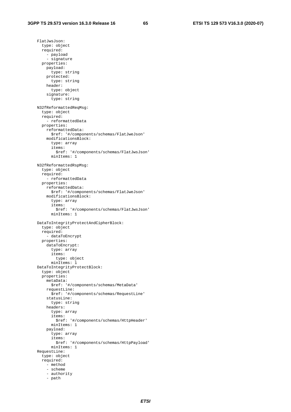FlatJwsJson:

 type: object required: - payload - signature properties: payload: type: string protected: type: string header: type: object signature: type: string N32fReformattedReqMsg: type: object required: - reformattedData properties: reformattedData: \$ref: '#/components/schemas/FlatJweJson' modificationsBlock: type: array items: \$ref: '#/components/schemas/FlatJwsJson' minItems: 1 N32fReformattedRspMsg: type: object required: - reformattedData properties: reformattedData: \$ref: '#/components/schemas/FlatJweJson' modificationsBlock: type: array items: \$ref: '#/components/schemas/FlatJwsJson' minItems: 1 DataToIntegrityProtectAndCipherBlock: type: object required: -<br>- dataToEncrypt properties: dataToEncrypt: type: array items: type: object minItems: 1 DataToIntegrityProtectBlock: type: object properties: metaData: \$ref: '#/components/schemas/MetaData' requestLine: \$ref: '#/components/schemas/RequestLine' statusLine: type: string headers: type: array items: \$ref: '#/components/schemas/HttpHeader' minItems: 1 payload: type: array items: \$ref: '#/components/schemas/HttpPayload' minItems: 1 RequestLine: type: object required: - method - scheme - authority - path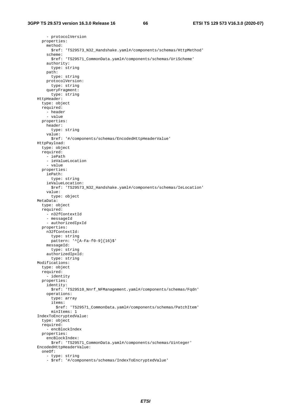- protocolVersion properties: method: \$ref: 'TS29573\_N32\_Handshake.yaml#/components/schemas/HttpMethod' scheme: \$ref: 'TS29571\_CommonData.yaml#/components/schemas/UriScheme' authority: type: string path: type: string protocolVersion: type: string queryFragment: type: string HttpHeader: type: object required: - header - value properties: header: type: string value: \$ref: '#/components/schemas/EncodedHttpHeaderValue' HttpPayload: type: object required: - iePath - ieValueLocation - value properties: iePath: type: string ieValueLocation: \$ref: 'TS29573\_N32\_Handshake.yaml#/components/schemas/IeLocation' value: type: object MetaData: type: object required: - n32fContextId - messageId - authorizedIpxId properties: n32fContextId: type: string  $p$ attern: ' $\sim$ [A-Fa-f0-9]{16}\$' messageId: type: string authorizedIpxId: type: string Modifications: type: object required: - identity properties: identity: \$ref: 'TS29510\_Nnrf\_NFManagement.yaml#/components/schemas/Fqdn' operations: type: array items: \$ref: 'TS29571\_CommonData.yaml#/components/schemas/PatchItem' minItems: 1 IndexToEncryptedValue: type: object required: - encBlockIndex properties: encBlockIndex: \$ref: 'TS29571\_CommonData.yaml#/components/schemas/Uinteger' EncodedHttpHeaderValue: oneOf: - type: string - \$ref: '#/components/schemas/IndexToEncryptedValue'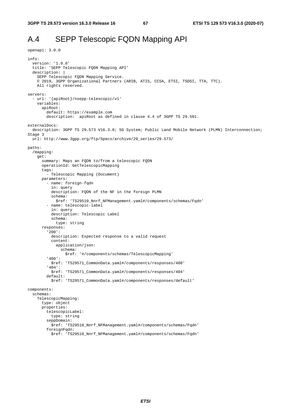# A.4 SEPP Telescopic FQDN Mapping API

```
openapi: 3.0.0 
info: 
   version: '1.0.0' 
   title: 'SEPP Telescopic FQDN Mapping API' 
   description: | 
     SEPP Telescopic FQDN Mapping Service. 
     © 2019, 3GPP Organizational Partners (ARIB, ATIS, CCSA, ETSI, TSDSI, TTA, TTC). 
     All rights reserved. 
servers: 
   - url: '{apiRoot}/nsepp-telescopic/v1' 
    variables: 
       apiRoot: 
         default: https://example.com 
         description: apiRoot as defined in clause 4.4 of 3GPP TS 29.501. 
externalDocs: 
   description: 3GPP TS 29.573 V16.3.0; 5G System; Public Land Mobile Network (PLMN) Interconnection; 
Stage 3
  url: http://www.3qpp.org/ftp/Specs/archive/29_series/29.573/
paths: 
   /mapping: 
     get: 
      summary: Maps an FODN to/from a telescopic FODN
       operationId: GetTelescopicMapping 
       tags: 
         - Telescopic Mapping (Document) 
       parameters: 
         - name: foreign-fqdn 
           in: query 
           description: FQDN of the NF in the foreign PLMN 
           schema: 
              $ref: 'TS29510_Nnrf_NFManagement.yaml#/components/schemas/Fqdn' 
         - name: telescopic-label 
           in: query 
           description: Telescopic Label 
           schema: 
             type: string 
       responses: 
          '200': 
           description: Expected response to a valid request 
           content: 
              application/json: 
                schema: 
                 $ref: '#/components/schemas/TelescopicMapping' 
          '400': 
           $ref: 'TS29571_CommonData.yaml#/components/responses/400' 
          '404': 
           $ref: 'TS29571_CommonData.yaml#/components/responses/404' 
         default: 
           $ref: 'TS29571_CommonData.yaml#/components/responses/default' 
components: 
   schemas: 
     TelescopicMapping: 
       type: object 
       properties: 
         telescopicLabel: 
           type: string 
         seppDomain: 
           $ref: 'TS29510_Nnrf_NFManagement.yaml#/components/schemas/Fqdn' 
         foreignFqdn:
```
\$ref: 'TS29510\_Nnrf\_NFManagement.yaml#/components/schemas/Fqdn'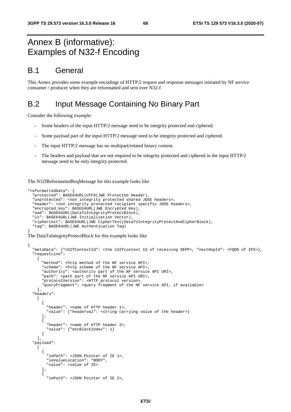# Annex B (informative): Examples of N32-f Encoding

## B.1 General

This Annex provides some example encodings of HTTP/2 request and response messages initiated by NF service consumer / producer when they are reformatted and sent over N32-f

## B.2 Input Message Containing No Binary Part

Consider the following example:

- Some headers of the input HTTP/2 message need to be integrity protected and ciphered.
- Some payload part of the input HTTP/2 message need to be integrity protected and ciphered.
- The input HTTP/2 message has no multipart/related binary content.
- The headers and payload that are not required to be integrity protected and ciphered in the input HTTP/2 message need to be only integrity protected.

The N32fReformattedReqMessage for this example looks like

```
"reformattedData": { 
   "protected": BASE64URL(UTF8(JWE Protected Header), 
  "unprotected": < non integrity protected shared JOSE headers>,
   "header": <non integrity protected recipient specific JOSE headers>, 
   "encrypted_key": BASE64URL(JWE Encrypted Key), 
   "aad": BASE64URL(DataToIntegrityProtectBlock), 
   "iv": BASE64URL(JWE Initialization Vector), 
   "ciphertext": BASE64URL(JWE CipherText(DataToIntegrityProtectAndCipherBlock), 
   "tag": BASE64URL(JWE Authentication Tag) 
} 
The DataToIntegrityProtectBlock for this example looks like 
{ 
   "metaData": {"n32fContextId": <the n32fcontext Id of receiving SEPP>, "nextHopId": <FQDN of IPX>}, 
   "requestLine": 
     { 
       "method": <http method of the NF service API>, 
       "scheme": <http scheme of the NF service API>, 
       "authority": <authority part of the NF service API URI>, 
      "path": <path part of the NF service API URI>,
       "protocolVersion": <HTTP protocol version>, 
       "queryFragment": <query fragment of the NF service API, if available> 
     }, 
   "headers": 
    \Box { 
         "header": < name of HTTP header 1>,
          "value": {"headerval": <string carrying value of the header>} 
       }, 
\left\{\begin{array}{ccc} \end{array}\right\} "header": <name of HTTP header 2>, 
 "value": {"encBlockIndex": 1} 
       } 
     ], 
   "payload": 
    \Gamma { 
          "iePath": <JSON Pointer of IE 1>, 
          "ieValueLocation": "BODY", 
          "value": <value of IE> 
       }, 
\left\{\begin{array}{ccc} \end{array}\right\} "iePath": <JSON Pointer of IE 2>,
```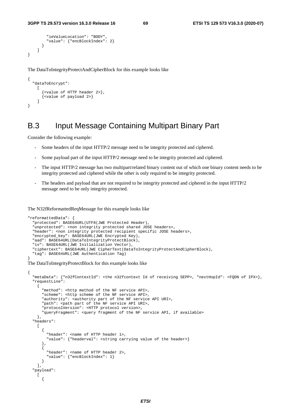```
 "ieValueLocation": "BODY", 
          "value": {"encBlockIndex": 2} 
       } 
     ] 
}
```
The DataToIntegrityProtectAndCipherBlock for this example looks like

```
{ 
   "dataToEncrypt": 
    \Gamma {<value of HTTP header 2>}, 
        {<value of payload 2>} 
     ] 
}
```
## B.3 Input Message Containing Multipart Binary Part

Consider the following example:

- Some headers of the input HTTP/2 message need to be integrity protected and ciphered.
- Some payload part of the input HTTP/2 message need to be integrity protected and ciphered.
- The input HTTP/2 message has two multipart/related binary content out of which one binary content needs to be integrity protected and ciphered while the other is only required to be integrity protected.
- The headers and payload that are not required to be integrity protected and ciphered in the input HTTP/2 message need to be only integrity protected.

The N32fReformattedReqMessage for this example looks like

```
"reformattedData": { 
   "protected": BASE64URL(UTF8(JWE Protected Header), 
   "unprotected": <non integrity protected shared JOSE headers>, 
 "header": <non integrity protected recipient specific JOSE headers>,
   "encrypted_key": BASE64URL(JWE Encrypted Key), 
   "aad": BASE64URL(DataToIntegrityProtectBlock), 
   "iv": BASE64URL(JWE Initialization Vector), 
   "ciphertext": BASE64URL(JWE CipherText(DataToIntegrityProtectAndCipherBlock), 
  "tag": BASE64URL(JWE Authentication Tag) 
}
```
The DataToIntegrityProtectBlock for this example looks like

```
{ 
    "metaData": {"n32fContextId": <the n32fcontext Id of receiving SEPP>, "nextHopId": <FQDN of IPX>}, 
    "requestLine": 
       { 
          "method": <http method of the NF service API>, 
          "scheme": <http scheme of the NF service API>, 
          "authority": <authority part of the NF service API URI>, 
         "path": <path part of the NF service API URI>,
          "protocolVersion": <HTTP protocol version>, 
          "queryFragment": <query fragment of the NF service API, if available> 
       }, 
    "headers": 
      \Gamma { 
            "header": < name of HTTP header 1>,
             "value": {"headerval": <string carrying value of the header>} 
          }, 
\left\{ \begin{array}{ccc} 0 & 0 & 0 \\ 0 & 0 & 0 \\ 0 & 0 & 0 \\ 0 & 0 & 0 \\ 0 & 0 & 0 \\ 0 & 0 & 0 \\ 0 & 0 & 0 \\ 0 & 0 & 0 \\ 0 & 0 & 0 \\ 0 & 0 & 0 \\ 0 & 0 & 0 \\ 0 & 0 & 0 \\ 0 & 0 & 0 \\ 0 & 0 & 0 & 0 \\ 0 & 0 & 0 & 0 \\ 0 & 0 & 0 & 0 \\ 0 & 0 & 0 & 0 \\ 0 & 0 & 0 & 0 & 0 \\ 0 & 0 & 0 & 0 & 0 \\ 0 & 0 & 0 & 0 & 0"header": < name of HTTP header 2>,
             "value": {"encBlockIndex": 1} 
          } 
       ], 
    "payload": 
       [ 
          {
```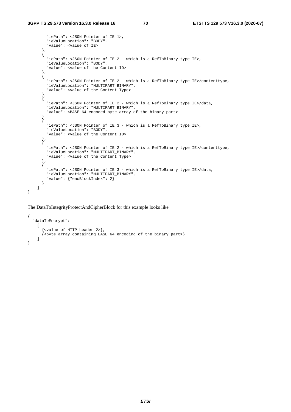```
 "iePath": <JSON Pointer of IE 1>, 
          "ieValueLocation": "BODY", 
          "value": <value of IE> 
        }, 
        { 
          "iePath": <JSON Pointer of IE 2 - which is a RefToBinary type IE>, 
          "ieValueLocation": "BODY", 
          "value": <value of the Content ID> 
        }, 
        { 
          "iePath": <JSON Pointer of IE 2 - which is a RefToBinary type IE>/contenttype, 
          "ieValueLocation": "MULTIPART_BINARY", 
          "value": <value of the Content Type> 
        }, 
\left\{\begin{array}{ccc} \end{array}\right\} "iePath": <JSON Pointer of IE 2 - which is a RefToBinary type IE>/data, 
          "ieValueLocation": "MULTIPART_BINARY", 
          "value": <BASE 64 encoded byte array of the binary part> 
 } 
\left\{\begin{array}{ccc} \end{array}\right\} "iePath": <JSON Pointer of IE 3 - which is a RefToBinary type IE>, 
          "ieValueLocation": "BODY", 
          "value": <value of the Content ID> 
        }, 
\left\{ \begin{array}{ccc} 1 & 1 \\ 1 & 1 \end{array} \right\} "iePath": <JSON Pointer of IE 2 - which is a RefToBinary type IE>/contenttype, 
          "ieValueLocation": "MULTIPART_BINARY", 
          "value": <value of the Content Type> 
        }, 
\left\{ \begin{array}{ccc} 1 & 1 \\ 1 & 1 \end{array} \right\} "iePath": <JSON Pointer of IE 3 - which is a RefToBinary type IE>/data, 
          "ieValueLocation": "MULTIPART_BINARY", 
          "value": {"encBlockIndex": 2} 
       } 
     ]
```
The DataToIntegrityProtectAndCipherBlock for this example looks like

}

```
{ 
   "dataToEncrypt": 
    \lceil {<value of HTTP header 2>}, 
       \cos \theta <br/>the array containing BASE 64 encoding of the binary part>}
      ] 
}
```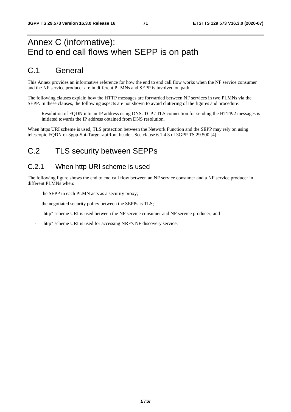# Annex C (informative): End to end call flows when SEPP is on path

## C.1 General

This Annex provides an informative reference for how the end to end call flow works when the NF service consumer and the NF service producer are in different PLMNs and SEPP is involved on path.

The following clauses explain how the HTTP messages are forwarded between NF services in two PLMNs via the SEPP. In these clauses, the following aspects are not shown to avoid cluttering of the figures and procedure:

Resolution of FQDN into an IP address using DNS. TCP / TLS connection for sending the HTTP/2 messages is initiated towards the IP address obtained from DNS resolution.

When https URI scheme is used, TLS protection between the Network Function and the SEPP may rely on using telescopic FQDN or 3gpp-Sbi-Target-apiRoot header. See clause 6.1.4.3 of 3GPP TS 29.500 [4].

## C.2 TLS security between SEPPs

## C.2.1 When http URI scheme is used

The following figure shows the end to end call flow between an NF service consumer and a NF service producer in different PLMNs when:

- the SEPP in each PLMN acts as a security proxy;
- the negotiated security policy between the SEPPs is TLS;
- "http" scheme URI is used between the NF service consumer and NF service producer; and
- "http" scheme URI is used for accessing NRF's NF discovery service.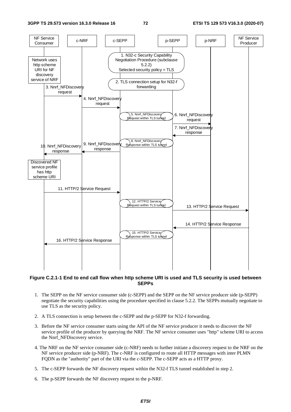

#### **Figure C.2.1-1 End to end call flow when http scheme URI is used and TLS security is used between SEPPs**

- 1. The SEPP on the NF service consumer side (c-SEPP) and the SEPP on the NF service producer side (p-SEPP) negotiate the security capabilities using the procedure specified in clause 5.2.2. The SEPPs mutually negotiate to use TLS as the security policy.
- 2. A TLS connection is setup between the c-SEPP and the p-SEPP for N32-f forwarding.
- 3. Before the NF service consumer starts using the API of the NF service producer it needs to discover the NF service profile of the producer by querying the NRF. The NF service consumer uses "http" scheme URI to access the Nnrf\_NFDiscovery service.
- 4. The NRF on the NF service consumer side (c-NRF) needs to further initiate a discovery request to the NRF on the NF service producer side (p-NRF). The c-NRF is configured to route all HTTP messages with inter PLMN FQDN as the "authority" part of the URI via the c-SEPP. The c-SEPP acts as a HTTP proxy.
- 5. The c-SEPP forwards the NF discovery request within the N32-f TLS tunnel established in step 2.
- 6. The p-SEPP forwards the NF discovery request to the p-NRF.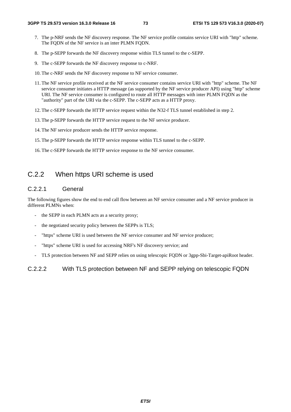- 7. The p-NRF sends the NF discovery response. The NF service profile contains service URI with "http" scheme. The FQDN of the NF service is an inter PLMN FQDN.
- 8. The p-SEPP forwards the NF discovery response within TLS tunnel to the c-SEPP.
- 9. The c-SEPP forwards the NF discovery response to c-NRF.
- 10. The c-NRF sends the NF discovery response to NF service consumer.
- 11. The NF service profile received at the NF service consumer contains service URI with "http" scheme. The NF service consumer initiates a HTTP message (as supported by the NF service producer API) using "http" scheme URI. The NF service consumer is configured to route all HTTP messages with inter PLMN FQDN as the "authority" part of the URI via the c-SEPP. The c-SEPP acts as a HTTP proxy.
- 12. The c-SEPP forwards the HTTP service request within the N32-f TLS tunnel established in step 2.
- 13. The p-SEPP forwards the HTTP service request to the NF service producer.
- 14. The NF service producer sends the HTTP service response.
- 15. The p-SEPP forwards the HTTP service response within TLS tunnel to the c-SEPP.
- 16. The c-SEPP forwards the HTTP service response to the NF service consumer.

## C.2.2 When https URI scheme is used

### C.2.2.1 General

The following figures show the end to end call flow between an NF service consumer and a NF service producer in different PLMNs when:

- the SEPP in each PLMN acts as a security proxy;
- the negotiated security policy between the SEPPs is TLS;
- "https" scheme URI is used between the NF service consumer and NF service producer;
- "https" scheme URI is used for accessing NRF's NF discovery service; and
- TLS protection between NF and SEPP relies on using telescopic FQDN or 3gpp-Sbi-Target-apiRoot header.

### C.2.2.2 With TLS protection between NF and SEPP relying on telescopic FQDN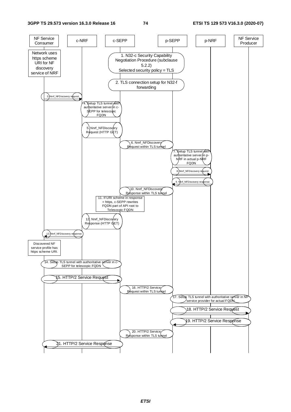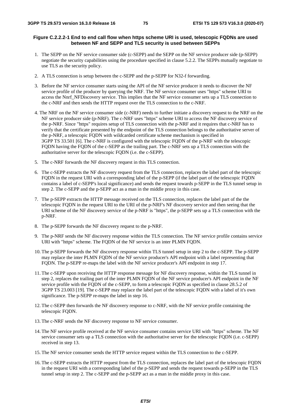#### **Figure C.2.2.2-1 End to end call flow when https scheme URI is used, telescopic FQDNs are used between NF and SEPP and TLS security is used between SEPPs**

- 1. The SEPP on the NF service consumer side (c-SEPP) and the SEPP on the NF service producer side (p-SEPP) negotiate the security capabilities using the procedure specified in clause 5.2.2. The SEPPs mutually negotiate to use TLS as the security policy.
- 2. A TLS connection is setup between the c-SEPP and the p-SEPP for N32-f forwarding.
- 3. Before the NF service consumer starts using the API of the NF service producer it needs to discover the NF service profile of the producer by querying the NRF. The NF service consumer uses "https" scheme URI to access the Nnrf\_NFDiscovery service. This implies that the NF service consumer sets up a TLS connection to the c-NRF and then sends the HTTP request over the TLS connection to the c-NRF.
- 4. The NRF on the NF service consumer side (c-NRF) needs to further initiate a discovery request to the NRF on the NF service producer side (p-NRF). The c-NRF uses "https" scheme URI to access the NF discovery service of the p-NRF. Since "https" requires setup of TLS connection with the p-NRF and it requires that c-NRF has to verify that the certificate presented by the endpoint of the TLS connection belongs to the authoritative server of the p-NRF, a telescopic FQDN with wildcarded certificate scheme mechanism is specified in 3GPP TS 33.501 [6]. The c-NRF is configured with the telescopic FQDN of the p-NRF with the telescopic FQDN having the FQDN of the c-SEPP as the trailing part. The c-NRF sets up a TLS connection with the authoritative server for the telescopic FQDN (i.e. the c-SEPP).
- 5. The c-NRF forwards the NF discovery request in this TLS connection.
- 6. The c-SEPP extracts the NF discovery request from the TLS connection, replaces the label part of the telescopic FQDN in the request URI with a corresponding label of the p-SEPP (if the label part of the telescopic FQDN contains a label of c-SEPP's local significance) and sends the request towards p-SEPP in the TLS tunnel setup in step 2. The c-SEPP and the p-SEPP act as a man in the middle proxy in this case.
- 7. The p-SEPP extracts the HTTP message received on the TLS connection, replaces the label part of the the telescopic FQDN in the request URI to the URI of the p-NRF's NF discovery service and then seeing that the URI scheme of the NF discovery service of the p-NRF is "https", the p-SEPP sets up a TLS connection with the p-NRF.
- 8. The p-SEPP forwards the NF discovery request to the p-NRF.
- 9. The p-NRF sends the NF discovery response within the TLS connection. The NF service profile contains service URI with "https" scheme. The FQDN of the NF service is an inter PLMN FQDN.
- 10. The p-SEPP forwards the NF discovery response within TLS tunnel setup in step 2 to the c-SEPP. The p-SEPP may replace the inter PLMN FQDN of the NF service producer's API endpoint with a label representing that FQDN. The p-SEPP re-maps the label with the NF service producer's API endpoint in step 17.
- 11. The c-SEPP upon receiving the HTTP response message for NF discovery response, within the TLS tunnel in step 2, replaces the trailing part of the inter PLMN FQDN of the NF service producer's API endpoint in the NF service profile with the FQDN of the c-SEPP, to form a telescopic FQDN as specified in clause 28.5.2 of 3GPP TS 23.003 [19]. The c-SEPP may replace the label part of the telescopic FQDN with a label of it's own significance. The p-SEPP re-maps the label in step 16.
- 12. The c-SEPP then forwards the NF discovery response to c-NRF, with the NF service profile containing the telescopic FQDN.
- 13. The c-NRF sends the NF discovery response to NF service consumer.
- 14. The NF service profile received at the NF service consumer contains service URI with "https" scheme. The NF service consumer sets up a TLS connection with the authoritative server for the telescopic FQDN (i.e. c-SEPP) received in step 13.
- 15. The NF service consumer sends the HTTP service request within the TLS connection to the c-SEPP.
- 16. The c-SEPP extracts the HTTP request from the TLS connection, replaces the label part of the telescopic FQDN in the request URI with a corresponding label of the p-SEPP and sends the request towards p-SEPP in the TLS tunnel setup in step 2. The c-SEPP and the p-SEPP act as a man in the middle proxy in this case.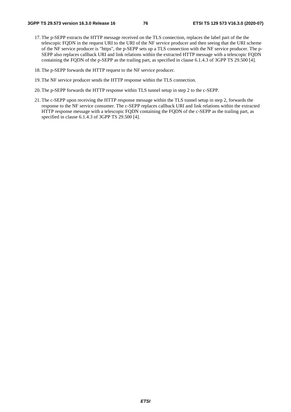- 17. The p-SEPP extracts the HTTP message received on the TLS connection, replaces the label part of the the telescopic FQDN in the request URI to the URI of the NF service producer and then seeing that the URI scheme of the NF service producer is "https", the p-SEPP sets up a TLS connection with the NF service producer. The p-SEPP also replaces callback URI and link relations within the extracted HTTP message with a telescopic FQDN containing the FQDN of the p-SEPP as the trailing part, as specified in clause 6.1.4.3 of 3GPP TS 29.500 [4].
- 18. The p-SEPP forwards the HTTP request to the NF service producer.
- 19. The NF service producer sends the HTTP response within the TLS connection.
- 20. The p-SEPP forwards the HTTP response within TLS tunnel setup in step 2 to the c-SEPP.
- 21. The c-SEPP upon receiving the HTTP response message within the TLS tunnel setup in step 2, forwards the response to the NF service consumer. The c-SEPP replaces callback URI and link relations within the extracted HTTP response message with a telescopic FQDN containing the FQDN of the c-SEPP as the trailing part, as specified in clause 6.1.4.3 of 3GPP TS 29.500 [4].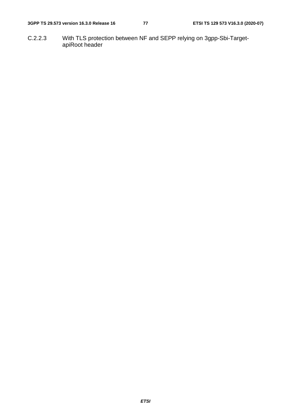C.2.2.3 With TLS protection between NF and SEPP relying on 3gpp-Sbi-TargetapiRoot header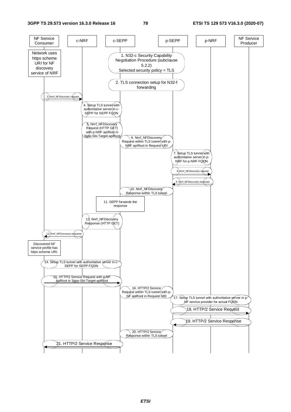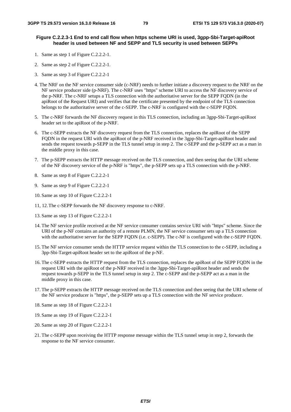#### **Figure C.2.2.3-1 End to end call flow when https scheme URI is used, 3gpp-Sbi-Target-apiRoot header is used between NF and SEPP and TLS security is used between SEPPs**

- 1. Same as step 1 of Figure C.2.2.2-1.
- 2. Same as step 2 of Figure C.2.2.2-1.
- 3. Same as step 3 of Figure C.2.2.2-1
- 4. The NRF on the NF service consumer side (c-NRF) needs to further initiate a discovery request to the NRF on the NF service producer side (p-NRF). The c-NRF uses "https" scheme URI to access the NF discovery service of the p-NRF. The c-NRF setups a TLS connection with the authoritative server for the SEPP FQDN (in the apiRoot of the Request URI) and verifies that the certificate presented by the endpoint of the TLS connection belongs to the authoritative server of the c-SEPP. The c-NRF is configured with the c-SEPP FQDN.
- 5. The c-NRF forwards the NF discovery request in this TLS connection, including an 3gpp-Sbi-Target-apiRoot header set to the apiRoot of the p-NRF.
- 6. The c-SEPP extracts the NF discovery request from the TLS connection, replaces the apiRoot of the SEPP FQDN in the request URI with the apiRoot of the p-NRF received in the 3gpp-Sbi-Target-apiRoot header and sends the request towards p-SEPP in the TLS tunnel setup in step 2. The c-SEPP and the p-SEPP act as a man in the middle proxy in this case.
- 7. The p-SEPP extracts the HTTP message received on the TLS connection, and then seeing that the URI scheme of the NF discovery service of the p-NRF is "https", the p-SEPP sets up a TLS connection with the p-NRF.
- 8. Same as step 8 of Figure C.2.2.2-1
- 9. Same as step 9 of Figure C.2.2.2-1
- 10. Same as step 10 of Figure C.2.2.2-1
- 11, 12. The c-SEPP forwards the NF discovery response to c-NRF.
- 13. Same as step 13 of Figure C.2.2.2-1
- 14. The NF service profile received at the NF service consumer contains service URI with "https" scheme. Since the URI of the p-NF contains an authority of a remote PLMN, the NF service consumer sets up a TLS connection with the authoritative server for the SEPP FQDN (i.e. c-SEPP). The c-NF is configured with the c-SEPP FQDN.
- 15. The NF service consumer sends the HTTP service request within the TLS connection to the c-SEPP, including a 3pp-Sbi-Target-apiRoot header set to the apiRoot of the p-NF.
- 16. The c-SEPP extracts the HTTP request from the TLS connection, replaces the apiRoot of the SEPP FQDN in the request URI with the apiRoot of the p-NRF received in the 3gpp-Sbi-Target-apiRoot header and sends the request towards p-SEPP in the TLS tunnel setup in step 2. The c-SEPP and the p-SEPP act as a man in the middle proxy in this case.
- 17. The p-SEPP extracts the HTTP message received on the TLS connection and then seeing that the URI scheme of the NF service producer is "https", the p-SEPP sets up a TLS connection with the NF service producer.
- 18. Same as step 18 of Figure C.2.2.2-1
- 19. Same as step 19 of Figure C.2.2.2-1
- 20. Same as step 20 of Figure C.2.2.2-1
- 21. The c-SEPP upon receiving the HTTP response message within the TLS tunnel setup in step 2, forwards the response to the NF service consumer.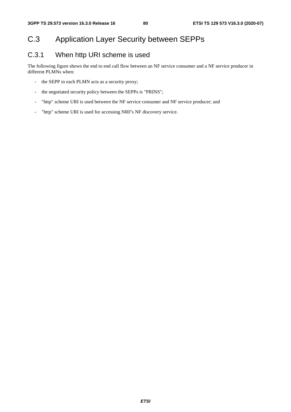# C.3 Application Layer Security between SEPPs

## C.3.1 When http URI scheme is used

The following figure shows the end to end call flow between an NF service consumer and a NF service producer in different PLMNs when:

- the SEPP in each PLMN acts as a security proxy;
- the negotiated security policy between the SEPPs is "PRINS";
- "http" scheme URI is used between the NF service consumer and NF service producer; and
- "http" scheme URI is used for accessing NRF's NF discovery service.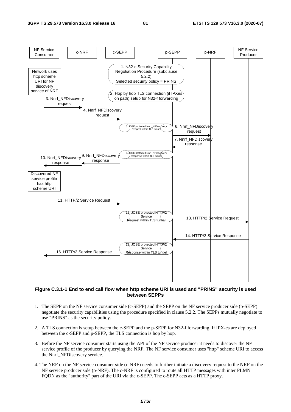

#### **Figure C.3.1-1 End to end call flow when http scheme URI is used and "PRINS" security is used between SEPPs**

- 1. The SEPP on the NF service consumer side (c-SEPP) and the SEPP on the NF service producer side (p-SEPP) negotiate the security capabilities using the procedure specified in clause 5.2.2. The SEPPs mutually negotiate to use "PRINS" as the security policy.
- 2. A TLS connection is setup between the c-SEPP and the p-SEPP for N32-f forwarding. If IPX-es are deployed between the c-SEPP and p-SEPP, the TLS connection is hop by hop.
- 3. Before the NF service consumer starts using the API of the NF service producer it needs to discover the NF service profile of the producer by querying the NRF. The NF service consumer uses "http" scheme URI to access the Nnrf\_NFDiscovery service.
- 4. The NRF on the NF service consumer side (c-NRF) needs to further initiate a discovery request to the NRF on the NF service producer side (p-NRF). The c-NRF is configured to route all HTTP messages with inter PLMN FQDN as the "authority" part of the URI via the c-SEPP. The c-SEPP acts as a HTTP proxy.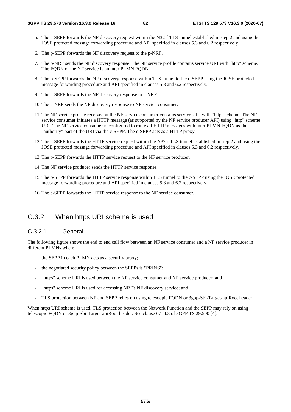- 5. The c-SEPP forwards the NF discovery request within the N32-f TLS tunnel established in step 2 and using the JOSE protected message forwarding procedure and API specified in clauses 5.3 and 6.2 respectively.
- 6. The p-SEPP forwards the NF discovery request to the p-NRF.
- 7. The p-NRF sends the NF discovery response. The NF service profile contains service URI with "http" scheme. The FQDN of the NF service is an inter PLMN FQDN.
- 8. The p-SEPP forwards the NF discovery response within TLS tunnel to the c-SEPP using the JOSE protected message forwarding procedure and API specified in clauses 5.3 and 6.2 respectively.
- 9. The c-SEPP forwards the NF discovery response to c-NRF.
- 10. The c-NRF sends the NF discovery response to NF service consumer.
- 11. The NF service profile received at the NF service consumer contains service URI with "http" scheme. The NF service consumer initiates a HTTP message (as supported by the NF service producer API) using "http" scheme URI. The NF service consumer is configured to route all HTTP messages with inter PLMN FQDN as the "authority" part of the URI via the c-SEPP. The c-SEPP acts as a HTTP proxy.
- 12. The c-SEPP forwards the HTTP service request within the N32-f TLS tunnel established in step 2 and using the JOSE protected message forwarding procedure and API specified in clauses 5.3 and 6.2 respectively.
- 13. The p-SEPP forwards the HTTP service request to the NF service producer.
- 14. The NF service producer sends the HTTP service response.
- 15. The p-SEPP forwards the HTTP service response within TLS tunnel to the c-SEPP using the JOSE protected message forwarding procedure and API specified in clauses 5.3 and 6.2 respectively.
- 16. The c-SEPP forwards the HTTP service response to the NF service consumer.

## C.3.2 When https URI scheme is used

### C.3.2.1 General

The following figure shows the end to end call flow between an NF service consumer and a NF service producer in different PLMNs when:

- the SEPP in each PLMN acts as a security proxy;
- the negotiated security policy between the SEPPs is "PRINS";
- "https" scheme URI is used between the NF service consumer and NF service producer; and
- "https" scheme URI is used for accessing NRF's NF discovery service; and
- TLS protection between NF and SEPP relies on using telescopic FQDN or 3gpp-Sbi-Target-apiRoot header.

When https URI scheme is used, TLS protection between the Network Function and the SEPP may rely on using telescopic FQDN or 3gpp-Sbi-Target-apiRoot header. See clause 6.1.4.3 of 3GPP TS 29.500 [4].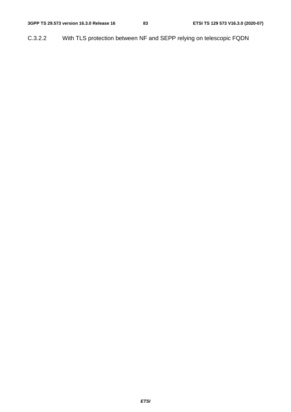C.3.2.2 With TLS protection between NF and SEPP relying on telescopic FQDN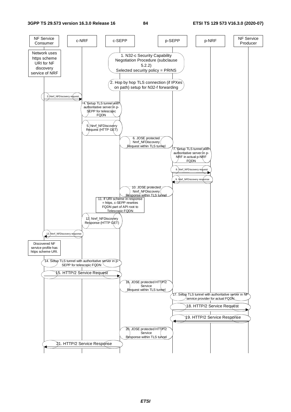**3GPP TS 29.573 version 16.3.0 Release 16 84 ETSI TS 129 573 V16.3.0 (2020-07)**

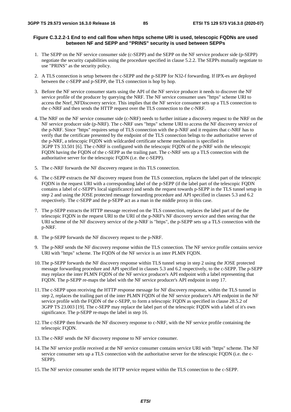#### **Figure C.3.2.2-1 End to end call flow when https scheme URI is used, telescopic FQDNs are used between NF and SEPP and "PRINS" security is used between SEPPs**

- 1. The SEPP on the NF service consumer side (c-SEPP) and the SEPP on the NF service producer side (p-SEPP) negotiate the security capabilities using the procedure specified in clause 5.2.2. The SEPPs mutually negotiate to use "PRINS" as the security policy.
- 2. A TLS connection is setup between the c-SEPP and the p-SEPP for N32-f forwarding. If IPX-es are deployed between the c-SEPP and p-SEPP, the TLS connection is hop by hop.
- 3. Before the NF service consumer starts using the API of the NF service producer it needs to discover the NF service profile of the producer by querying the NRF. The NF service consumer uses "https" scheme URI to access the Nnrf\_NFDiscovery service. This implies that the NF service consumer sets up a TLS connection to the c-NRF and then sends the HTTP request over the TLS connection to the c-NRF.
- 4. The NRF on the NF service consumer side (c-NRF) needs to further initiate a discovery request to the NRF on the NF service producer side (p-NRF). The c-NRF uses "https" scheme URI to access the NF discovery service of the p-NRF. Since "https" requires setup of TLS connection with the p-NRF and it requires that c-NRF has to verify that the certificate presented by the endpoint of the TLS connection belngs to the authoritative server of the p-NRF, a telescopic FQDN with wildcarded certificate scheme mechanism is specified in 3GPP TS 33.501 [6]. The c-NRF is configured with the telescopic FQDN of the p-NRF with the telescopic FQDN having the FQDN of the c-SEPP as the trailing part. The c-NRF sets up a TLS connection with the authoritative server for the telescopic FQDN (i.e. the c-SEPP).
- 5. The c-NRF forwards the NF discovery request in this TLS connection.
- 6. The c-SEPP extracts the NF discovery request from the TLS connection, replaces the label part of the telescopic FQDN in the request URI with a corresponding label of the p-SEPP (if the label part of the telescopic FQDN contains a label of c-SEPP's local significance) and sends the request towards p-SEPP in the TLS tunnel setup in step 2 and using the JOSE protected message forwarding procedure and API specified in clauses 5.3 and 6.2 respectively. The c-SEPP and the p-SEPP act as a man in the middle proxy in this case.
- 7. The p-SEPP extracts the HTTP message received on the TLS connection, replaces the label part of the the telescopic FQDN in the request URI to the URI of the p-NRF's NF discovery service and then seeing that the URI scheme of the NF discovery service of the p-NRF is "https", the p-SEPP sets up a TLS connection with the p-NRF.
- 8. The p-SEPP forwards the NF discovery request to the p-NRF.
- 9. The p-NRF sends the NF discovery response within the TLS connection. The NF service profile contains service URI with "https" scheme. The FQDN of the NF service is an inter PLMN FODN.
- 10. The p-SEPP forwards the NF discovery response within TLS tunnel setup in step 2 using the JOSE protected message forwarding procedure and API specified in clauses 5.3 and 6.2 respectively, to the c-SEPP. The p-SEPP may replace the inter PLMN FQDN of the NF service producer's API endpoint with a label representing that FQDN. The p-SEPP re-maps the label with the NF service producer's API endpoint in step 17.
- 11. The c-SEPP upon receiving the HTTP response message for NF discovery response, within the TLS tunnel in step 2, replaces the trailing part of the inter PLMN FQDN of the NF service producer's API endpoint in the NF service profile with the FQDN of the c-SEPP, to form a telescopic FQDN as specified in clause 28.5.2 of 3GPP TS 23.003 [19]. The c-SEPP may replace the label part of the telescopic FQDN with a label of it's own significance. The p-SEPP re-maps the label in step 16.
- 12. The c-SEPP then forwards the NF discovery response to c-NRF, with the NF service profile containing the telescopic FQDN.
- 13. The c-NRF sends the NF discovery response to NF service consumer.
- 14. The NF service profile received at the NF service consumer contains service URI with "https" scheme. The NF service consumer sets up a TLS connection with the authoritative server for the telescopic FQDN (i.e. the c-SEPP).
- 15. The NF service consumer sends the HTTP service request within the TLS connection to the c-SEPP.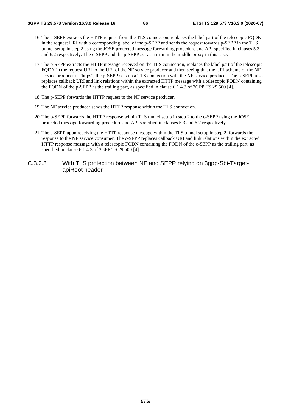- 16. The c-SEPP extracts the HTTP request from the TLS connection, replaces the label part of the telescopic FQDN in the request URI with a corresponding label of the p-SEPP and sends the request towards p-SEPP in the TLS tunnel setup in step 2 using the JOSE protected message forwarding procedure and API specified in clauses 5.3 and 6.2 respectively. The c-SEPP and the p-SEPP act as a man in the middle proxy in this case.
- 17. The p-SEPP extracts the HTTP message received on the TLS connection, replaces the label part of the telescopic FODN in the request URI to the URI of the NF service producer and then seeing that the URI scheme of the NF service producer is "https", the p-SEPP sets up a TLS connection with the NF service producer. The p-SEPP also replaces callback URI and link relations within the extracted HTTP message with a telescopic FQDN containing the FQDN of the p-SEPP as the trailing part, as specified in clause 6.1.4.3 of 3GPP TS 29.500 [4].
- 18. The p-SEPP forwards the HTTP request to the NF service producer.
- 19. The NF service producer sends the HTTP response within the TLS connection.
- 20. The p-SEPP forwards the HTTP response within TLS tunnel setup in step 2 to the c-SEPP using the JOSE protected message forwarding procedure and API specified in clauses 5.3 and 6.2 respectively.
- 21. The c-SEPP upon receiving the HTTP response message within the TLS tunnel setup in step 2, forwards the response to the NF service consumer. The c-SEPP replaces callback URI and link relations within the extracted HTTP response message with a telescopic FQDN containing the FQDN of the c-SEPP as the trailing part, as specified in clause 6.1.4.3 of 3GPP TS 29.500 [4].

### C.3.2.3 With TLS protection between NF and SEPP relying on 3gpp-Sbi-TargetapiRoot header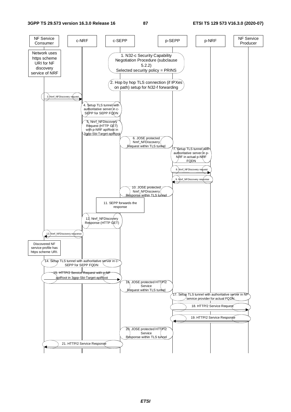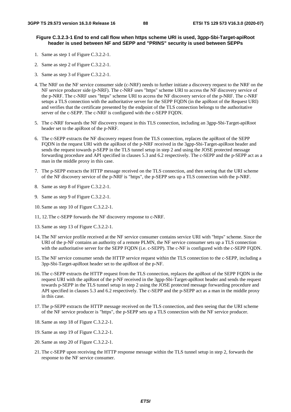#### **Figure C.3.2.3-1 End to end call flow when https scheme URI is used, 3gpp-Sbi-Target-apiRoot header is used between NF and SEPP and "PRINS" security is used between SEPPs**

- 1. Same as step 1 of Figure C.3.2.2-1.
- 2. Same as step 2 of Figure C.3.2.2-1.
- 3. Same as step 3 of Figure C.3.2.2-1.
- 4. The NRF on the NF service consumer side (c-NRF) needs to further initiate a discovery request to the NRF on the NF service producer side (p-NRF). The c-NRF uses "https" scheme URI to access the NF discovery service of the p-NRF. The c-NRF uses "https" scheme URI to access the NF discovery service of the p-NRF. The c-NRF setups a TLS connection with the authoritative server for the SEPP FODN (in the apiRoot of the Request URI) and verifies that the certificate presented by the endpoint of the TLS connection belongs to the authoritative server of the c-SEPP. The c-NRF is configured with the c-SEPP FQDN.
- 5. The c-NRF forwards the NF discovery request in this TLS connection, including an 3gpp-Sbi-Target-apiRoot header set to the apiRoot of the p-NRF.
- 6. The c-SEPP extracts the NF discovery request from the TLS connection, replaces the apiRoot of the SEPP FQDN in the request URI with the apiRoot of the p-NRF received in the 3gpp-Sbi-Target-apiRoot header and sends the request towards p-SEPP in the TLS tunnel setup in step 2 and using the JOSE protected message forwarding procedure and API specified in clauses 5.3 and 6.2 respectively. The c-SEPP and the p-SEPP act as a man in the middle proxy in this case.
- 7. The p-SEPP extracts the HTTP message received on the TLS connection, and then seeing that the URI scheme of the NF discovery service of the p-NRF is "https", the p-SEPP sets up a TLS connection with the p-NRF.
- 8. Same as step 8 of Figure C.3.2.2-1.
- 9. Same as step 9 of Figure C.3.2.2-1.
- 10. Same as step 10 of Figure C.3.2.2-1.
- 11, 12. The c-SEPP forwards the NF discovery response to c-NRF.
- 13. Same as step 13 of Figure C.3.2.2-1.
- 14. The NF service profile received at the NF service consumer contains service URI with "https" scheme. Since the URI of the p-NF contains an authority of a remote PLMN, the NF service consumer sets up a TLS connection with the authoritative server for the SEPP FQDN (i.e. c-SEPP). The c-NF is configured with the c-SEPP FQDN.
- 15. The NF service consumer sends the HTTP service request within the TLS connection to the c-SEPP, including a 3pp-Sbi-Target-apiRoot header set to the apiRoot of the p-NF.
- 16. The c-SEPP extracts the HTTP request from the TLS connection, replaces the apiRoot of the SEPP FQDN in the request URI with the apiRoot of the p-NF received in the 3gpp-Sbi-Target-apiRoot header and sends the request towards p-SEPP in the TLS tunnel setup in step 2 using the JOSE protected message forwarding procedure and API specified in clauses 5.3 and 6.2 respectively. The c-SEPP and the p-SEPP act as a man in the middle proxy in this case.
- 17. The p-SEPP extracts the HTTP message received on the TLS connection, and then seeing that the URI scheme of the NF service producer is "https", the p-SEPP sets up a TLS connection with the NF service producer.
- 18. Same as step 18 of Figure C.3.2.2-1.
- 19. Same as step 19 of Figure C.3.2.2-1.
- 20. Same as step 20 of Figure C.3.2.2-1.
- 21. The c-SEPP upon receiving the HTTP response message within the TLS tunnel setup in step 2, forwards the response to the NF service consumer.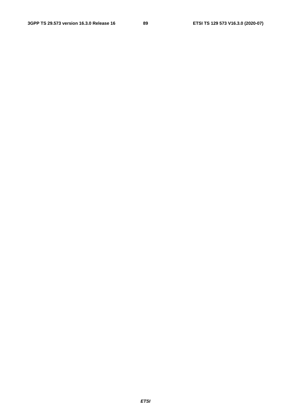*ETSI*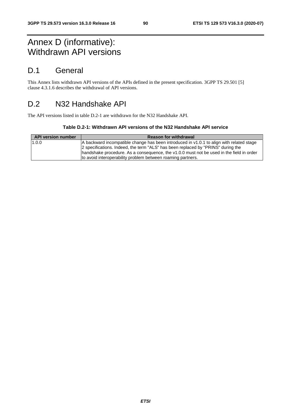# Annex D (informative): Withdrawn API versions

# D.1 General

This Annex lists withdrawn API versions of the APIs defined in the present specification. 3GPP TS 29.501 [5] clause 4.3.1.6 describes the withdrawal of API versions.

# D.2 N32 Handshake API

The API versions listed in table D.2-1 are withdrawn for the N32 Handshake API.

### **Table D.2-1: Withdrawn API versions of the N32 Handshake API service**

| <b>API version number</b> | <b>Reason for withdrawal</b>                                                             |
|---------------------------|------------------------------------------------------------------------------------------|
| 1.0.0                     | A backward incompatible change has been introduced in v1.0.1 to align with related stage |
|                           | 2 specifications. Indeed, the term "ALS" has been replaced by "PRINS" during the         |
|                           | handshake procedure. As a consequence, the v1.0.0 must not be used in the field in order |
|                           | to avoid interoperability problem between roaming partners.                              |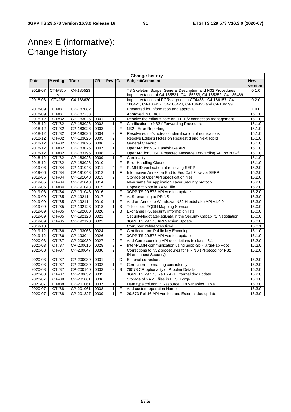# Annex E (informative): Change history

| Subject/Comment<br><b>CR</b><br><b>New</b><br>Date<br><b>Meeting</b><br><b>TDoc</b><br><b>Rev</b><br> Cat<br>version<br>TS Skeleton, Scope, General Description and N32 Procedures.<br>CT4#85bi<br>2018-07<br>C4-185523<br>0.1.0<br>Implementation of C4-185531, C4-185353, C4-185352, C4-185469<br>s<br>Implementations of PCRs agreed in CT4#86 - C4-186157, C4-<br>2018-08<br>CT4#86<br>C4-186630<br>0.2.0<br>186421, C4-186422, C4-186423, C4-186425 and C4-186599<br>CT#81<br>CP-182082<br>Presented for information and approval<br>2018-09<br>1.0.0<br>CT#81<br>CP-182233<br>15.0.0<br>2018-09<br>Approved in CT#81<br>Resolve the editor's note on HTTP/2 connection management<br>2018-12<br>CT#82<br>CP-183026<br>F<br>15.1.0<br>0001<br>1<br>CT#82<br>CP-183026<br>F<br>2018-12<br>0002<br>$\mathbf{1}$<br>Clarification to N32-f Forwarding Procedure<br>15.1.0<br>$\overline{2}$<br>2018-12<br>CT#82<br>CP-183026<br>F<br>N32-f Error Reporting<br>0003<br>15.1.0<br>$\overline{2}$<br>F<br>CT#82<br>CP-183026<br>0004<br>Resolve editor's notes on identification of notifications<br>15.1.0<br>2018-12<br>$\overline{c}$<br>CT#82<br>CP-183026<br>F<br>2018-12<br>0005<br>Resolve Editor's Notes on RequestId and NextHopId<br>15.1.0<br>$\overline{2}$<br>CT#82<br>CP-183026<br>F<br>2018-12<br>0006<br>General Cleanup<br>15.1.0<br>F<br>CT#82<br>CP-183026<br>0007<br>$\mathbf{1}$<br>OpenAPI for N32 Handshake API<br>15.1.0<br>2018-12<br>$\overline{2}$<br>F<br>CP-183196<br>2018-12<br>CT#82<br>0008<br>OpenAPI for JOSE Protected Message Forwarding API on N32-f<br>15.1.0<br>Cardinality<br>CT#82<br>CP-183026<br>0009<br>1<br>F<br>15.1.0<br>2018-12<br>F<br><b>Error Handling Clauses</b><br>2018-12<br>CT#82<br>CP-183026<br>0010<br>15.1.0<br><b>CT#84</b><br>CP-191043<br>4<br>F<br>PLMN ID verification at receiving SEPP<br>15.2.0<br>2019-06<br>0011<br>CP-191043<br>F<br>Informative Annex on End to End Call Flow via SEPP<br>CT#84<br>0012<br>$\mathbf{1}$<br>15.2.0<br>2019-06<br>$\overline{2}$<br>CP-191043<br>F<br>Storage of OpenAPI specification files<br>2019-06<br>CT#84<br>0013<br>15.2.0<br>CT#84<br>F<br>15.2.0<br>2019-06<br>CP-191043<br>0014<br>New name for Application Layer Security protocol<br>F<br>CT#84<br>CP-191043<br>15.2.0<br>2019-06<br>0015<br>Copyright Note in YAML file<br>1<br>F<br>CT#84<br>CP-191043<br>0016<br>2019-06<br>3GPP TS 29.573 API version update<br>15.2.0<br>2019-09<br>CT#85<br>CP-192114<br>0017<br>F<br>ALS renaming to PRINS<br>15.3.0<br>F<br>Add an Annex to Withdrawn N32 Handshake API v1.0.0<br>2019-09<br>CT#85<br>CP-192114<br>0019<br>15.3.0<br>$\mathbf{1}$<br>CT#85<br>CP-192123<br>$\mathbf{1}$<br>B<br><b>Telescopic FQDN Mapping Service</b><br>2019-09<br>0018<br>16.0.0<br>$\overline{2}$<br>Exchange IPX security information lists<br>2019-09<br>CT#85<br>CP-192080<br>0020<br>B<br>16.0.0<br>F<br>CT#85<br>CP-192123<br>0021<br>SecurityNegotiateReqData in the Security Capability Negotiation<br>2019-09<br>16.0.0<br>F<br>2019-09<br>CT#85<br>CP-192120<br>3GPP TS 29.573 API Version Update<br>0023<br>16.0.0<br>2019-10<br>Corrupted references fixed<br>16.0.1<br>2019-12<br><b>CT#86</b><br>CP-193063<br>0024<br>F<br>Certificate and Public key Encoding<br>16.1.0<br><b>CT#86</b><br>CP-193044<br>F<br>3GPP TS 29.573 API version update<br>2019-12<br>0026<br>16.1.0<br>2020-03<br>CT#87<br>CP-200039<br>0027<br>F<br>Add Corresponding API descriptions in clause 5.1<br>16.2.0<br>$\overline{2}$<br>$\overline{3}$<br>F<br>2020-03<br>$\overline{CT#87}$<br>CP-200016<br>0028<br>Inter-PLMN communication using 3gpp-Sbi-Target-apiRoot<br>16.2.0<br>$\overline{2}$<br>2020-03<br><b>CT#87</b><br>CP-200047<br>F<br>Corrections to N32 procedures for PRINS (PRotocol for N32<br>16.2.0<br>0030<br>INterconnect Security)<br>CT#87<br>$\overline{\mathbf{c}}$<br>D<br>Editorial corrections<br>$2020 - 03$<br>CP-200039<br>0031<br>16.2.0<br>2020-03<br>CT#87<br>CP-200039<br>0032<br>1<br>F<br>Correction - formatting consistency<br>16.2.0<br>3<br>CT#87<br>CP-200140<br>0033<br>B<br>29573 CR optionality of ProblemDetails<br>16.2.0<br>2020-03<br>F<br>3GPP TS 29.573 Rel16 API External doc update<br>2020-03<br>CT#87<br>CP-200052<br>0035<br>16.2.0<br>CT#88<br>CP-201061<br>0036<br>F<br>Storage of YAML files in ETSI Forge<br>2020-07<br>16.3.0<br>F<br>CP-201061<br>0037<br>Data type column in Resource URI variables Table<br>16.3.0<br>2020-07<br>CT#88<br>1<br>F<br>CT#88<br>$\mathbf{1}$<br>16.3.0<br>2020-07<br>CP-201061<br>0038<br>Add custom operation Name<br>$\overline{1}$<br>E | <b>Change history</b> |       |           |      |  |  |                                                   |        |
|-------------------------------------------------------------------------------------------------------------------------------------------------------------------------------------------------------------------------------------------------------------------------------------------------------------------------------------------------------------------------------------------------------------------------------------------------------------------------------------------------------------------------------------------------------------------------------------------------------------------------------------------------------------------------------------------------------------------------------------------------------------------------------------------------------------------------------------------------------------------------------------------------------------------------------------------------------------------------------------------------------------------------------------------------------------------------------------------------------------------------------------------------------------------------------------------------------------------------------------------------------------------------------------------------------------------------------------------------------------------------------------------------------------------------------------------------------------------------------------------------------------------------------------------------------------------------------------------------------------------------------------------------------------------------------------------------------------------------------------------------------------------------------------------------------------------------------------------------------------------------------------------------------------------------------------------------------------------------------------------------------------------------------------------------------------------------------------------------------------------------------------------------------------------------------------------------------------------------------------------------------------------------------------------------------------------------------------------------------------------------------------------------------------------------------------------------------------------------------------------------------------------------------------------------------------------------------------------------------------------------------------------------------------------------------------------------------------------------------------------------------------------------------------------------------------------------------------------------------------------------------------------------------------------------------------------------------------------------------------------------------------------------------------------------------------------------------------------------------------------------------------------------------------------------------------------------------------------------------------------------------------------------------------------------------------------------------------------------------------------------------------------------------------------------------------------------------------------------------------------------------------------------------------------------------------------------------------------------------------------------------------------------------------------------------------------------------------------------------------------------------------------------------------------------------------------------------------------------------------------------------------------------------------------------------------------------------------------------------------------------------------------------------------------------------------------------------------------------------------------------------------------------------------------------------------------------------------------------------------------------------------------------------------------------------------------------------------------------------------------------------------------------------------------------------------------------------------------------------------------------------------------------------------------------------------------------------------------------------------------------------|-----------------------|-------|-----------|------|--|--|---------------------------------------------------|--------|
|                                                                                                                                                                                                                                                                                                                                                                                                                                                                                                                                                                                                                                                                                                                                                                                                                                                                                                                                                                                                                                                                                                                                                                                                                                                                                                                                                                                                                                                                                                                                                                                                                                                                                                                                                                                                                                                                                                                                                                                                                                                                                                                                                                                                                                                                                                                                                                                                                                                                                                                                                                                                                                                                                                                                                                                                                                                                                                                                                                                                                                                                                                                                                                                                                                                                                                                                                                                                                                                                                                                                                                                                                                                                                                                                                                                                                                                                                                                                                                                                                                                                                                                                                                                                                                                                                                                                                                                                                                                                                                                                                                                                                               |                       |       |           |      |  |  |                                                   |        |
|                                                                                                                                                                                                                                                                                                                                                                                                                                                                                                                                                                                                                                                                                                                                                                                                                                                                                                                                                                                                                                                                                                                                                                                                                                                                                                                                                                                                                                                                                                                                                                                                                                                                                                                                                                                                                                                                                                                                                                                                                                                                                                                                                                                                                                                                                                                                                                                                                                                                                                                                                                                                                                                                                                                                                                                                                                                                                                                                                                                                                                                                                                                                                                                                                                                                                                                                                                                                                                                                                                                                                                                                                                                                                                                                                                                                                                                                                                                                                                                                                                                                                                                                                                                                                                                                                                                                                                                                                                                                                                                                                                                                                               |                       |       |           |      |  |  |                                                   |        |
|                                                                                                                                                                                                                                                                                                                                                                                                                                                                                                                                                                                                                                                                                                                                                                                                                                                                                                                                                                                                                                                                                                                                                                                                                                                                                                                                                                                                                                                                                                                                                                                                                                                                                                                                                                                                                                                                                                                                                                                                                                                                                                                                                                                                                                                                                                                                                                                                                                                                                                                                                                                                                                                                                                                                                                                                                                                                                                                                                                                                                                                                                                                                                                                                                                                                                                                                                                                                                                                                                                                                                                                                                                                                                                                                                                                                                                                                                                                                                                                                                                                                                                                                                                                                                                                                                                                                                                                                                                                                                                                                                                                                                               |                       |       |           |      |  |  |                                                   |        |
|                                                                                                                                                                                                                                                                                                                                                                                                                                                                                                                                                                                                                                                                                                                                                                                                                                                                                                                                                                                                                                                                                                                                                                                                                                                                                                                                                                                                                                                                                                                                                                                                                                                                                                                                                                                                                                                                                                                                                                                                                                                                                                                                                                                                                                                                                                                                                                                                                                                                                                                                                                                                                                                                                                                                                                                                                                                                                                                                                                                                                                                                                                                                                                                                                                                                                                                                                                                                                                                                                                                                                                                                                                                                                                                                                                                                                                                                                                                                                                                                                                                                                                                                                                                                                                                                                                                                                                                                                                                                                                                                                                                                                               |                       |       |           |      |  |  |                                                   |        |
|                                                                                                                                                                                                                                                                                                                                                                                                                                                                                                                                                                                                                                                                                                                                                                                                                                                                                                                                                                                                                                                                                                                                                                                                                                                                                                                                                                                                                                                                                                                                                                                                                                                                                                                                                                                                                                                                                                                                                                                                                                                                                                                                                                                                                                                                                                                                                                                                                                                                                                                                                                                                                                                                                                                                                                                                                                                                                                                                                                                                                                                                                                                                                                                                                                                                                                                                                                                                                                                                                                                                                                                                                                                                                                                                                                                                                                                                                                                                                                                                                                                                                                                                                                                                                                                                                                                                                                                                                                                                                                                                                                                                                               |                       |       |           |      |  |  |                                                   |        |
|                                                                                                                                                                                                                                                                                                                                                                                                                                                                                                                                                                                                                                                                                                                                                                                                                                                                                                                                                                                                                                                                                                                                                                                                                                                                                                                                                                                                                                                                                                                                                                                                                                                                                                                                                                                                                                                                                                                                                                                                                                                                                                                                                                                                                                                                                                                                                                                                                                                                                                                                                                                                                                                                                                                                                                                                                                                                                                                                                                                                                                                                                                                                                                                                                                                                                                                                                                                                                                                                                                                                                                                                                                                                                                                                                                                                                                                                                                                                                                                                                                                                                                                                                                                                                                                                                                                                                                                                                                                                                                                                                                                                                               |                       |       |           |      |  |  |                                                   |        |
|                                                                                                                                                                                                                                                                                                                                                                                                                                                                                                                                                                                                                                                                                                                                                                                                                                                                                                                                                                                                                                                                                                                                                                                                                                                                                                                                                                                                                                                                                                                                                                                                                                                                                                                                                                                                                                                                                                                                                                                                                                                                                                                                                                                                                                                                                                                                                                                                                                                                                                                                                                                                                                                                                                                                                                                                                                                                                                                                                                                                                                                                                                                                                                                                                                                                                                                                                                                                                                                                                                                                                                                                                                                                                                                                                                                                                                                                                                                                                                                                                                                                                                                                                                                                                                                                                                                                                                                                                                                                                                                                                                                                                               |                       |       |           |      |  |  |                                                   |        |
|                                                                                                                                                                                                                                                                                                                                                                                                                                                                                                                                                                                                                                                                                                                                                                                                                                                                                                                                                                                                                                                                                                                                                                                                                                                                                                                                                                                                                                                                                                                                                                                                                                                                                                                                                                                                                                                                                                                                                                                                                                                                                                                                                                                                                                                                                                                                                                                                                                                                                                                                                                                                                                                                                                                                                                                                                                                                                                                                                                                                                                                                                                                                                                                                                                                                                                                                                                                                                                                                                                                                                                                                                                                                                                                                                                                                                                                                                                                                                                                                                                                                                                                                                                                                                                                                                                                                                                                                                                                                                                                                                                                                                               |                       |       |           |      |  |  |                                                   |        |
|                                                                                                                                                                                                                                                                                                                                                                                                                                                                                                                                                                                                                                                                                                                                                                                                                                                                                                                                                                                                                                                                                                                                                                                                                                                                                                                                                                                                                                                                                                                                                                                                                                                                                                                                                                                                                                                                                                                                                                                                                                                                                                                                                                                                                                                                                                                                                                                                                                                                                                                                                                                                                                                                                                                                                                                                                                                                                                                                                                                                                                                                                                                                                                                                                                                                                                                                                                                                                                                                                                                                                                                                                                                                                                                                                                                                                                                                                                                                                                                                                                                                                                                                                                                                                                                                                                                                                                                                                                                                                                                                                                                                                               |                       |       |           |      |  |  |                                                   |        |
|                                                                                                                                                                                                                                                                                                                                                                                                                                                                                                                                                                                                                                                                                                                                                                                                                                                                                                                                                                                                                                                                                                                                                                                                                                                                                                                                                                                                                                                                                                                                                                                                                                                                                                                                                                                                                                                                                                                                                                                                                                                                                                                                                                                                                                                                                                                                                                                                                                                                                                                                                                                                                                                                                                                                                                                                                                                                                                                                                                                                                                                                                                                                                                                                                                                                                                                                                                                                                                                                                                                                                                                                                                                                                                                                                                                                                                                                                                                                                                                                                                                                                                                                                                                                                                                                                                                                                                                                                                                                                                                                                                                                                               |                       |       |           |      |  |  |                                                   |        |
|                                                                                                                                                                                                                                                                                                                                                                                                                                                                                                                                                                                                                                                                                                                                                                                                                                                                                                                                                                                                                                                                                                                                                                                                                                                                                                                                                                                                                                                                                                                                                                                                                                                                                                                                                                                                                                                                                                                                                                                                                                                                                                                                                                                                                                                                                                                                                                                                                                                                                                                                                                                                                                                                                                                                                                                                                                                                                                                                                                                                                                                                                                                                                                                                                                                                                                                                                                                                                                                                                                                                                                                                                                                                                                                                                                                                                                                                                                                                                                                                                                                                                                                                                                                                                                                                                                                                                                                                                                                                                                                                                                                                                               |                       |       |           |      |  |  |                                                   |        |
|                                                                                                                                                                                                                                                                                                                                                                                                                                                                                                                                                                                                                                                                                                                                                                                                                                                                                                                                                                                                                                                                                                                                                                                                                                                                                                                                                                                                                                                                                                                                                                                                                                                                                                                                                                                                                                                                                                                                                                                                                                                                                                                                                                                                                                                                                                                                                                                                                                                                                                                                                                                                                                                                                                                                                                                                                                                                                                                                                                                                                                                                                                                                                                                                                                                                                                                                                                                                                                                                                                                                                                                                                                                                                                                                                                                                                                                                                                                                                                                                                                                                                                                                                                                                                                                                                                                                                                                                                                                                                                                                                                                                                               |                       |       |           |      |  |  |                                                   |        |
|                                                                                                                                                                                                                                                                                                                                                                                                                                                                                                                                                                                                                                                                                                                                                                                                                                                                                                                                                                                                                                                                                                                                                                                                                                                                                                                                                                                                                                                                                                                                                                                                                                                                                                                                                                                                                                                                                                                                                                                                                                                                                                                                                                                                                                                                                                                                                                                                                                                                                                                                                                                                                                                                                                                                                                                                                                                                                                                                                                                                                                                                                                                                                                                                                                                                                                                                                                                                                                                                                                                                                                                                                                                                                                                                                                                                                                                                                                                                                                                                                                                                                                                                                                                                                                                                                                                                                                                                                                                                                                                                                                                                                               |                       |       |           |      |  |  |                                                   |        |
|                                                                                                                                                                                                                                                                                                                                                                                                                                                                                                                                                                                                                                                                                                                                                                                                                                                                                                                                                                                                                                                                                                                                                                                                                                                                                                                                                                                                                                                                                                                                                                                                                                                                                                                                                                                                                                                                                                                                                                                                                                                                                                                                                                                                                                                                                                                                                                                                                                                                                                                                                                                                                                                                                                                                                                                                                                                                                                                                                                                                                                                                                                                                                                                                                                                                                                                                                                                                                                                                                                                                                                                                                                                                                                                                                                                                                                                                                                                                                                                                                                                                                                                                                                                                                                                                                                                                                                                                                                                                                                                                                                                                                               |                       |       |           |      |  |  |                                                   |        |
|                                                                                                                                                                                                                                                                                                                                                                                                                                                                                                                                                                                                                                                                                                                                                                                                                                                                                                                                                                                                                                                                                                                                                                                                                                                                                                                                                                                                                                                                                                                                                                                                                                                                                                                                                                                                                                                                                                                                                                                                                                                                                                                                                                                                                                                                                                                                                                                                                                                                                                                                                                                                                                                                                                                                                                                                                                                                                                                                                                                                                                                                                                                                                                                                                                                                                                                                                                                                                                                                                                                                                                                                                                                                                                                                                                                                                                                                                                                                                                                                                                                                                                                                                                                                                                                                                                                                                                                                                                                                                                                                                                                                                               |                       |       |           |      |  |  |                                                   |        |
|                                                                                                                                                                                                                                                                                                                                                                                                                                                                                                                                                                                                                                                                                                                                                                                                                                                                                                                                                                                                                                                                                                                                                                                                                                                                                                                                                                                                                                                                                                                                                                                                                                                                                                                                                                                                                                                                                                                                                                                                                                                                                                                                                                                                                                                                                                                                                                                                                                                                                                                                                                                                                                                                                                                                                                                                                                                                                                                                                                                                                                                                                                                                                                                                                                                                                                                                                                                                                                                                                                                                                                                                                                                                                                                                                                                                                                                                                                                                                                                                                                                                                                                                                                                                                                                                                                                                                                                                                                                                                                                                                                                                                               |                       |       |           |      |  |  |                                                   |        |
|                                                                                                                                                                                                                                                                                                                                                                                                                                                                                                                                                                                                                                                                                                                                                                                                                                                                                                                                                                                                                                                                                                                                                                                                                                                                                                                                                                                                                                                                                                                                                                                                                                                                                                                                                                                                                                                                                                                                                                                                                                                                                                                                                                                                                                                                                                                                                                                                                                                                                                                                                                                                                                                                                                                                                                                                                                                                                                                                                                                                                                                                                                                                                                                                                                                                                                                                                                                                                                                                                                                                                                                                                                                                                                                                                                                                                                                                                                                                                                                                                                                                                                                                                                                                                                                                                                                                                                                                                                                                                                                                                                                                                               |                       |       |           |      |  |  |                                                   |        |
|                                                                                                                                                                                                                                                                                                                                                                                                                                                                                                                                                                                                                                                                                                                                                                                                                                                                                                                                                                                                                                                                                                                                                                                                                                                                                                                                                                                                                                                                                                                                                                                                                                                                                                                                                                                                                                                                                                                                                                                                                                                                                                                                                                                                                                                                                                                                                                                                                                                                                                                                                                                                                                                                                                                                                                                                                                                                                                                                                                                                                                                                                                                                                                                                                                                                                                                                                                                                                                                                                                                                                                                                                                                                                                                                                                                                                                                                                                                                                                                                                                                                                                                                                                                                                                                                                                                                                                                                                                                                                                                                                                                                                               |                       |       |           |      |  |  |                                                   |        |
|                                                                                                                                                                                                                                                                                                                                                                                                                                                                                                                                                                                                                                                                                                                                                                                                                                                                                                                                                                                                                                                                                                                                                                                                                                                                                                                                                                                                                                                                                                                                                                                                                                                                                                                                                                                                                                                                                                                                                                                                                                                                                                                                                                                                                                                                                                                                                                                                                                                                                                                                                                                                                                                                                                                                                                                                                                                                                                                                                                                                                                                                                                                                                                                                                                                                                                                                                                                                                                                                                                                                                                                                                                                                                                                                                                                                                                                                                                                                                                                                                                                                                                                                                                                                                                                                                                                                                                                                                                                                                                                                                                                                                               |                       |       |           |      |  |  |                                                   |        |
|                                                                                                                                                                                                                                                                                                                                                                                                                                                                                                                                                                                                                                                                                                                                                                                                                                                                                                                                                                                                                                                                                                                                                                                                                                                                                                                                                                                                                                                                                                                                                                                                                                                                                                                                                                                                                                                                                                                                                                                                                                                                                                                                                                                                                                                                                                                                                                                                                                                                                                                                                                                                                                                                                                                                                                                                                                                                                                                                                                                                                                                                                                                                                                                                                                                                                                                                                                                                                                                                                                                                                                                                                                                                                                                                                                                                                                                                                                                                                                                                                                                                                                                                                                                                                                                                                                                                                                                                                                                                                                                                                                                                                               |                       |       |           |      |  |  |                                                   |        |
|                                                                                                                                                                                                                                                                                                                                                                                                                                                                                                                                                                                                                                                                                                                                                                                                                                                                                                                                                                                                                                                                                                                                                                                                                                                                                                                                                                                                                                                                                                                                                                                                                                                                                                                                                                                                                                                                                                                                                                                                                                                                                                                                                                                                                                                                                                                                                                                                                                                                                                                                                                                                                                                                                                                                                                                                                                                                                                                                                                                                                                                                                                                                                                                                                                                                                                                                                                                                                                                                                                                                                                                                                                                                                                                                                                                                                                                                                                                                                                                                                                                                                                                                                                                                                                                                                                                                                                                                                                                                                                                                                                                                                               |                       |       |           |      |  |  |                                                   |        |
|                                                                                                                                                                                                                                                                                                                                                                                                                                                                                                                                                                                                                                                                                                                                                                                                                                                                                                                                                                                                                                                                                                                                                                                                                                                                                                                                                                                                                                                                                                                                                                                                                                                                                                                                                                                                                                                                                                                                                                                                                                                                                                                                                                                                                                                                                                                                                                                                                                                                                                                                                                                                                                                                                                                                                                                                                                                                                                                                                                                                                                                                                                                                                                                                                                                                                                                                                                                                                                                                                                                                                                                                                                                                                                                                                                                                                                                                                                                                                                                                                                                                                                                                                                                                                                                                                                                                                                                                                                                                                                                                                                                                                               |                       |       |           |      |  |  |                                                   |        |
|                                                                                                                                                                                                                                                                                                                                                                                                                                                                                                                                                                                                                                                                                                                                                                                                                                                                                                                                                                                                                                                                                                                                                                                                                                                                                                                                                                                                                                                                                                                                                                                                                                                                                                                                                                                                                                                                                                                                                                                                                                                                                                                                                                                                                                                                                                                                                                                                                                                                                                                                                                                                                                                                                                                                                                                                                                                                                                                                                                                                                                                                                                                                                                                                                                                                                                                                                                                                                                                                                                                                                                                                                                                                                                                                                                                                                                                                                                                                                                                                                                                                                                                                                                                                                                                                                                                                                                                                                                                                                                                                                                                                                               |                       |       |           |      |  |  |                                                   |        |
|                                                                                                                                                                                                                                                                                                                                                                                                                                                                                                                                                                                                                                                                                                                                                                                                                                                                                                                                                                                                                                                                                                                                                                                                                                                                                                                                                                                                                                                                                                                                                                                                                                                                                                                                                                                                                                                                                                                                                                                                                                                                                                                                                                                                                                                                                                                                                                                                                                                                                                                                                                                                                                                                                                                                                                                                                                                                                                                                                                                                                                                                                                                                                                                                                                                                                                                                                                                                                                                                                                                                                                                                                                                                                                                                                                                                                                                                                                                                                                                                                                                                                                                                                                                                                                                                                                                                                                                                                                                                                                                                                                                                                               |                       |       |           |      |  |  |                                                   |        |
|                                                                                                                                                                                                                                                                                                                                                                                                                                                                                                                                                                                                                                                                                                                                                                                                                                                                                                                                                                                                                                                                                                                                                                                                                                                                                                                                                                                                                                                                                                                                                                                                                                                                                                                                                                                                                                                                                                                                                                                                                                                                                                                                                                                                                                                                                                                                                                                                                                                                                                                                                                                                                                                                                                                                                                                                                                                                                                                                                                                                                                                                                                                                                                                                                                                                                                                                                                                                                                                                                                                                                                                                                                                                                                                                                                                                                                                                                                                                                                                                                                                                                                                                                                                                                                                                                                                                                                                                                                                                                                                                                                                                                               |                       |       |           |      |  |  |                                                   |        |
|                                                                                                                                                                                                                                                                                                                                                                                                                                                                                                                                                                                                                                                                                                                                                                                                                                                                                                                                                                                                                                                                                                                                                                                                                                                                                                                                                                                                                                                                                                                                                                                                                                                                                                                                                                                                                                                                                                                                                                                                                                                                                                                                                                                                                                                                                                                                                                                                                                                                                                                                                                                                                                                                                                                                                                                                                                                                                                                                                                                                                                                                                                                                                                                                                                                                                                                                                                                                                                                                                                                                                                                                                                                                                                                                                                                                                                                                                                                                                                                                                                                                                                                                                                                                                                                                                                                                                                                                                                                                                                                                                                                                                               |                       |       |           |      |  |  |                                                   |        |
|                                                                                                                                                                                                                                                                                                                                                                                                                                                                                                                                                                                                                                                                                                                                                                                                                                                                                                                                                                                                                                                                                                                                                                                                                                                                                                                                                                                                                                                                                                                                                                                                                                                                                                                                                                                                                                                                                                                                                                                                                                                                                                                                                                                                                                                                                                                                                                                                                                                                                                                                                                                                                                                                                                                                                                                                                                                                                                                                                                                                                                                                                                                                                                                                                                                                                                                                                                                                                                                                                                                                                                                                                                                                                                                                                                                                                                                                                                                                                                                                                                                                                                                                                                                                                                                                                                                                                                                                                                                                                                                                                                                                                               |                       |       |           |      |  |  |                                                   |        |
|                                                                                                                                                                                                                                                                                                                                                                                                                                                                                                                                                                                                                                                                                                                                                                                                                                                                                                                                                                                                                                                                                                                                                                                                                                                                                                                                                                                                                                                                                                                                                                                                                                                                                                                                                                                                                                                                                                                                                                                                                                                                                                                                                                                                                                                                                                                                                                                                                                                                                                                                                                                                                                                                                                                                                                                                                                                                                                                                                                                                                                                                                                                                                                                                                                                                                                                                                                                                                                                                                                                                                                                                                                                                                                                                                                                                                                                                                                                                                                                                                                                                                                                                                                                                                                                                                                                                                                                                                                                                                                                                                                                                                               |                       |       |           |      |  |  |                                                   |        |
|                                                                                                                                                                                                                                                                                                                                                                                                                                                                                                                                                                                                                                                                                                                                                                                                                                                                                                                                                                                                                                                                                                                                                                                                                                                                                                                                                                                                                                                                                                                                                                                                                                                                                                                                                                                                                                                                                                                                                                                                                                                                                                                                                                                                                                                                                                                                                                                                                                                                                                                                                                                                                                                                                                                                                                                                                                                                                                                                                                                                                                                                                                                                                                                                                                                                                                                                                                                                                                                                                                                                                                                                                                                                                                                                                                                                                                                                                                                                                                                                                                                                                                                                                                                                                                                                                                                                                                                                                                                                                                                                                                                                                               |                       |       |           |      |  |  |                                                   |        |
|                                                                                                                                                                                                                                                                                                                                                                                                                                                                                                                                                                                                                                                                                                                                                                                                                                                                                                                                                                                                                                                                                                                                                                                                                                                                                                                                                                                                                                                                                                                                                                                                                                                                                                                                                                                                                                                                                                                                                                                                                                                                                                                                                                                                                                                                                                                                                                                                                                                                                                                                                                                                                                                                                                                                                                                                                                                                                                                                                                                                                                                                                                                                                                                                                                                                                                                                                                                                                                                                                                                                                                                                                                                                                                                                                                                                                                                                                                                                                                                                                                                                                                                                                                                                                                                                                                                                                                                                                                                                                                                                                                                                                               |                       |       |           |      |  |  |                                                   |        |
|                                                                                                                                                                                                                                                                                                                                                                                                                                                                                                                                                                                                                                                                                                                                                                                                                                                                                                                                                                                                                                                                                                                                                                                                                                                                                                                                                                                                                                                                                                                                                                                                                                                                                                                                                                                                                                                                                                                                                                                                                                                                                                                                                                                                                                                                                                                                                                                                                                                                                                                                                                                                                                                                                                                                                                                                                                                                                                                                                                                                                                                                                                                                                                                                                                                                                                                                                                                                                                                                                                                                                                                                                                                                                                                                                                                                                                                                                                                                                                                                                                                                                                                                                                                                                                                                                                                                                                                                                                                                                                                                                                                                                               |                       |       |           |      |  |  |                                                   |        |
|                                                                                                                                                                                                                                                                                                                                                                                                                                                                                                                                                                                                                                                                                                                                                                                                                                                                                                                                                                                                                                                                                                                                                                                                                                                                                                                                                                                                                                                                                                                                                                                                                                                                                                                                                                                                                                                                                                                                                                                                                                                                                                                                                                                                                                                                                                                                                                                                                                                                                                                                                                                                                                                                                                                                                                                                                                                                                                                                                                                                                                                                                                                                                                                                                                                                                                                                                                                                                                                                                                                                                                                                                                                                                                                                                                                                                                                                                                                                                                                                                                                                                                                                                                                                                                                                                                                                                                                                                                                                                                                                                                                                                               |                       |       |           |      |  |  |                                                   |        |
|                                                                                                                                                                                                                                                                                                                                                                                                                                                                                                                                                                                                                                                                                                                                                                                                                                                                                                                                                                                                                                                                                                                                                                                                                                                                                                                                                                                                                                                                                                                                                                                                                                                                                                                                                                                                                                                                                                                                                                                                                                                                                                                                                                                                                                                                                                                                                                                                                                                                                                                                                                                                                                                                                                                                                                                                                                                                                                                                                                                                                                                                                                                                                                                                                                                                                                                                                                                                                                                                                                                                                                                                                                                                                                                                                                                                                                                                                                                                                                                                                                                                                                                                                                                                                                                                                                                                                                                                                                                                                                                                                                                                                               |                       |       |           |      |  |  |                                                   |        |
|                                                                                                                                                                                                                                                                                                                                                                                                                                                                                                                                                                                                                                                                                                                                                                                                                                                                                                                                                                                                                                                                                                                                                                                                                                                                                                                                                                                                                                                                                                                                                                                                                                                                                                                                                                                                                                                                                                                                                                                                                                                                                                                                                                                                                                                                                                                                                                                                                                                                                                                                                                                                                                                                                                                                                                                                                                                                                                                                                                                                                                                                                                                                                                                                                                                                                                                                                                                                                                                                                                                                                                                                                                                                                                                                                                                                                                                                                                                                                                                                                                                                                                                                                                                                                                                                                                                                                                                                                                                                                                                                                                                                                               |                       |       |           |      |  |  |                                                   |        |
|                                                                                                                                                                                                                                                                                                                                                                                                                                                                                                                                                                                                                                                                                                                                                                                                                                                                                                                                                                                                                                                                                                                                                                                                                                                                                                                                                                                                                                                                                                                                                                                                                                                                                                                                                                                                                                                                                                                                                                                                                                                                                                                                                                                                                                                                                                                                                                                                                                                                                                                                                                                                                                                                                                                                                                                                                                                                                                                                                                                                                                                                                                                                                                                                                                                                                                                                                                                                                                                                                                                                                                                                                                                                                                                                                                                                                                                                                                                                                                                                                                                                                                                                                                                                                                                                                                                                                                                                                                                                                                                                                                                                                               |                       |       |           |      |  |  |                                                   |        |
|                                                                                                                                                                                                                                                                                                                                                                                                                                                                                                                                                                                                                                                                                                                                                                                                                                                                                                                                                                                                                                                                                                                                                                                                                                                                                                                                                                                                                                                                                                                                                                                                                                                                                                                                                                                                                                                                                                                                                                                                                                                                                                                                                                                                                                                                                                                                                                                                                                                                                                                                                                                                                                                                                                                                                                                                                                                                                                                                                                                                                                                                                                                                                                                                                                                                                                                                                                                                                                                                                                                                                                                                                                                                                                                                                                                                                                                                                                                                                                                                                                                                                                                                                                                                                                                                                                                                                                                                                                                                                                                                                                                                                               |                       |       |           |      |  |  |                                                   |        |
|                                                                                                                                                                                                                                                                                                                                                                                                                                                                                                                                                                                                                                                                                                                                                                                                                                                                                                                                                                                                                                                                                                                                                                                                                                                                                                                                                                                                                                                                                                                                                                                                                                                                                                                                                                                                                                                                                                                                                                                                                                                                                                                                                                                                                                                                                                                                                                                                                                                                                                                                                                                                                                                                                                                                                                                                                                                                                                                                                                                                                                                                                                                                                                                                                                                                                                                                                                                                                                                                                                                                                                                                                                                                                                                                                                                                                                                                                                                                                                                                                                                                                                                                                                                                                                                                                                                                                                                                                                                                                                                                                                                                                               |                       |       |           |      |  |  |                                                   |        |
|                                                                                                                                                                                                                                                                                                                                                                                                                                                                                                                                                                                                                                                                                                                                                                                                                                                                                                                                                                                                                                                                                                                                                                                                                                                                                                                                                                                                                                                                                                                                                                                                                                                                                                                                                                                                                                                                                                                                                                                                                                                                                                                                                                                                                                                                                                                                                                                                                                                                                                                                                                                                                                                                                                                                                                                                                                                                                                                                                                                                                                                                                                                                                                                                                                                                                                                                                                                                                                                                                                                                                                                                                                                                                                                                                                                                                                                                                                                                                                                                                                                                                                                                                                                                                                                                                                                                                                                                                                                                                                                                                                                                                               |                       |       |           |      |  |  |                                                   |        |
|                                                                                                                                                                                                                                                                                                                                                                                                                                                                                                                                                                                                                                                                                                                                                                                                                                                                                                                                                                                                                                                                                                                                                                                                                                                                                                                                                                                                                                                                                                                                                                                                                                                                                                                                                                                                                                                                                                                                                                                                                                                                                                                                                                                                                                                                                                                                                                                                                                                                                                                                                                                                                                                                                                                                                                                                                                                                                                                                                                                                                                                                                                                                                                                                                                                                                                                                                                                                                                                                                                                                                                                                                                                                                                                                                                                                                                                                                                                                                                                                                                                                                                                                                                                                                                                                                                                                                                                                                                                                                                                                                                                                                               |                       |       |           |      |  |  |                                                   |        |
|                                                                                                                                                                                                                                                                                                                                                                                                                                                                                                                                                                                                                                                                                                                                                                                                                                                                                                                                                                                                                                                                                                                                                                                                                                                                                                                                                                                                                                                                                                                                                                                                                                                                                                                                                                                                                                                                                                                                                                                                                                                                                                                                                                                                                                                                                                                                                                                                                                                                                                                                                                                                                                                                                                                                                                                                                                                                                                                                                                                                                                                                                                                                                                                                                                                                                                                                                                                                                                                                                                                                                                                                                                                                                                                                                                                                                                                                                                                                                                                                                                                                                                                                                                                                                                                                                                                                                                                                                                                                                                                                                                                                                               |                       |       |           |      |  |  |                                                   |        |
|                                                                                                                                                                                                                                                                                                                                                                                                                                                                                                                                                                                                                                                                                                                                                                                                                                                                                                                                                                                                                                                                                                                                                                                                                                                                                                                                                                                                                                                                                                                                                                                                                                                                                                                                                                                                                                                                                                                                                                                                                                                                                                                                                                                                                                                                                                                                                                                                                                                                                                                                                                                                                                                                                                                                                                                                                                                                                                                                                                                                                                                                                                                                                                                                                                                                                                                                                                                                                                                                                                                                                                                                                                                                                                                                                                                                                                                                                                                                                                                                                                                                                                                                                                                                                                                                                                                                                                                                                                                                                                                                                                                                                               |                       |       |           |      |  |  |                                                   |        |
|                                                                                                                                                                                                                                                                                                                                                                                                                                                                                                                                                                                                                                                                                                                                                                                                                                                                                                                                                                                                                                                                                                                                                                                                                                                                                                                                                                                                                                                                                                                                                                                                                                                                                                                                                                                                                                                                                                                                                                                                                                                                                                                                                                                                                                                                                                                                                                                                                                                                                                                                                                                                                                                                                                                                                                                                                                                                                                                                                                                                                                                                                                                                                                                                                                                                                                                                                                                                                                                                                                                                                                                                                                                                                                                                                                                                                                                                                                                                                                                                                                                                                                                                                                                                                                                                                                                                                                                                                                                                                                                                                                                                                               |                       |       |           |      |  |  |                                                   |        |
|                                                                                                                                                                                                                                                                                                                                                                                                                                                                                                                                                                                                                                                                                                                                                                                                                                                                                                                                                                                                                                                                                                                                                                                                                                                                                                                                                                                                                                                                                                                                                                                                                                                                                                                                                                                                                                                                                                                                                                                                                                                                                                                                                                                                                                                                                                                                                                                                                                                                                                                                                                                                                                                                                                                                                                                                                                                                                                                                                                                                                                                                                                                                                                                                                                                                                                                                                                                                                                                                                                                                                                                                                                                                                                                                                                                                                                                                                                                                                                                                                                                                                                                                                                                                                                                                                                                                                                                                                                                                                                                                                                                                                               |                       |       |           |      |  |  |                                                   |        |
|                                                                                                                                                                                                                                                                                                                                                                                                                                                                                                                                                                                                                                                                                                                                                                                                                                                                                                                                                                                                                                                                                                                                                                                                                                                                                                                                                                                                                                                                                                                                                                                                                                                                                                                                                                                                                                                                                                                                                                                                                                                                                                                                                                                                                                                                                                                                                                                                                                                                                                                                                                                                                                                                                                                                                                                                                                                                                                                                                                                                                                                                                                                                                                                                                                                                                                                                                                                                                                                                                                                                                                                                                                                                                                                                                                                                                                                                                                                                                                                                                                                                                                                                                                                                                                                                                                                                                                                                                                                                                                                                                                                                                               |                       |       |           |      |  |  |                                                   |        |
|                                                                                                                                                                                                                                                                                                                                                                                                                                                                                                                                                                                                                                                                                                                                                                                                                                                                                                                                                                                                                                                                                                                                                                                                                                                                                                                                                                                                                                                                                                                                                                                                                                                                                                                                                                                                                                                                                                                                                                                                                                                                                                                                                                                                                                                                                                                                                                                                                                                                                                                                                                                                                                                                                                                                                                                                                                                                                                                                                                                                                                                                                                                                                                                                                                                                                                                                                                                                                                                                                                                                                                                                                                                                                                                                                                                                                                                                                                                                                                                                                                                                                                                                                                                                                                                                                                                                                                                                                                                                                                                                                                                                                               | 2020-07               | CT#88 | CP-201327 | 0039 |  |  | 29.573 Rel-16 API version and External doc update | 16.3.0 |